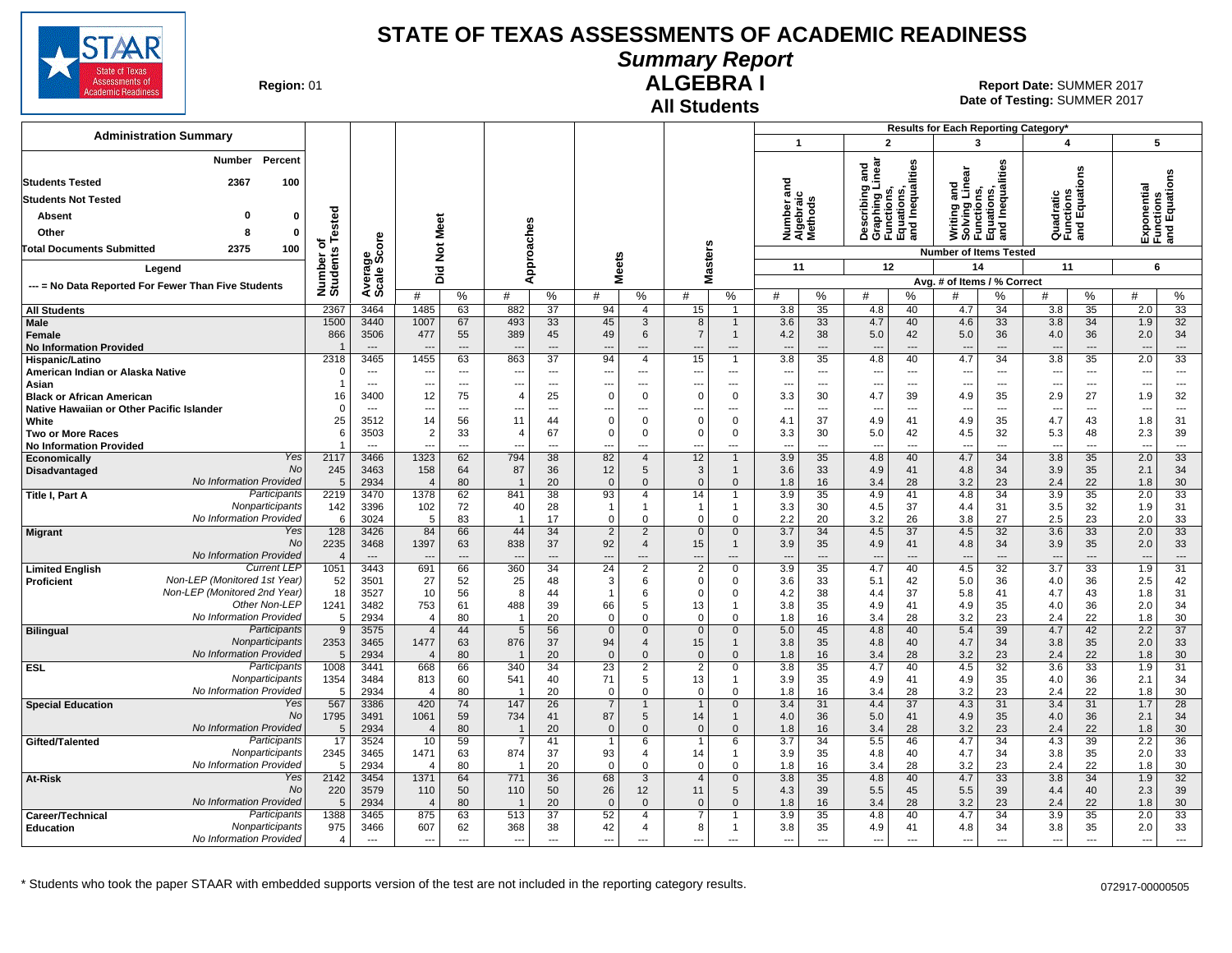

### **Summary Report**

**Region: 01** 

#### **All Students ALGEBRA I**

**Date of Testing:**  SUMMER 2017 01 **Report Date:** SUMMER 2017

| <b>Administration Summary</b>                         |                        |                                  |                                  |                                |                          |                      |                                         |                             |                                  |                          | $\overline{1}$                    |                                |                                 | $\overline{2}$                                                                    | Results for Each Reporting Category*<br>3                                     |                      | $\overline{\mathbf{A}}$ |                                      |                                 | 5                                         |
|-------------------------------------------------------|------------------------|----------------------------------|----------------------------------|--------------------------------|--------------------------|----------------------|-----------------------------------------|-----------------------------|----------------------------------|--------------------------|-----------------------------------|--------------------------------|---------------------------------|-----------------------------------------------------------------------------------|-------------------------------------------------------------------------------|----------------------|-------------------------|--------------------------------------|---------------------------------|-------------------------------------------|
| Percent<br>Number                                     |                        |                                  |                                  |                                |                          |                      |                                         |                             |                                  |                          |                                   |                                |                                 |                                                                                   |                                                                               |                      |                         |                                      |                                 |                                           |
|                                                       |                        |                                  |                                  |                                |                          |                      |                                         |                             |                                  |                          |                                   |                                |                                 | Describing and<br>Graphing Linear<br>Functions,<br>Equations,<br>and Inequalities | Writing and<br>Solving Linear<br>Functions,<br>Equations,<br>and Inequalities |                      |                         | S                                    |                                 |                                           |
| <b>Students Tested</b><br>2367<br>100                 |                        |                                  |                                  |                                |                          |                      |                                         |                             |                                  |                          | ठ<br>듮                            |                                |                                 |                                                                                   |                                                                               |                      |                         | 등                                    |                                 | Exponential<br>Functions<br>and Equations |
| <b>Students Not Tested</b>                            |                        |                                  |                                  |                                |                          |                      |                                         |                             |                                  |                          |                                   |                                |                                 |                                                                                   |                                                                               |                      |                         | Equati                               |                                 |                                           |
| $\mathbf{0}$<br>Absent<br>O                           | Tested                 |                                  |                                  |                                |                          |                      |                                         |                             |                                  |                          | Number ar<br>Algebraic<br>Methods |                                |                                 |                                                                                   |                                                                               |                      |                         | Quadratic<br>Functions<br>and Equati |                                 |                                           |
| Other<br>8<br>$\mathbf{0}$                            |                        |                                  | Meet                             |                                |                          | es                   |                                         |                             |                                  |                          |                                   |                                |                                 |                                                                                   |                                                                               |                      |                         |                                      |                                 |                                           |
| <b>Total Documents Submitted</b><br>2375<br>100       | ъ                      | å                                | $\breve{\mathbf{z}}$             |                                |                          |                      |                                         |                             |                                  |                          |                                   |                                |                                 |                                                                                   | <b>Number of Items Tested</b>                                                 |                      |                         |                                      |                                 |                                           |
| Legend                                                | Number of<br>Students  | န္ဘာ့လိ                          |                                  |                                |                          | pproach              |                                         | <b>Meets</b>                | sters                            |                          | 11                                |                                | 12                              |                                                                                   | 14                                                                            |                      | 11                      |                                      |                                 | 6                                         |
|                                                       |                        | Avera<br>Scale                   | Did                              |                                |                          | ⋖                    |                                         |                             | Ä                                |                          |                                   |                                |                                 |                                                                                   | Avg. # of Items / % Correct                                                   |                      |                         |                                      |                                 |                                           |
| --- = No Data Reported For Fewer Than Five Students   |                        |                                  | #                                | %                              | #                        | %                    | #                                       | %                           | #                                | %                        | #                                 | %                              | #                               | ℅                                                                                 | #                                                                             | %                    | #                       | %                                    | #                               | %                                         |
| <b>All Students</b>                                   | 2367                   | 3464                             | 1485                             | 63                             | 882                      | 37                   | 94                                      | $\overline{4}$              | 15                               | $\overline{1}$           | 3.8                               | 35                             | 4.8                             | 40                                                                                | 4.7                                                                           | 34                   | 3.8                     | 35                                   | 2.0                             | 33                                        |
| <b>Male</b>                                           | 1500                   | 3440                             | 1007                             | 67                             | 493                      | 33                   | 45                                      | 3                           | 8                                | 1                        | 3.6                               | 33                             | 4.7                             | 40                                                                                | 4.6                                                                           | 33                   | 3.8                     | 34                                   | 1.9                             | 32                                        |
| <b>Female</b><br><b>No Information Provided</b>       | 866                    | 3506<br>$---$                    | 477                              | 55<br>$\overline{\phantom{a}}$ | 389                      | 45<br>$\overline{a}$ | 49<br>$\overline{\phantom{a}}$          | 6<br>---                    | $\overline{7}$<br>$\overline{a}$ | -1<br>---                | 4.2<br>$---$                      | 38<br>$\overline{a}$           | 5.0<br>$\overline{a}$           | 42<br>$\overline{a}$                                                              | 5.0<br>$\overline{a}$                                                         | 36<br>$\overline{a}$ | 4.0<br>$\sim$           | 36<br>---                            | 2.0<br>---                      | 34<br>$---$                               |
| Hispanic/Latino                                       | 2318                   | 3465                             | 1455                             | 63                             | 863                      | $\overline{37}$      | 94                                      | $\overline{4}$              | 15                               |                          | 3.8                               | 35                             | 4.8                             | 40                                                                                | 4.7                                                                           | 34                   | 3.8                     | 35                                   | 2.0                             | 33                                        |
| American Indian or Alaska Native                      | $\Omega$               | $\overline{\phantom{a}}$         | ---                              | $\scriptstyle\cdots$           | $\overline{a}$           | ---                  | ---                                     | ---                         | $\overline{a}$                   | ---                      | ---                               | $\overline{a}$                 | $\overline{\phantom{a}}$        | $\overline{\phantom{a}}$                                                          | $\overline{\phantom{a}}$                                                      | ---                  | $\sim$                  | ---                                  | ---                             | $\sim$                                    |
| Asian                                                 |                        | ---                              | ---                              | $\overline{\phantom{a}}$       | $\overline{\phantom{a}}$ | ---                  | ---                                     | ---                         | $\overline{a}$                   | ---                      | ---                               | ---                            | ---                             | ---                                                                               | $\overline{\phantom{a}}$                                                      | ---                  | ---                     | ---                                  | ---                             | $\overline{\phantom{a}}$                  |
| <b>Black or African American</b>                      | 16                     | 3400                             | 12                               | 75                             | $\overline{4}$           | 25                   | $\mathbf 0$                             | $\Omega$                    | $\Omega$                         | $\Omega$                 | 3.3                               | 30                             | 4.7                             | 39                                                                                | 4.9                                                                           | 35                   | 2.9                     | 27                                   | 1.9                             | 32                                        |
| Native Hawaiian or Other Pacific Islander<br>White    | $\Omega$<br>25         | $---$<br>3512                    | ---<br>14                        | ---<br>56                      | ---<br>11                | $---$<br>44          | $\overline{\phantom{a}}$<br>$\mathbf 0$ | ---<br>$\Omega$             | ---<br>$\Omega$                  | ---<br>$\Omega$          | ---<br>4.1                        | $\overline{\phantom{a}}$<br>37 | $\overline{\phantom{a}}$<br>4.9 | ---<br>41                                                                         | $\overline{\phantom{a}}$<br>4.9                                               | ---<br>35            | $\ddotsc$<br>4.7        | ---<br>43                            | ---<br>1.8                      | $\overline{\phantom{a}}$<br>31            |
| <b>Two or More Races</b>                              | 6                      | 3503                             | $\overline{2}$                   | 33                             |                          | 67                   | $\mathbf 0$                             | $\Omega$                    | $\Omega$                         | $\Omega$                 | 3.3                               | 30                             | 5.0                             | 42                                                                                | 4.5                                                                           | 32                   | 5.3                     | 48                                   | 2.3                             | 39                                        |
| <b>No Information Provided</b>                        | 1                      | $-$ --                           | $\sim$                           | $\overline{\phantom{a}}$       |                          | $\overline{a}$       | ---                                     | ---                         | $\sim$                           | ---                      | $\overline{a}$                    | $\overline{a}$                 | $\overline{\phantom{a}}$        | $\overline{\phantom{a}}$                                                          | $\sim$                                                                        | $\overline{a}$       |                         | $-$ --                               | $\sim$                          | $\sim$                                    |
| Yes<br>Economically                                   | 2117                   | 3466                             | 1323                             | 62                             | 794                      | 38                   | 82                                      | $\overline{4}$              | 12                               | 1                        | 3.9                               | 35                             | 4.8                             | 40                                                                                | 4.7                                                                           | 34                   | 3.8                     | 35                                   | 2.0                             | 33                                        |
| <b>No</b><br>Disadvantaged<br>No Information Provided | 245<br>5               | 3463<br>2934                     | 158<br>$\overline{4}$            | 64<br>80                       | 87                       | 36<br>20             | 12<br>$\mathbf{0}$                      | 5<br>$\Omega$               | 3<br>$\mathbf{0}$                | 1<br>$\mathbf{0}$        | 3.6<br>1.8                        | 33<br>16                       | 4.9<br>3.4                      | 41<br>28                                                                          | 4.8<br>3.2                                                                    | 34<br>23             | 3.9<br>2.4              | 35<br>22                             | 2.1<br>1.8                      | 34<br>30                                  |
| Participants<br>Title I, Part A                       | 2219                   | 3470                             | 1378                             | 62                             | 841                      | 38                   | 93                                      | $\overline{4}$              | 14                               |                          | 3.9                               | 35                             | 4.9                             | 41                                                                                | 4.8                                                                           | 34                   | 3.9                     | $\overline{35}$                      | 2.0                             | $\overline{33}$                           |
| Nonparticipants                                       | 142                    | 3396                             | 102                              | 72                             | 40                       | 28                   | $\mathbf{1}$                            | $\mathbf 1$                 | $\overline{1}$                   | 1                        | 3.3                               | 30                             | 4.5                             | 37                                                                                | 4.4                                                                           | 31                   | 3.5                     | 32                                   | 1.9                             | 31                                        |
| No Information Provided                               | 6                      | 3024                             | 5                                | 83                             |                          | 17                   | $\Omega$                                | $\mathbf 0$                 | $\Omega$                         | 0                        | 2.2                               | 20                             | 3.2                             | 26                                                                                | 3.8                                                                           | 27                   | 2.5                     | 23                                   | 2.0                             | 33                                        |
| Yes<br><b>Migrant</b>                                 | 128                    | 3426                             | 84                               | 66                             | 44                       | 34                   | $\overline{2}$                          | 2                           | $\mathbf{0}$                     | $\mathbf{0}$             | 3.7                               | 34                             | 4.5                             | 37                                                                                | 4.5                                                                           | 32                   | 3.6                     | 33                                   | 2.0                             | 33                                        |
| No<br>No Information Provided                         | 2235<br>$\overline{4}$ | 3468<br>$\overline{\phantom{a}}$ | 1397                             | 63<br>$\overline{a}$           | 838                      | 37<br>$---$          | 92<br>$\overline{\phantom{a}}$          | $\overline{4}$<br>---       | 15<br>$\overline{a}$             | $\mathbf{1}$<br>---      | 3.9                               | 35<br>---                      | 4.9<br>$\overline{\phantom{a}}$ | 41<br>$\overline{\phantom{a}}$                                                    | 4.8                                                                           | 34<br>$---$          | 3.9                     | 35<br>---                            | 2.0<br>$\overline{\phantom{a}}$ | 33<br>$\overline{\phantom{a}}$            |
| <b>Current LEP</b><br><b>Limited English</b>          | 1051                   | 3443                             | 691                              | 66                             | 360                      | $\overline{34}$      | $\overline{24}$                         | $\overline{2}$              | $\overline{2}$                   | $\Omega$                 | 3.9                               | 35                             | 4.7                             | 40                                                                                | 4.5                                                                           | $\overline{32}$      | 3.7                     | $\overline{33}$                      | 1.9                             | $\overline{31}$                           |
| Non-LEP (Monitored 1st Year)<br><b>Proficient</b>     | 52                     | 3501                             | 27                               | 52                             | 25                       | 48                   | 3                                       | 6                           | $\Omega$                         | $\Omega$                 | 3.6                               | 33                             | 5.1                             | 42                                                                                | 5.0                                                                           | 36                   | 4.0                     | 36                                   | 2.5                             | 42                                        |
| Non-LEP (Monitored 2nd Year)                          | 18                     | 3527                             | 10                               | 56                             | 8                        | 44                   | $\overline{1}$                          | 6                           | $\Omega$                         | $\Omega$                 | 4.2                               | 38                             | 4.4                             | 37                                                                                | 5.8                                                                           | 41                   | 4.7                     | 43                                   | 1.8                             | 31                                        |
| Other Non-LEF<br>No Information Provided              | 1241                   | 3482                             | 753                              | 61                             | 488                      | 39                   | 66                                      | 5                           | 13                               | 1                        | 3.8                               | 35                             | 4.9                             | 41                                                                                | 4.9                                                                           | 35                   | 4.0                     | 36                                   | 2.0                             | 34                                        |
| Participants<br><b>Bilingual</b>                      | 5<br>9                 | 2934<br>3575                     | $\overline{4}$<br>$\overline{4}$ | 80<br>44                       | 5                        | 20<br>56             | $\Omega$<br>$\mathbf 0$                 | $\Omega$<br>$\mathbf{0}$    | $\Omega$<br>$\mathbf{0}$         | 0<br>$\mathbf{0}$        | 1.8<br>5.0                        | 16<br>45                       | 3.4<br>4.8                      | 28<br>40                                                                          | 3.2<br>5.4                                                                    | 23<br>39             | 2.4<br>4.7              | 22<br>42                             | 1.8<br>2.2                      | 30<br>37                                  |
| Nonparticipants                                       | 2353                   | 3465                             | 1477                             | 63                             | 876                      | 37                   | 94                                      | $\overline{4}$              | 15                               | 1                        | 3.8                               | 35                             | 4.8                             | 40                                                                                | 4.7                                                                           | 34                   | 3.8                     | 35                                   | 2.0                             | 33                                        |
| No Information Provided                               | 5                      | 2934                             | $\overline{4}$                   | 80                             |                          | 20                   | $\mathbf{0}$                            | $\mathbf{0}$                | $\mathbf{0}$                     | $\Omega$                 | 1.8                               | 16                             | 3.4                             | 28                                                                                | 3.2                                                                           | 23                   | 2.4                     | 22                                   | 1.8                             | 30                                        |
| Participants<br><b>ESL</b>                            | 1008                   | 3441                             | 668                              | 66                             | 340                      | $\overline{34}$      | $\overline{23}$                         | $\overline{2}$              | $\overline{2}$                   | $\mathbf{0}$             | 3.8                               | 35                             | 4.7                             | 40                                                                                | 4.5                                                                           | 32                   | 3.6                     | 33                                   | 1.9                             | 31                                        |
| Nonparticipants<br>No Information Provided            | 1354                   | 3484                             | 813                              | 60                             | 541                      | 40                   | 71                                      | 5                           | 13                               |                          | 3.9                               | 35                             | 4.9                             | 41                                                                                | 4.9                                                                           | 35                   | 4.0                     | 36                                   | 2.1                             | 34                                        |
| Yes<br><b>Special Education</b>                       | 5<br>567               | 2934<br>3386                     | $\overline{4}$<br>420            | 80<br>74                       | ÷,<br>147                | 20<br>26             | $\mathbf 0$<br>$\overline{7}$           | $\mathbf 0$<br>$\mathbf{1}$ | $\mathbf 0$<br>$\mathbf{1}$      | $\Omega$<br>$\Omega$     | 1.8<br>3.4                        | 16<br>31                       | 3.4<br>4.4                      | 28<br>$\overline{37}$                                                             | 3.2<br>4.3                                                                    | 23<br>31             | 2.4<br>3.4              | 22<br>31                             | 1.8<br>1.7                      | 30<br>28                                  |
| No                                                    | 1795                   | 3491                             | 1061                             | 59                             | 734                      | 41                   | 87                                      | 5                           | 14                               | $\mathbf{1}$             | 4.0                               | 36                             | 5.0                             | 41                                                                                | 4.9                                                                           | 35                   | 4.0                     | 36                                   | 2.1                             | 34                                        |
| No Information Provided                               | 5                      | 2934                             | $\overline{4}$                   | 80                             |                          | 20                   | $\mathbf{0}$                            | $\Omega$                    | $\Omega$                         | $\Omega$                 | 1.8                               | 16                             | 3.4                             | 28                                                                                | 3.2                                                                           | 23                   | 2.4                     | 22                                   | 1.8                             | 30                                        |
| Participants<br>Gifted/Talented                       | 17                     | 3524                             | 10                               | 59                             |                          | 41                   | $\overline{1}$                          | 6                           | $\overline{1}$                   | 6                        | 3.7                               | 34                             | 5.5                             | 46                                                                                | 4.7                                                                           | 34                   | 4.3                     | 39                                   | 2.2                             | 36                                        |
| Nonparticipants<br>No Information Provideo            | 2345<br>5              | 3465                             | 1471<br>$\overline{4}$           | 63                             | 874<br>$\overline{1}$    | 37                   | 93<br>$\mathbf 0$                       | $\overline{4}$<br>$\Omega$  | 14<br>$\mathbf 0$                | $\Omega$                 | 3.9                               | 35                             | 4.8                             | 40                                                                                | 4.7                                                                           | 34                   | 3.8                     | 35                                   | 2.0                             | 33                                        |
| Yes<br>At-Risk                                        | 2142                   | 2934<br>3454                     | 1371                             | 80<br>64                       | 771                      | 20<br>36             | 68                                      | 3                           | $\overline{4}$                   | $\Omega$                 | 1.8<br>3.8                        | 16<br>35                       | 3.4<br>4.8                      | 28<br>40                                                                          | 3.2<br>4.7                                                                    | 23<br>33             | 2.4<br>3.8              | 22<br>34                             | 1.8<br>1.9                      | 30<br>32                                  |
| <b>No</b>                                             | 220                    | 3579                             | 110                              | 50                             | 110                      | 50                   | 26                                      | 12                          | 11                               | 5                        | 4.3                               | 39                             | 5.5                             | 45                                                                                | 5.5                                                                           | 39                   | 4.4                     | 40                                   | 2.3                             | 39                                        |
| No Information Provided                               | 5                      | 2934                             | $\overline{4}$                   | 80                             |                          | 20                   | $\mathbf{0}$                            | $\Omega$                    | $\mathbf{0}$                     | $\Omega$                 | 1.8                               | 16                             | 3.4                             | 28                                                                                | 3.2                                                                           | 23                   | 2.4                     | 22                                   | 1.8                             | 30                                        |
| Participants<br>Career/Technical                      | 1388                   | 3465                             | 875                              | 63                             | 513                      | 37                   | 52                                      | $\overline{4}$              |                                  |                          | 3.9                               | 35                             | 4.8                             | 40                                                                                | 4.7                                                                           | 34                   | 3.9                     | 35                                   | 2.0                             | 33                                        |
| Nonparticipants<br><b>Education</b>                   | 975                    | 3466                             | 607                              | 62                             | 368                      | 38                   | 42                                      | $\overline{4}$              | 8                                | 1                        | 3.8                               | 35                             | 4.9                             | 41                                                                                | 4.8                                                                           | 34                   | 3.8                     | 35                                   | 2.0                             | 33                                        |
| No Information Provided                               | 4                      | $---$                            | $\overline{\phantom{a}}$         | $\overline{\phantom{a}}$       | $\overline{\phantom{a}}$ | $\overline{a}$       | ---                                     | $\overline{a}$              | ---                              | $\overline{\phantom{a}}$ | ---                               | $\overline{a}$                 | $\overline{\phantom{a}}$        | $\overline{\phantom{a}}$                                                          | $\overline{\phantom{a}}$                                                      | $\overline{a}$       | ---                     | $\overline{a}$                       | ---                             | $\overline{\phantom{a}}$                  |

\* Students who took the paper STAAR with embedded supports version of the test are not included in the reporting category results. 072917-000050505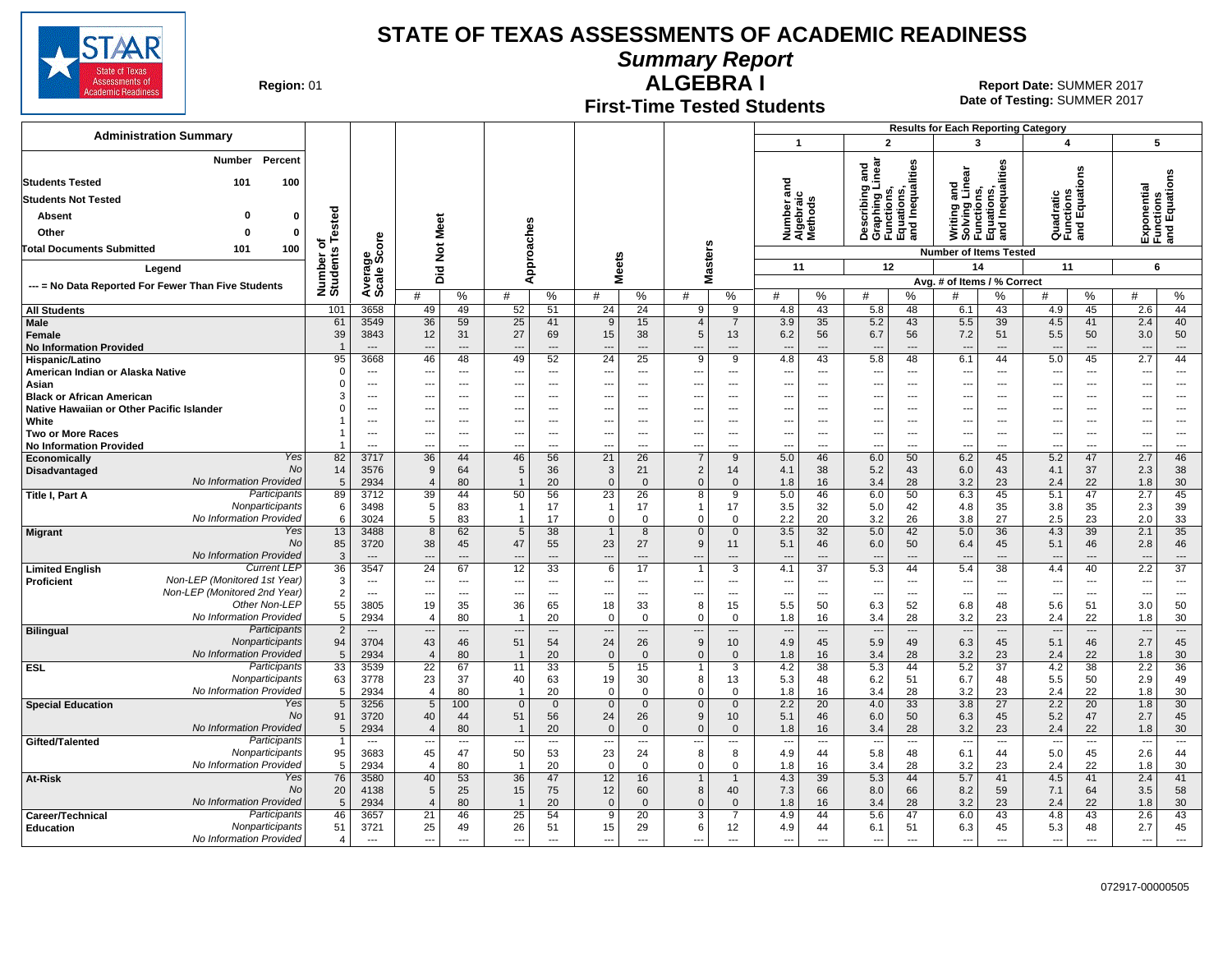

**Summary Report**

**Region: 01** 

## **First-Time Tested Students**

**ALGEBRA I** 01 **Report Date:** SUMMER 2017 **Date of Testing:**  SUMMER 2017

|                                                                                                                            |                           |                          |                                                    |                             |                                                            |                                            |                                      |                                        |                                                      |                                                      |                                                                                                           |                                                                                                                   |                                   | <b>Results for Each Reporting Category</b>                  |                            |                                                      |                         |                                           |                                                     |
|----------------------------------------------------------------------------------------------------------------------------|---------------------------|--------------------------|----------------------------------------------------|-----------------------------|------------------------------------------------------------|--------------------------------------------|--------------------------------------|----------------------------------------|------------------------------------------------------|------------------------------------------------------|-----------------------------------------------------------------------------------------------------------|-------------------------------------------------------------------------------------------------------------------|-----------------------------------|-------------------------------------------------------------|----------------------------|------------------------------------------------------|-------------------------|-------------------------------------------|-----------------------------------------------------|
| <b>Administration Summary</b>                                                                                              |                           |                          |                                                    |                             |                                                            |                                            |                                      |                                        |                                                      |                                                      | $\mathbf{1}$                                                                                              | $\overline{2}$                                                                                                    |                                   | 3                                                           |                            | 4                                                    |                         | 5                                         |                                                     |
| Percent<br>Number<br><b>Students Tested</b><br>100<br>101<br><b>Students Not Tested</b><br>Absent<br>o                     |                           |                          |                                                    |                             |                                                            |                                            |                                      |                                        |                                                      |                                                      | ত<br>Number and<br>Algebraic<br>Methods                                                                   | ਨ<br>ত<br>ِّفِي<br>escribing a<br>Examples<br>Describing<br>Graphing L<br>Functions,<br>Equations,<br>and Inequal | Inequalities                      | Writing and<br>Solving Linear<br>Functions,                 | iations,<br>I Inequalities | Quadratic<br>Functions<br>and Equati                 | <b>ons</b>              | Exponential<br>Functions<br>and Equations |                                                     |
|                                                                                                                            | Tested                    |                          |                                                    |                             |                                                            |                                            |                                      |                                        |                                                      |                                                      |                                                                                                           |                                                                                                                   |                                   |                                                             | ូមី<br>ខ្លួ                |                                                      |                         |                                           |                                                     |
| Other<br>0<br>0                                                                                                            | ৳                         |                          |                                                    |                             |                                                            |                                            |                                      |                                        |                                                      |                                                      |                                                                                                           |                                                                                                                   |                                   |                                                             |                            |                                                      |                         |                                           |                                                     |
| 100<br><b>Total Documents Submitted</b><br>101                                                                             |                           | ge<br>Score              | <b>Not Meet</b>                                    |                             |                                                            | Approaches                                 |                                      |                                        | lasters                                              |                                                      |                                                                                                           |                                                                                                                   |                                   | <b>Number of Items Tested</b>                               |                            |                                                      |                         |                                           |                                                     |
| Legend                                                                                                                     |                           |                          | Did                                                |                             |                                                            |                                            |                                      | <b>Meets</b>                           | ż                                                    |                                                      | 11                                                                                                        | 12                                                                                                                |                                   | 14                                                          |                            | 11                                                   |                         | 6                                         |                                                     |
| --- = No Data Reported For Fewer Than Five Students                                                                        | Number o<br>Students      | Average                  | #                                                  | %                           | #                                                          | %                                          | #                                    | %                                      | #                                                    | %                                                    | $\%$<br>#                                                                                                 | #                                                                                                                 | %                                 | Avg. # of Items / % Correct<br>#                            | %                          | #                                                    | %                       | #                                         | $\%$                                                |
| <b>All Students</b>                                                                                                        | 101                       | 3658                     | 49                                                 | 49                          | 52                                                         | 51                                         | 24                                   | $\overline{24}$                        | 9                                                    | 9                                                    | 43<br>4.8                                                                                                 | 5.8                                                                                                               | 48                                | 6.1                                                         | 43                         | 4.9                                                  | 45                      | 2.6                                       | 44                                                  |
| Male<br>Female<br><b>No Information Provided</b>                                                                           | 61<br>39                  | 3549<br>3843<br>$---$    | 36<br>12<br>---                                    | 59<br>31<br>$---$           | 25<br>27<br>$\overline{\phantom{a}}$                       | 41<br>69<br>$---$                          | 9<br>15<br>---                       | 15<br>38<br>$\overline{a}$             | $\overline{4}$<br>5                                  | $\overline{7}$<br>13<br>$---$                        | 3.9<br>35<br>56<br>6.2<br>$\overline{a}$<br>$---$                                                         | 5.2<br>6.7<br>$\overline{\phantom{a}}$                                                                            | 43<br>56<br>$---$                 | $5.5\,$<br>7.2<br>$\overline{\phantom{a}}$                  | 39<br>51<br>---            | 4.5<br>5.5<br>$\overline{\phantom{a}}$               | 41<br>50<br>---         | 2.4<br>3.0<br>$\overline{\phantom{a}}$    | 40<br>50<br>---                                     |
| Hispanic/Latino                                                                                                            | 95                        | 3668                     | 46                                                 | 48                          | 49                                                         | 52                                         | $\overline{24}$                      | 25                                     | 9                                                    | 9                                                    | 4.8<br>43                                                                                                 | 5.8                                                                                                               | 48                                | 6.1                                                         | 44                         | 5.0                                                  | 45                      | 2.7                                       | 44                                                  |
| American Indian or Alaska Native<br>Asian                                                                                  | $\Omega$<br>$\Omega$      | $\overline{a}$<br>$---$  | ---<br>---                                         | $\overline{a}$<br>---       | $\sim$<br>$\overline{\phantom{a}}$                         | $\overline{a}$<br>$\overline{a}$           | $\overline{\phantom{a}}$<br>---      | ---<br>---                             | $\overline{\phantom{a}}$<br>$\overline{\phantom{a}}$ | $\overline{\phantom{a}}$<br>$\overline{\phantom{a}}$ | $\overline{a}$<br>---<br>$\overline{a}$<br>---                                                            | $\overline{\phantom{a}}$<br>$---$                                                                                 | ---<br>---                        | $\overline{a}$<br>$\overline{\phantom{a}}$                  | ---<br>---                 | ---<br>---                                           | $\overline{a}$<br>$---$ | ---<br>---                                | $\overline{a}$<br>$\overline{\phantom{a}}$          |
| <b>Black or African American</b>                                                                                           |                           | $---$                    | $\overline{a}$                                     | $---$                       | $\overline{\phantom{a}}$                                   | $---$                                      | $-$                                  | $\overline{a}$                         | $\sim$                                               | $\overline{a}$                                       | $\sim$<br>$---$                                                                                           | $\sim$                                                                                                            | $---$                             | $\overline{a}$                                              | ---                        | $\sim$                                               | $---$                   | $\overline{a}$                            | $\overline{a}$                                      |
| Native Hawaiian or Other Pacific Islander                                                                                  | $\Omega$                  | ---                      | ---                                                | ---                         |                                                            | $---$                                      | ---                                  |                                        | $\overline{\phantom{a}}$                             | $---$                                                | ---<br>$---$                                                                                              | $\overline{\phantom{a}}$                                                                                          | ---                               | $\overline{\phantom{a}}$                                    | ---                        | $\overline{\phantom{a}}$                             | ---                     | ---                                       | $\overline{\phantom{a}}$                            |
| White<br><b>Two or More Races</b>                                                                                          |                           | ---<br>---               | ---<br>---                                         | ---<br>---                  | $\overline{\phantom{a}}$                                   | $---$<br>---                               | ---<br>$\overline{\phantom{a}}$      | $\sim$<br>---                          | $\overline{\phantom{a}}$<br>$\overline{\phantom{a}}$ | $---$<br>---                                         | ---<br>$---$<br>---<br>$\overline{\phantom{a}}$                                                           | $\overline{\phantom{a}}$<br>$\sim$                                                                                | $---$<br>$\overline{\phantom{a}}$ | $\overline{\phantom{a}}$<br>$\overline{\phantom{a}}$        | ---<br>---                 | $\overline{\phantom{a}}$<br>$\overline{\phantom{a}}$ | $\overline{a}$<br>---   | $\overline{a}$<br>---                     | ---<br>$\overline{\phantom{a}}$                     |
| <b>No Information Provided</b>                                                                                             |                           | $\overline{a}$           | ---                                                | $\overline{a}$              |                                                            | $\overline{a}$                             | ---                                  | $\overline{a}$                         | $\overline{a}$                                       | ---                                                  | $\overline{a}$<br>$\overline{a}$                                                                          | $\overline{\phantom{a}}$                                                                                          | ---                               | $\overline{a}$                                              | ---                        | $\overline{\phantom{a}}$                             | ---                     | $\sim$                                    | $\overline{a}$                                      |
| Yes<br>Economically                                                                                                        | 82                        | 3717                     | 36                                                 | 44                          | 46                                                         | 56                                         | 21                                   | 26                                     | $\overline{7}$                                       | 9                                                    | 5.0<br>46                                                                                                 | 6.0                                                                                                               | 50                                | 6.2                                                         | 45                         | 5.2                                                  | 47                      | 2.7                                       | 46                                                  |
| <b>No</b><br>Disadvantaged<br>No Information Provided                                                                      | 14<br>5                   | 3576<br>2934             | 9<br>$\overline{4}$                                | 64<br>80                    | 5                                                          | 36<br>20                                   | 3<br>$\Omega$                        | 21<br>$\Omega$                         | 2<br>$\Omega$                                        | 14<br>$\Omega$                                       | 4.1<br>38<br>1.8<br>16                                                                                    | 5.2<br>3.4                                                                                                        | 43<br>28                          | 6.0<br>3.2                                                  | 43<br>23                   | 4.1<br>2.4                                           | 37<br>22                | 2.3<br>1.8                                | 38<br>30                                            |
| Participants<br>Title I, Part A                                                                                            | 89                        | 3712                     | 39                                                 | 44                          | 50                                                         | 56                                         | $\overline{23}$                      | 26                                     | 8                                                    | 9                                                    | 5.0<br>46                                                                                                 | 6.0                                                                                                               | 50                                | 6.3                                                         | 45                         | 5.1                                                  | 47                      | 2.7                                       | 45                                                  |
| Nonparticipants                                                                                                            | 6                         | 3498                     | 5                                                  | 83                          |                                                            | 17                                         | $\overline{1}$                       | 17                                     | $\mathbf{1}$                                         | 17                                                   | 3.5<br>32                                                                                                 | 5.0                                                                                                               | 42                                | 4.8                                                         | 35                         | 3.8                                                  | 35                      | 2.3                                       | 39                                                  |
| No Information Provided<br>Yes<br><b>Migrant</b>                                                                           | 6<br>13                   | 3024<br>3488             | 5<br>8                                             | 83<br>62                    | $\sqrt{5}$                                                 | 17<br>38                                   | $\mathbf 0$<br>$\overline{1}$        | $\mathbf 0$<br>8                       | $\Omega$<br>$\mathbf{0}$                             | $\mathbf 0$<br>$\mathbf 0$                           | 2.2<br>20<br>32<br>3.5                                                                                    | 3.2<br>5.0                                                                                                        | 26<br>42                          | 3.8<br>5.0                                                  | 27<br>36                   | 2.5<br>4.3                                           | 23<br>39                | 2.0<br>2.1                                | 33<br>$\overline{35}$                               |
| <b>No</b>                                                                                                                  | 85                        | 3720                     | 38                                                 | 45                          | 47                                                         | 55                                         | 23                                   | 27                                     | 9                                                    | 11                                                   | 5.1<br>46                                                                                                 | 6.0                                                                                                               | 50                                | 6.4                                                         | 45                         | 5.1                                                  | 46                      | 2.8                                       | 46                                                  |
| <b>No Information Provided</b>                                                                                             | 3                         | $---$                    | $\overline{a}$                                     | $---$                       | $\overline{\phantom{a}}$                                   | $---$                                      | $\overline{a}$                       | $\overline{\phantom{a}}$               | $\overline{\phantom{a}}$                             | $---$                                                | $\overline{a}$<br>$---$                                                                                   | $\overline{\phantom{a}}$                                                                                          | $---$                             | $---$                                                       | $\overline{a}$             | $\overline{\phantom{a}}$                             | ---                     | ---                                       | $\cdots$                                            |
| <b>Current LEP</b><br><b>Limited English</b><br>Non-LEP (Monitored 1st Year)<br>Proficient<br>Non-LEP (Monitored 2nd Year) | 36<br>3<br>$\overline{2}$ | 3547<br>$\sim$<br>$\sim$ | $\overline{24}$<br>---<br>$\overline{\phantom{a}}$ | 67<br>$\overline{a}$<br>--- | 12<br>$\overline{\phantom{a}}$<br>$\overline{\phantom{a}}$ | $\overline{33}$<br>$---$<br>$\overline{a}$ | 6<br>---<br>$\overline{\phantom{a}}$ | 17<br>$\overline{a}$<br>$\overline{a}$ | $\overline{\phantom{a}}$<br>$\overline{\phantom{a}}$ | 3<br>$---$<br>---                                    | $\overline{37}$<br>4.1<br>$\overline{\phantom{a}}$<br>$---$<br>$\overline{\phantom{a}}$<br>$\overline{a}$ | 5.3<br>$\overline{\phantom{a}}$<br>$\overline{\phantom{a}}$                                                       | 44<br>$---$<br>---                | 5.4<br>$\overline{\phantom{a}}$<br>$\hspace{0.05cm} \ldots$ | 38<br>---<br>---           | 4.4<br>---<br>---                                    | 40<br>$---$<br>$---$    | 2.2<br>---<br>---                         | $\overline{37}$<br>$\overline{a}$<br>$\overline{a}$ |
| Other Non-LEP                                                                                                              | 55                        | 3805                     | 19                                                 | 35                          | 36                                                         | 65                                         | 18                                   | 33                                     | 8                                                    | 15                                                   | 5.5<br>50                                                                                                 | 6.3                                                                                                               | 52                                | 6.8                                                         | 48                         | 5.6                                                  | 51                      | 3.0                                       | 50                                                  |
| No Information Provided<br>Participants<br><b>Bilingual</b>                                                                | 5<br>2                    | 2934<br>$\cdots$         | $\overline{4}$<br>---                              | 80<br>$\overline{a}$        |                                                            | 20<br>$\qquad \qquad \cdots$               | $\Omega$<br>$\overline{\phantom{a}}$ | $\Omega$<br>$\overline{\phantom{a}}$   | $\Omega$<br>$\overline{\phantom{a}}$                 | $\Omega$<br>$\cdots$                                 | 1.8<br>16<br>$\overline{\phantom{a}}$<br>$\qquad \qquad \cdots$                                           | 3.4<br>$\overline{\phantom{a}}$                                                                                   | 28<br>---                         | 3.2<br>$\overline{\phantom{a}}$                             | 23<br>$\cdots$             | 2.4<br>$\overline{\phantom{a}}$                      | 22<br>---               | 1.8<br>---                                | 30<br>$---$                                         |
| Nonparticipants<br>No Information Provided                                                                                 | 94<br>5                   | 3704<br>2934             | 43<br>$\overline{4}$                               | 46<br>80                    | 51                                                         | 54<br>20                                   | 24<br>$\overline{0}$                 | 26<br>$\mathbf{0}$                     | 9<br>$\mathbf{0}$                                    | 10<br>$\mathbf{0}$                                   | 4.9<br>45<br>1.8<br>16                                                                                    | 5.9<br>3.4                                                                                                        | 49<br>28                          | 6.3<br>3.2                                                  | 45<br>23                   | 5.1<br>2.4                                           | 46<br>22                | 2.7<br>1.8                                | 45<br>30                                            |
| <b>ESL</b><br>Participants                                                                                                 | 33                        | 3539                     | $\overline{22}$                                    | 67                          | 11                                                         | 33                                         | 5                                    | 15                                     |                                                      | 3                                                    | 4.2<br>38                                                                                                 | 5.3                                                                                                               | 44                                | 5.2                                                         | $\overline{37}$            | 4.2                                                  | 38                      | 2.2                                       | 36                                                  |
| Nonparticipants<br>No Information Provided                                                                                 | 63<br>5                   | 3778<br>2934             | 23<br>$\overline{4}$                               | 37<br>80                    | 40                                                         | 63<br>20                                   | 19<br>$\Omega$                       | 30<br>$\Omega$                         | 8<br>$\Omega$                                        | 13<br>0                                              | 5.3<br>48<br>1.8<br>16                                                                                    | 6.2<br>3.4                                                                                                        | 51<br>28                          | 6.7<br>3.2                                                  | 48<br>23                   | 5.5<br>2.4                                           | 50<br>22                | 2.9<br>1.8                                | 49<br>30                                            |
| <b>Special Education</b><br>Yes                                                                                            | 5                         | 3256                     | 5                                                  | 100                         | $\overline{0}$                                             | $\mathbf 0$                                | $\Omega$                             | $\mathbf{0}$                           | $\Omega$                                             | $\mathbf 0$                                          | 2.2<br>20                                                                                                 | 4.0                                                                                                               | 33                                | 3.8                                                         | 27                         | 2.2                                                  | 20                      | 1.8                                       | 30                                                  |
| No<br>No Information Provided                                                                                              | 91<br>5                   | 3720<br>2934             | 40<br>$\overline{4}$                               | 44<br>80                    | 51                                                         | 56<br>20                                   | 24<br>$\Omega$                       | 26<br>$\Omega$                         | 9<br>$\mathbf{0}$                                    | 10<br>$\Omega$                                       | 5.1<br>46<br>1.8<br>16                                                                                    | 6.0<br>3.4                                                                                                        | 50<br>28                          | 6.3<br>3.2                                                  | 45<br>23                   | 5.2<br>2.4                                           | 47<br>22                | 2.7<br>1.8                                | 45<br>30                                            |
| Participants<br>Gifted/Talented                                                                                            | $\overline{1}$            | $\overline{\phantom{a}}$ | ---                                                | ---                         | $\overline{\phantom{a}}$                                   | $\overline{a}$                             | ---                                  | ---                                    | ---                                                  | ---                                                  | $\overline{a}$<br>---                                                                                     | $\overline{\phantom{a}}$                                                                                          | ---                               | $\overline{\phantom{a}}$                                    | ---                        | $\overline{\phantom{a}}$                             | ---                     | ---                                       | ---                                                 |
| Nonparticipants<br>No Information Provided                                                                                 | 95<br>5                   | 3683<br>2934             | 45<br>$\overline{4}$                               | 47<br>80                    | 50                                                         | 53<br>20                                   | 23<br>$\Omega$                       | 24<br>$\Omega$                         | 8<br>$\Omega$                                        | 8<br>0                                               | 4.9<br>44<br>1.8<br>16                                                                                    | 5.8<br>3.4                                                                                                        | 48<br>28                          | 6.1<br>3.2                                                  | 44<br>23                   | 5.0<br>2.4                                           | 45<br>22                | 2.6<br>1.8                                | 44<br>30                                            |
| Yes<br>At-Risk                                                                                                             | 76                        | 3580                     | 40                                                 | 53                          | 36                                                         | 47                                         | 12                                   | 16                                     |                                                      |                                                      | 4.3<br>39                                                                                                 | 5.3                                                                                                               | 44                                | 5.7                                                         | 41                         | 4.5                                                  | 41                      | 2.4                                       | 41                                                  |
| No                                                                                                                         | 20                        | 4138                     | 5                                                  | 25                          | 15                                                         | 75                                         | 12                                   | 60                                     | 8                                                    | 40                                                   | 7.3<br>66                                                                                                 | 8.0                                                                                                               | 66                                | 8.2                                                         | 59                         | 7.1                                                  | 64                      | 3.5                                       | 58                                                  |
| No Information Provided<br>Participants<br>Career/Technical                                                                | 5<br>46                   | 2934<br>3657             | $\overline{4}$<br>21                               | 80<br>46                    | 25                                                         | 20<br>54                                   | $\Omega$<br>9                        | $\mathbf{0}$<br>20                     | $\Omega$<br>3                                        | $\Omega$<br>$\overline{7}$                           | 1.8<br>16<br>4.9<br>44                                                                                    | 3.4<br>5.6                                                                                                        | 28<br>47                          | 3.2<br>6.0                                                  | 23<br>43                   | 2.4<br>4.8                                           | 22<br>43                | 1.8<br>2.6                                | 30<br>43                                            |
| Nonparticipants<br><b>Education</b><br>No Information Provided                                                             | 51<br>$\overline{4}$      | 3721<br>$\overline{a}$   | 25<br>$\overline{a}$                               | 49<br>$\overline{a}$        | 26<br>$\overline{a}$                                       | 51<br>$\overline{a}$                       | 15<br>$\overline{a}$                 | 29                                     | 6<br>$\overline{a}$                                  | 12<br>---                                            | 4.9<br>44<br>$\overline{a}$                                                                               | 6.1<br>$\overline{\phantom{a}}$                                                                                   | 51<br>$\overline{\phantom{a}}$    | 6.3<br>$\overline{a}$                                       | 45<br>---                  | 5.3<br>$\overline{a}$                                | 48<br>---               | 2.7                                       | 45<br>$\overline{a}$                                |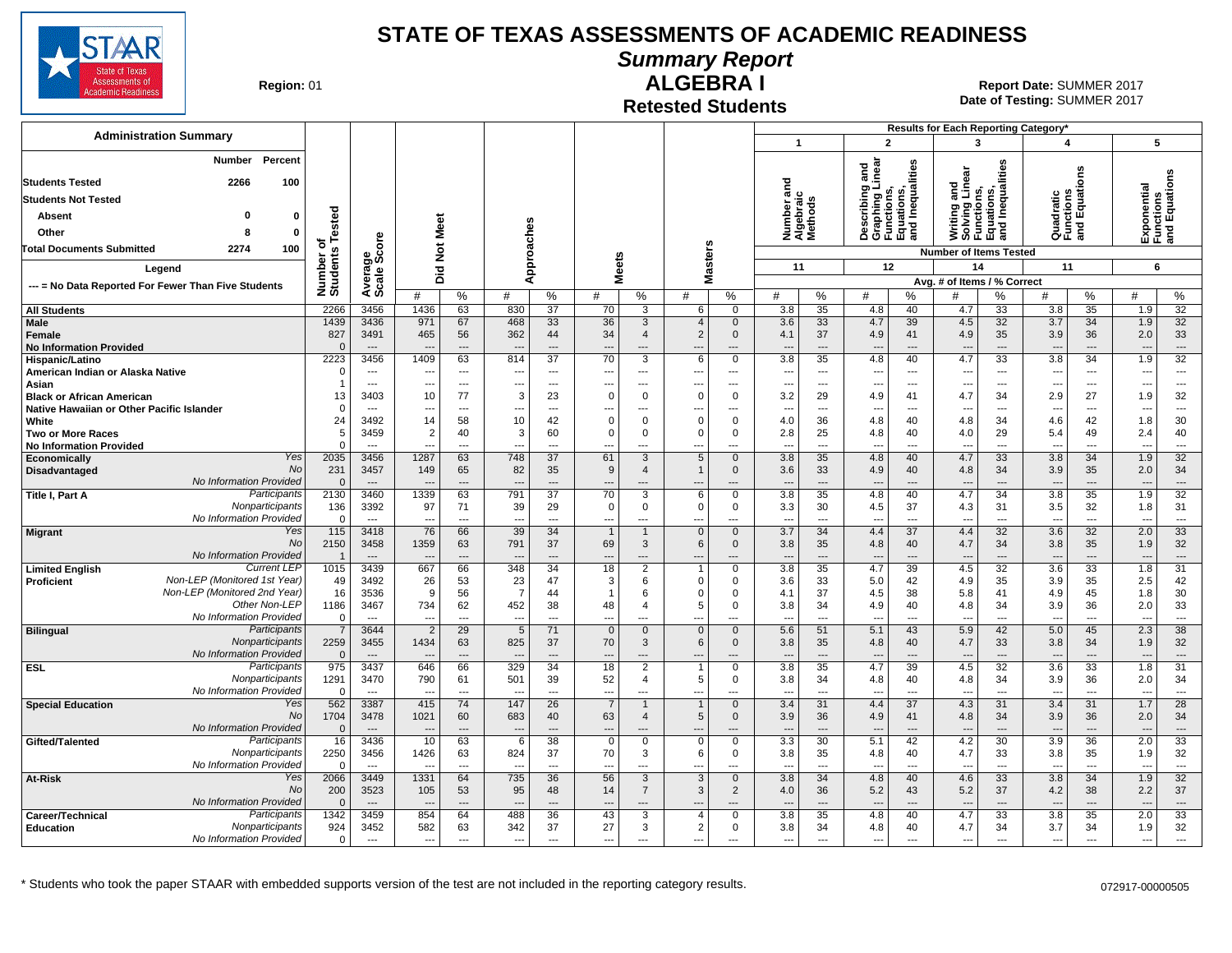

**Summary Report**

**Region: 01** 

## **ALGEBRA I**

**Date of Testing:**  SUMMER 2017 01 **Report Date:** SUMMER 2017

**Retested Students**

| <b>Administration Summary</b>                                        |                      |                          |                          |                          |                          |                      |                          |                               |                                  |                         |                                    |                          |                                                                                   |                                | Results for Each Reporting Category*                                          |                                |                                       |                      |                                 |                                           |
|----------------------------------------------------------------------|----------------------|--------------------------|--------------------------|--------------------------|--------------------------|----------------------|--------------------------|-------------------------------|----------------------------------|-------------------------|------------------------------------|--------------------------|-----------------------------------------------------------------------------------|--------------------------------|-------------------------------------------------------------------------------|--------------------------------|---------------------------------------|----------------------|---------------------------------|-------------------------------------------|
|                                                                      |                      |                          |                          |                          |                          |                      |                          |                               |                                  |                         | $\overline{1}$                     |                          | $\overline{2}$                                                                    |                                | $\mathbf{3}$                                                                  |                                | 4                                     |                      | 5                               |                                           |
| Percent<br>Number<br>2266<br><b>Students Tested</b><br>100           |                      |                          |                          |                          |                          |                      |                          |                               |                                  |                         | ਠ                                  |                          | Describing and<br>Graphing Linear<br>Functions,<br>Equations,<br>and Inequalities |                                | Writing and<br>Solving Linear<br>Functions,<br>Equations,<br>and Inequalities |                                |                                       | es<br>o              |                                 | Exponential<br>Functions<br>and Equations |
| <b>Students Not Tested</b>                                           |                      |                          |                          |                          |                          |                      |                          |                               |                                  |                         | Number and<br>Algebraic<br>Methods |                          |                                                                                   |                                |                                                                               |                                | Quadratic<br>Functions<br>and Equatic |                      |                                 |                                           |
|                                                                      |                      |                          |                          |                          |                          |                      |                          |                               |                                  |                         |                                    |                          |                                                                                   |                                |                                                                               |                                |                                       |                      |                                 |                                           |
| $\mathbf{0}$<br><b>Absent</b>                                        | ested                |                          |                          |                          |                          |                      |                          |                               |                                  |                         |                                    |                          |                                                                                   |                                |                                                                               |                                |                                       |                      |                                 |                                           |
| $\mathbf{0}$<br>Other                                                |                      |                          |                          |                          | oaches                   |                      |                          |                               |                                  |                         |                                    |                          |                                                                                   |                                |                                                                               |                                |                                       |                      |                                 |                                           |
| <b>Total Documents Submitted</b><br>2274<br>100                      | ৳                    |                          | Not Meet                 |                          |                          |                      |                          |                               |                                  |                         |                                    |                          |                                                                                   |                                | <b>Number of Items Tested</b>                                                 |                                |                                       |                      |                                 |                                           |
| Legend                                                               |                      |                          | Did                      |                          |                          | ă                    | <b>Meets</b>             |                               | <b>Masters</b>                   |                         | 11                                 |                          | 12                                                                                |                                | 14                                                                            |                                | 11                                    |                      | 6                               |                                           |
| --- = No Data Reported For Fewer Than Five Students                  | Number o<br>Students | Average<br>Scale Score   | #                        | %                        | ⋖<br>#                   | $\%$                 | #                        | %                             | #                                | %                       | #                                  | %                        | #                                                                                 | %                              | Avg. # of Items / % Correct<br>#                                              | %                              | #                                     | %                    | #                               | %                                         |
| <b>All Students</b>                                                  | 2266                 | 3456                     | 1436                     | 63                       | 830                      | 37                   | 70                       | 3                             | 6                                | $\mathbf 0$             | 3.8                                | 35                       | 4.8                                                                               | 40                             | 4.7                                                                           | 33                             | 3.8                                   | 35                   | 1.9                             | 32                                        |
| <b>Male</b>                                                          | 1439                 | 3436                     | 971                      | 67                       | 468                      | 33                   | 36                       | 3                             | $\overline{4}$                   | $\mathbf{0}$            | 3.6                                | 33                       | 4.7                                                                               | 39                             | 4.5                                                                           | 32                             | 3.7                                   | 34                   | 1.9                             | 32                                        |
| Female                                                               | 827                  | 3491                     | 465                      | 56                       | 362                      | 44                   | 34                       | $\overline{4}$                | $\overline{2}$                   | $\mathbf 0$             | 4.1                                | 37                       | 4.9                                                                               | 41                             | 4.9                                                                           | 35                             | 3.9                                   | 36                   | 2.0                             | 33                                        |
| <b>No Information Provided</b>                                       | $\Omega$<br>2223     | $\sim$<br>3456           | 1409                     | ---<br>63                | 814                      | $\overline{a}$<br>37 | 70                       | ---<br>3                      | 6                                | $\mathbf{0}$            | 3.8                                | $\sim$<br>35             | $\overline{a}$                                                                    | $\overline{\phantom{a}}$<br>40 | 4.7                                                                           | $\overline{\phantom{a}}$<br>33 | 3.8                                   | $\overline{a}$<br>34 | 1.9                             | $\overline{a}$<br>32                      |
| Hispanic/Latino<br>American Indian or Alaska Native                  |                      | $---$                    | ---                      | $\overline{a}$           | ---                      | $---$                | ---                      | ---                           | ---                              | ---                     | $\overline{\phantom{a}}$           | $\overline{\phantom{a}}$ | 4.8<br>$\overline{\phantom{a}}$                                                   | $\overline{\phantom{a}}$       | $\overline{\phantom{a}}$                                                      | $\overline{\phantom{a}}$       | $\overline{\phantom{a}}$              | $\overline{a}$       | $\overline{\phantom{a}}$        | $\overline{a}$                            |
| Asian                                                                |                      | $---$                    | $\overline{a}$           | $---$                    | $\overline{\phantom{a}}$ | $---$                | $- - -$                  | $---$                         | $\overline{a}$                   | $---$                   | $---$                              | $---$                    | $\overline{a}$                                                                    | $\sim$                         | $\sim$                                                                        | $\sim$                         | $\sim$                                | $---$                | $\sim$                          | $---$                                     |
| <b>Black or African American</b>                                     | 13                   | 3403                     | 10                       | 77                       | 3                        | 23                   | $\Omega$                 | $\mathbf 0$                   | $\Omega$                         | $\mathbf 0$             | 3.2                                | 29                       | 4.9                                                                               | 41                             | 4.7                                                                           | 34                             | 2.9                                   | 27                   | 1.9                             | 32                                        |
| Native Hawaiian or Other Pacific Islander                            |                      | $\overline{a}$           | ---                      | ---                      | --                       | ---                  |                          |                               | ---                              |                         | ---                                | ---                      | ---                                                                               |                                |                                                                               | ---                            |                                       | ---                  | $\overline{\phantom{a}}$        | $\hspace{0.05cm} \ldots$                  |
| White                                                                | 24                   | 3492                     | 14                       | 58                       | 10<br>3                  | 42                   | $\Omega$                 | $\mathbf 0$                   | $\Omega$                         | $\Omega$                | 4.0                                | 36                       | 4.8                                                                               | 40                             | 4.8                                                                           | 34                             | 4.6                                   | 42                   | 1.8                             | 30                                        |
| <b>Two or More Races</b><br><b>No Information Provided</b>           | 5<br>$\Omega$        | 3459                     | $\overline{2}$<br>---    | 40<br>---                | $\overline{a}$           | 60                   | $\mathbf 0$              | $\mathbf 0$                   | $\Omega$<br>---                  | 0                       | 2.8<br>---                         | 25<br>---                | 4.8<br>---                                                                        | 40<br>---                      | 4.0                                                                           | 29<br>$\overline{a}$           | 5.4<br>$\overline{\phantom{a}}$       | 49<br>$\overline{a}$ | 2.4<br>$\overline{\phantom{a}}$ | 40<br>---                                 |
| Yes<br>Economically                                                  | 2035                 | 3456                     | 1287                     | 63                       | 748                      | 37                   | 61                       | 3                             | 5                                | $\mathbf{0}$            | 3.8                                | 35                       | 4.8                                                                               | 40                             | 4.7                                                                           | 33                             | 3.8                                   | 34                   | 1.9                             | 32                                        |
| No<br>Disadvantaged                                                  | 231                  | 3457                     | 149                      | 65                       | 82                       | 35                   | 9                        | $\overline{4}$                | $\overline{1}$                   | $\mathbf 0$             | 3.6                                | 33                       | 4.9                                                                               | 40                             | 4.8                                                                           | 34                             | 3.9                                   | 35                   | 2.0                             | 34                                        |
| No Information Provided                                              |                      | $\overline{\phantom{a}}$ | $\overline{\phantom{a}}$ | $\overline{a}$           | $\overline{\phantom{a}}$ | $\overline{a}$       | ---                      | ---                           | ---                              | ---                     | $\overline{\phantom{a}}$           | $\overline{\phantom{a}}$ | $\overline{\phantom{a}}$                                                          | $\overline{\phantom{a}}$       |                                                                               | $\overline{\phantom{a}}$       | $\overline{\phantom{a}}$              | $\overline{a}$       | $\overline{\phantom{a}}$        | $\overline{\phantom{a}}$                  |
| Participants<br><b>Title I, Part A</b><br>Nonparticipants            | 2130<br>136          | 3460<br>3392             | 1339<br>97               | 63<br>71                 | 791<br>39                | 37<br>29             | 70<br>$\mathbf 0$        | 3<br>$\mathbf 0$              | 6<br>$\Omega$                    | $\mathbf 0$<br>0        | 3.8<br>3.3                         | 35<br>30                 | 4.8                                                                               | 40<br>37                       | 4.7                                                                           | 34<br>31                       | 3.8<br>3.5                            | 35<br>32             | 1.9<br>1.8                      | 32<br>31                                  |
| No Information Provided                                              | $\Omega$             | $---$                    | ---                      | $\overline{a}$           | --                       | $\overline{a}$       | ---                      | $\overline{\phantom{a}}$      | ---                              | ---                     | $\overline{a}$                     | $\overline{a}$           | 4.5<br>$\overline{a}$                                                             | $\overline{\phantom{a}}$       | 4.3                                                                           | $\sim$                         | $\overline{\phantom{a}}$              | $\overline{a}$       | $\sim$                          | $\hspace{0.05cm} \ldots$                  |
| Yes<br><b>Migrant</b>                                                | 115                  | 3418                     | 76                       | 66                       | 39                       | 34                   |                          |                               | $\Omega$                         | $\Omega$                | 3.7                                | 34                       | 4.4                                                                               | 37                             | 4.4                                                                           | 32                             | 3.6                                   | 32                   | 2.0                             | 33                                        |
| No                                                                   | 2150                 | 3458                     | 1359                     | 63                       | 791                      | 37                   | 69                       | 3                             | 6                                | $\mathbf{0}$            | 3.8                                | 35                       | 4.8                                                                               | 40                             | 4.7                                                                           | 34                             | 3.8                                   | 35                   | 1.9                             | 32                                        |
| No Information Provided<br><b>Current LEP</b>                        |                      |                          |                          | ---                      | $\overline{\phantom{a}}$ |                      | $\overline{\phantom{a}}$ | ---                           | ---                              |                         |                                    |                          | $\overline{\phantom{a}}$                                                          |                                |                                                                               | $\overline{a}$                 |                                       | $\overline{a}$       |                                 | $---$                                     |
| <b>Limited English</b><br>Non-LEP (Monitored 1st Year)<br>Proficient | 1015<br>49           | 3439<br>3492             | 667<br>26                | 66<br>53                 | 348<br>23                | 34<br>47             | 18<br>3                  | $\overline{2}$<br>6           | $\mathbf{1}$<br>$\Omega$         | $\mathbf 0$<br>$\Omega$ | 3.8<br>3.6                         | 35<br>33                 | 4.7<br>5.0                                                                        | 39<br>42                       | 4.5<br>4.9                                                                    | 32<br>35                       | 3.6<br>3.9                            | 33<br>35             | 1.8<br>2.5                      | 31<br>42                                  |
| Non-LEP (Monitored 2nd Year)                                         | 16                   | 3536                     | 9                        | 56                       | $\overline{7}$           | 44                   | $\overline{1}$           | 6                             | $\Omega$                         | 0                       | 4.1                                | 37                       | 4.5                                                                               | 38                             | 5.8                                                                           | 41                             | 4.9                                   | 45                   | 1.8                             | 30                                        |
| Other Non-LEP                                                        | 1186                 | 3467                     | 734                      | 62                       | 452                      | 38                   | 48                       | $\overline{4}$                | 5                                | 0                       | 3.8                                | 34                       | 4.9                                                                               | 40                             | 4.8                                                                           | 34                             | 3.9                                   | 36                   | 2.0                             | 33                                        |
| No Information Provided                                              | $\Omega$             | $\overline{a}$           |                          | ---                      | --                       | $\overline{a}$       |                          | ---                           |                                  |                         |                                    | $\overline{a}$           | ---                                                                               | ---                            |                                                                               | $\overline{a}$                 |                                       | $\overline{a}$       |                                 | $\hspace{0.05cm} \ldots$                  |
| Participants<br><b>Bilingual</b>                                     | $\overline{7}$       | 3644                     | $\overline{2}$           | 29                       | 5                        | 71                   | $\mathbf{0}$             | $\mathbf{0}$                  | $\Omega$                         | $\mathbf{0}$            | 5.6                                | 51                       | 5.1                                                                               | 43                             | 5.9                                                                           | 42                             | 5.0                                   | 45                   | 2.3                             | 38                                        |
| Nonparticipants<br>No Information Provided                           | 2259<br>$\Omega$     | 3455<br>$\overline{a}$   | 1434                     | 63<br>---                | 825                      | 37                   | 70                       | 3                             | 6                                | $\mathbf{0}$<br>---     | 3.8                                | 35<br>$\overline{a}$     | 4.8<br>$\overline{\phantom{a}}$                                                   | 40<br>$\overline{\phantom{a}}$ | 4.7                                                                           | 33<br>$\overline{\phantom{a}}$ | 3.8                                   | 34<br>$---$          | 1.9                             | 32<br>$\overline{\phantom{a}}$            |
| Participants<br><b>ESL</b>                                           | 975                  | 3437                     | 646                      | 66                       | 329                      | $\overline{34}$      | 18                       | $\overline{2}$                |                                  | $\mathbf 0$             | 3.8                                | 35                       | 4.7                                                                               | 39                             | 4.5                                                                           | 32                             | 3.6                                   | $\overline{33}$      | 1.8                             | 31                                        |
| Nonparticipants                                                      | 1291                 | 3470                     | 790                      | 61                       | 501                      | 39                   | 52                       | $\overline{4}$                | 5                                | 0                       | 3.8                                | 34                       | 4.8                                                                               | 40                             | 4.8                                                                           | 34                             | 3.9                                   | 36                   | 2.0                             | 34                                        |
| No Information Provided                                              | $\Omega$             | $---$                    | ---                      | $\overline{a}$           | $\overline{\phantom{a}}$ | $\overline{a}$       | $\overline{\phantom{a}}$ | $\overline{\phantom{a}}$      | ---                              | ---                     | $\overline{\phantom{a}}$           | $\overline{a}$           | $\overline{\phantom{a}}$                                                          | $\overline{\phantom{a}}$       | $\overline{\phantom{a}}$                                                      | $\overline{\phantom{a}}$       | $\overline{\phantom{a}}$              | $\overline{a}$       | $\overline{\phantom{a}}$        | $\overline{a}$                            |
| Yes<br><b>Special Education</b>                                      | 562                  | 3387                     | 415                      | 74                       | 147                      | 26                   | $\overline{7}$           |                               |                                  | $\Omega$                | 3.4                                | 31                       | 4.4                                                                               | 37                             | 4.3                                                                           | 31                             | 3.4                                   | 31                   | 1.7                             | 28                                        |
| <b>No</b><br>No Information Provided                                 | 1704<br>$\Omega$     | 3478                     | 1021                     | 60<br>---                | 683                      | 40                   | 63<br>---                | $\overline{4}$<br>---         | 5<br>---                         | $\mathbf 0$             | 3.9                                | 36<br>$\overline{a}$     | 4.9<br>$\overline{\phantom{a}}$                                                   | 41                             | 4.8                                                                           | 34<br>$\overline{a}$           | 3.9                                   | 36<br>$\overline{a}$ | 2.0                             | 34<br>$\cdots$                            |
| Participants<br>Gifted/Talented                                      | 16                   | 3436                     | 10                       | 63                       | 6                        | 38                   | $\mathbf 0$              | $\mathbf 0$                   | $\Omega$                         | $\mathbf 0$             | 3.3                                | 30                       | 5.1                                                                               | 42                             | 4.2                                                                           | 30                             | 3.9                                   | 36                   | 2.0                             | 33                                        |
| Nonparticipants                                                      | 2250                 | 3456                     | 1426                     | 63                       | 824                      | 37                   | 70                       | 3                             | 6                                | $\mathbf{0}$            | 3.8                                | 35                       | 4.8                                                                               | 40                             | 4.7                                                                           | 33                             | 3.8                                   | 35                   | 1.9                             | 32                                        |
| No Information Provided                                              | $\Omega$             |                          |                          | ---                      |                          |                      |                          |                               |                                  |                         |                                    | $\overline{a}$           |                                                                                   | $\overline{a}$                 |                                                                               | $\overline{a}$                 |                                       | $\overline{a}$       | $\sim$                          | $\overline{a}$                            |
| Yes<br><b>At-Risk</b>                                                | 2066                 | 3449                     | 1331                     | 64                       | 735                      | 36                   | 56                       | 3                             | 3                                | $\mathbf{0}$            | 3.8                                | 34                       | 4.8                                                                               | 40                             | 4.6                                                                           | $\overline{33}$                | 3.8                                   | $\overline{34}$      | 1.9                             | 32                                        |
| No<br>No Information Provided                                        | 200                  | 3523                     | 105                      | 53<br>$\overline{a}$     | 95                       | 48                   | 14                       | $\overline{7}$                | 3                                | $\overline{2}$          | 4.0                                | 36<br>$\sim$             | 5.2                                                                               | 43<br>$\overline{\phantom{a}}$ | 5.2                                                                           | 37                             | 4.2                                   | 38                   | 2.2                             | 37<br>$---$                               |
| Participants<br>Career/Technical                                     | 1342                 | $---$<br>3459            | $\overline{a}$<br>854    | 64                       | $\overline{a}$<br>488    | $---$<br>36          | $---$<br>43              | $\overline{\phantom{a}}$<br>3 | $\overline{a}$<br>$\overline{4}$ | $---$<br>$\Omega$       | $\overline{a}$<br>3.8              | 35                       | ---<br>4.8                                                                        | 40                             | $\overline{\phantom{a}}$<br>4.7                                               | $---$<br>33                    | $---$<br>3.8                          | $---$<br>35          | $\overline{\phantom{a}}$<br>2.0 | 33                                        |
| Nonparticipants<br>Education                                         | 924                  | 3452                     | 582                      | 63                       | 342                      | 37                   | 27                       | 3                             | $\overline{2}$                   | $\mathbf 0$             | 3.8                                | 34                       | 4.8                                                                               | 40                             | 4.7                                                                           | 34                             | 3.7                                   | 34                   | 1.9                             | 32                                        |
| No Information Provided                                              | $\Omega$             | $\sim$                   | $\hspace{0.05cm} \ldots$ | $\overline{\phantom{a}}$ | $---$                    | $\overline{a}$       | $\overline{\phantom{a}}$ | $\overline{\phantom{a}}$      | ---                              | $\sim$                  | $---$                              | $\overline{a}$           | ---                                                                               | $\overline{a}$                 | $\overline{a}$                                                                | $\overline{\phantom{a}}$       | $\overline{\phantom{a}}$              | $\overline{a}$       | $\overline{\phantom{a}}$        | ---                                       |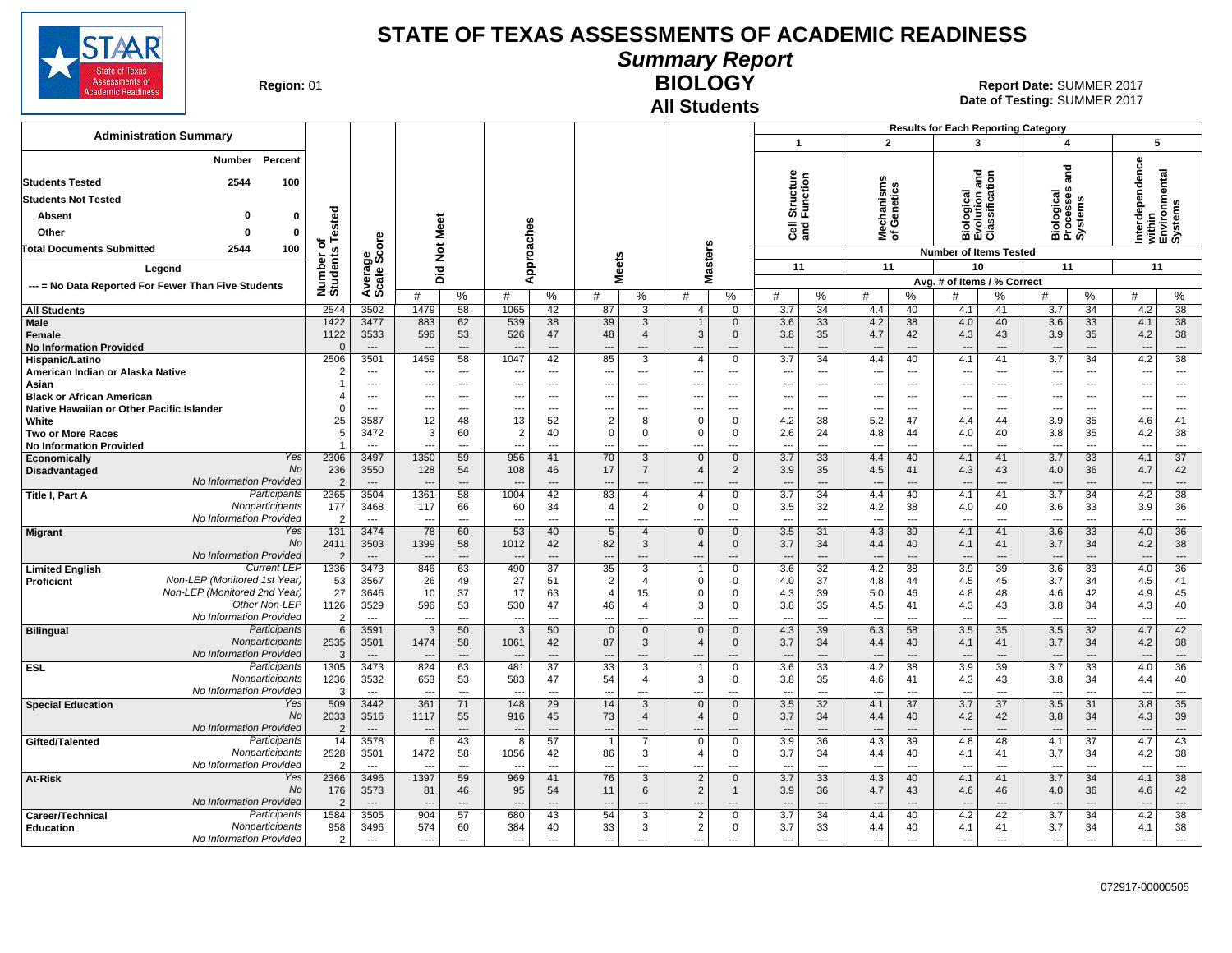

**Summary Report**

**Region: 01** 

# **All Students**

**BIOLOGY** 01 **Report Date:** SUMMER 2017 **Date of Testing:**  SUMMER 2017

|                                                                               |                          |                                |                                        |                                      |                                                      |                            |                      |                                  |                            |                               |                                                                         |                                                      |                                             | <b>Results for Each Reporting Category</b>           |                                   |                                              |                                   |                                 |                                      |
|-------------------------------------------------------------------------------|--------------------------|--------------------------------|----------------------------------------|--------------------------------------|------------------------------------------------------|----------------------------|----------------------|----------------------------------|----------------------------|-------------------------------|-------------------------------------------------------------------------|------------------------------------------------------|---------------------------------------------|------------------------------------------------------|-----------------------------------|----------------------------------------------|-----------------------------------|---------------------------------|--------------------------------------|
| <b>Administration Summary</b>                                                 |                          |                                |                                        |                                      |                                                      |                            |                      |                                  |                            |                               | $\mathbf{1}$                                                            |                                                      | $\overline{2}$                              | 3                                                    |                                   | $\overline{\mathbf{4}}$                      |                                   | 5                               |                                      |
| Percent<br><b>Number</b><br>2544<br>100<br><b>Students Tested</b>             |                          |                                |                                        |                                      |                                                      |                            |                      |                                  |                            |                               | Structure<br>Function                                                   |                                                      |                                             | Biological<br>Evolution and<br>Classification        |                                   | and                                          |                                   | erdependence                    | rithin<br>:nvironmental<br>ystems    |
|                                                                               |                          |                                |                                        |                                      |                                                      |                            |                      |                                  |                            |                               |                                                                         |                                                      |                                             |                                                      |                                   |                                              |                                   |                                 |                                      |
| <b>Students Not Tested</b>                                                    |                          |                                |                                        |                                      |                                                      |                            |                      |                                  |                            |                               |                                                                         |                                                      | Mechanisms<br>of Genetics                   |                                                      |                                   | <b>Miological</b><br>Processes<br>Systems    |                                   |                                 |                                      |
| <b>Absent</b><br>$\mathbf 0$                                                  | Tested                   |                                |                                        |                                      |                                                      |                            |                      |                                  |                            |                               |                                                                         |                                                      |                                             |                                                      |                                   |                                              |                                   |                                 |                                      |
| Other<br>$\Omega$<br>$\mathbf 0$                                              |                          |                                |                                        |                                      |                                                      |                            |                      |                                  |                            |                               | ិច<br>តូ                                                                |                                                      |                                             |                                                      |                                   | mάσ                                          |                                   | 莫莫민잋                            |                                      |
| 100<br>2544<br><b>Total Documents Submitted</b>                               | ৳                        | ge<br>Score                    | <b>Not Meet</b>                        |                                      |                                                      |                            |                      |                                  |                            |                               |                                                                         |                                                      |                                             | <b>Number of Items Tested</b>                        |                                   |                                              |                                   |                                 |                                      |
| Legend                                                                        | Number of<br>Students    |                                |                                        |                                      |                                                      | Approaches                 |                      | <b>Meets</b>                     | lasters                    |                               | 11                                                                      |                                                      | 11                                          | 10                                                   |                                   | 11                                           |                                   | 11                              |                                      |
| --- = No Data Reported For Fewer Than Five Students                           |                          | Averag<br>Scale                | Did                                    |                                      |                                                      |                            |                      |                                  | Σ                          |                               |                                                                         |                                                      |                                             | Avg. # of Items / % Correct                          |                                   |                                              |                                   |                                 |                                      |
|                                                                               |                          |                                | #                                      | %                                    | #                                                    | %                          | #                    | %                                | #                          | %                             | %<br>#                                                                  | #                                                    | %                                           | #                                                    | %                                 | #                                            | $\%$                              | #                               | $\%$                                 |
| <b>All Students</b>                                                           | 2544                     | 3502                           | 1479                                   | 58                                   | 1065                                                 | 42                         | 87                   | 3                                | 4                          | $\mathbf{0}$                  | 34<br>3.7                                                               | 4.4                                                  | 40                                          | 4.1                                                  | 41                                | 3.7                                          | 34                                | 4.2                             | 38                                   |
| Male<br>Female<br><b>No Information Provided</b>                              | 1422<br>1122<br>$\Omega$ | 3477<br>3533<br>$\overline{a}$ | 883<br>596<br>$\overline{\phantom{a}}$ | 62<br>53<br>$\overline{\phantom{a}}$ | 539<br>526<br>$\overline{\phantom{a}}$               | 38<br>47<br>$\overline{a}$ | 39<br>48             | 3<br>$\overline{4}$<br>---       | $\overline{1}$<br>3<br>--- | $\mathbf{0}$<br>0             | 3.6<br>33<br>35<br>3.8<br>$\overline{\phantom{a}}$<br>$\overline{a}$    | 4.2<br>4.7<br>$\overline{\phantom{a}}$               | 38<br>42<br>---                             | 4.0<br>4.3<br>$\overline{\phantom{a}}$               | 40<br>43<br>---                   | 3.6<br>3.9<br>$\overline{\phantom{a}}$       | 33<br>35<br>$---$                 | 4.1<br>4.2<br>---               | 38<br>38<br>$\hspace{0.05cm} \ldots$ |
| Hispanic/Latino                                                               | 2506                     | 3501                           | 1459                                   | 58                                   | 1047                                                 | 42                         | 85                   | 3                                | $\overline{4}$             | $\mathbf 0$                   | 3.7<br>34                                                               | 4.4                                                  | 40                                          | 4.1                                                  | 41                                | 3.7                                          | 34                                | 4.2                             | 38                                   |
| American Indian or Alaska Native                                              | 2                        | ---                            | ---                                    | ---                                  | $\overline{\phantom{a}}$                             | ---                        | ---                  | ---                              | ---                        | ---                           | $\overline{a}$<br>$\overline{a}$                                        | $\overline{\phantom{a}}$                             | ---                                         | $\overline{\phantom{a}}$                             | ---                               | ---                                          | $\overline{\phantom{a}}$          | ---                             | ---                                  |
| Asian                                                                         |                          | ---                            | ---                                    | ---                                  | $\overline{\phantom{a}}$                             | ---                        | ---                  | ---                              | ---                        | ---                           | ---<br>$\overline{a}$                                                   | $\qquad \qquad \cdots$                               | ---                                         | $\overline{\phantom{a}}$                             | ---                               | ---                                          | $\overline{\phantom{a}}$          | ---                             | ---                                  |
| <b>Black or African American</b><br>Native Hawaiian or Other Pacific Islander | $\Omega$                 | ---<br>$---$                   | ---<br>---                             | ---<br>$\sim$                        | $\overline{\phantom{a}}$<br>$\overline{\phantom{a}}$ | ---<br>$---$               | ---                  | ---<br>---                       | ---<br>---                 | ---                           | $\overline{a}$<br>$---$                                                 | $\overline{\phantom{a}}$<br>$\overline{\phantom{a}}$ | ---<br>$- - -$                              | $\overline{\phantom{a}}$<br>$\overline{\phantom{a}}$ | ---<br>$---$                      |                                              | $\overline{\phantom{a}}$<br>$---$ | ---                             | ---<br>$---$                         |
| White                                                                         | 25                       | 3587                           | 12                                     | 48                                   | 13                                                   | 52                         | $\overline{2}$       | 8                                | $\mathbf 0$                | $\Omega$                      | 4.2<br>38                                                               | 5.2                                                  | 47                                          | 4.4                                                  | 44                                | 3.9                                          | 35                                | 4.6                             | 41                                   |
| <b>Two or More Races</b>                                                      | 5                        | 3472                           | 3                                      | 60                                   | 2                                                    | 40                         | $\mathbf 0$          | $\mathbf 0$                      | $\Omega$                   | 0                             | 2.6<br>24                                                               | 4.8                                                  | 44                                          | 4.0                                                  | 40                                | 3.8                                          | 35                                | 4.2                             | 38                                   |
| <b>No Information Provided</b>                                                |                          | $---$                          | ---                                    | $\sim$                               | $--$                                                 | $---$                      | ---                  | ---                              | ---                        | ---                           | $\overline{\phantom{a}}$<br>$---$                                       | $\sim$                                               | $\overline{a}$                              | $\overline{\phantom{a}}$                             | ---                               | ---                                          | $---$                             | ---                             | $\overline{\phantom{a}}$             |
| Yes<br>Economically<br>No                                                     | 2306                     | 3497                           | 1350                                   | 59                                   | 956                                                  | 41                         | 70                   | 3                                | $\Omega$                   | $\mathbf 0$                   | 3.7<br>33                                                               | 4.4                                                  | 40                                          | 4.1                                                  | 41                                | 3.7                                          | 33                                | 4.1                             | $\overline{37}$                      |
| Disadvantaged<br>No Information Provided                                      | 236<br>$\mathcal{P}$     | 3550<br>$\overline{a}$         | 128                                    | 54<br>$---$                          | 108                                                  | 46<br>$\overline{a}$       | 17<br>---            | $\overline{7}$<br>---            | $\overline{4}$<br>---      | $\overline{2}$<br>---         | 3.9<br>35<br>$\overline{a}$<br>$\overline{\phantom{a}}$                 | 4.5<br>$---$                                         | 41<br>---                                   | 4.3                                                  | 43<br>---                         | 4.0                                          | 36<br>$---$                       | 4.7                             | 42<br>$\overline{\phantom{a}}$       |
| Participants<br>Title I, Part A                                               | 2365                     | 3504                           | 1361                                   | 58                                   | 1004                                                 | 42                         | 83                   | $\overline{4}$                   | $\overline{4}$             | $\mathbf 0$                   | $\overline{3.7}$<br>$\overline{34}$                                     | 4.4                                                  | 40                                          | 4.1                                                  | 41                                | 3.7                                          | 34                                | 4.2                             | $\overline{38}$                      |
| Nonparticipants                                                               | 177                      | 3468                           | 117                                    | 66                                   | 60                                                   | 34                         | 4                    | 2                                | $\Omega$                   | 0                             | 3.5<br>32                                                               | 4.2                                                  | 38                                          | 4.0                                                  | 40                                | 3.6                                          | 33                                | 3.9                             | 36                                   |
| No Information Provided                                                       | 2                        | $---$                          | $\overline{\phantom{a}}$               | $\sim$                               | $\sim$                                               | $---$                      | ---                  | ---                              | $\overline{\phantom{a}}$   | $---$                         | $\sim$<br>$---$                                                         | $\overline{\phantom{a}}$                             | $\overline{\phantom{a}}$                    | $\overline{a}$                                       | $---$                             | $\sim$                                       | $---$                             | ---                             | $\overline{\phantom{a}}$             |
| Yes<br><b>Migrant</b><br><b>No</b>                                            | 131                      | 3474                           | 78                                     | 60                                   | 53                                                   | 40                         | 5                    | $\overline{4}$                   | $\Omega$<br>$\overline{4}$ | $\mathbf 0$                   | 3.5<br>31                                                               | 4.3                                                  | 39                                          | 4.1                                                  | 41                                | 3.6                                          | 33                                | 4.0                             | 36                                   |
| No Information Provided                                                       | 2411<br>$\overline{2}$   | 3503<br>$\overline{a}$         | 1399<br>---                            | 58<br>$---$                          | 1012                                                 | 42<br>$---$                | 82<br>$\overline{a}$ | 3<br>$---$                       | ---                        | $\mathbf 0$<br>$\overline{a}$ | 3.7<br>34<br>$\overline{\phantom{a}}$<br>$---$                          | 4.4<br>$\overline{\phantom{a}}$                      | 40<br>---                                   | 4.1<br>$\overline{\phantom{a}}$                      | 41<br>$---$                       | 3.7<br>$\overline{\phantom{a}}$              | 34<br>$---$                       | 4.2<br>$\overline{\phantom{a}}$ | 38<br>$---$                          |
| <b>Current LEP</b><br><b>Limited English</b>                                  | 1336                     | 3473                           | 846                                    | 63                                   | 490                                                  | $\overline{37}$            | $\overline{35}$      | $\overline{3}$                   | 1                          | $\mathbf 0$                   | 3.6<br>$\overline{32}$                                                  | 4.2                                                  | 38                                          | 3.9                                                  | 39                                | 3.6                                          | 33                                | 4.0                             | $\overline{36}$                      |
| Non-LEP (Monitored 1st Year)<br>Proficient                                    | 53                       | 3567                           | 26                                     | 49                                   | 27                                                   | 51                         | $\overline{2}$       | $\overline{4}$                   | $\Omega$                   | 0                             | 4.0<br>37                                                               | 4.8                                                  | 44                                          | 4.5                                                  | 45                                | 3.7                                          | 34                                | 4.5                             | 41                                   |
| Non-LEP (Monitored 2nd Year)                                                  | 27                       | 3646                           | 10                                     | 37                                   | 17                                                   | 63                         | $\overline{4}$       | 15                               | $\Omega$                   | $\Omega$                      | 4.3<br>39                                                               | 5.0                                                  | 46                                          | 4.8                                                  | 48                                | 4.6                                          | 42                                | 4.9                             | 45                                   |
| Other Non-LEP<br>No Information Provided                                      | 1126                     | 3529                           | 596                                    | 53                                   | 530                                                  | 47                         | 46                   | $\overline{4}$                   | 3                          | $\mathbf 0$                   | 3.8<br>35                                                               | 4.5                                                  | 41                                          | 4.3                                                  | 43                                | 3.8                                          | 34                                | 4.3                             | 40                                   |
| <b>Bilingual</b><br>Participants                                              | $\overline{2}$<br>6      | $\overline{a}$<br>3591         | ---<br>3                               | ---<br>50                            | $\overline{\phantom{a}}$<br>3                        | $---$<br>50                | ---<br>$\mathbf 0$   | ---<br>$\mathbf 0$               | ---<br>$\Omega$            | ---<br>$\mathbf{0}$           | $---$<br>$\overline{\phantom{a}}$<br>4.3<br>39                          | $\overline{\phantom{a}}$<br>6.3                      | ---<br>58                                   | $\overline{\phantom{a}}$<br>3.5                      | $---$<br>35                       | $\overline{\phantom{a}}$<br>3.5              | $---$<br>32                       | $\overline{\phantom{a}}$<br>4.7 | ---<br>42                            |
| Nonparticipants                                                               | 2535                     | 3501                           | 1474                                   | 58                                   | 1061                                                 | 42                         | 87                   | 3                                | $\overline{4}$             | $\mathbf 0$                   | 3.7<br>34                                                               | 4.4                                                  | 40                                          | 4.1                                                  | 41                                | 3.7                                          | 34                                | 4.2                             | 38                                   |
| No Information Provided                                                       | 3                        | $\overline{a}$                 |                                        | $---$                                |                                                      | ---                        | --                   | ---                              | ---                        |                               | $\overline{\phantom{a}}$<br>$---$                                       | $\overline{\phantom{a}}$                             | $\sim$                                      |                                                      |                                   |                                              | $-$                               | $\overline{\phantom{a}}$        | $\overline{\phantom{a}}$             |
| Participants<br><b>ESL</b>                                                    | 1305                     | 3473                           | 824                                    | 63                                   | 481                                                  | $\overline{37}$            | 33                   | 3                                | $\mathbf{1}$               | $\mathbf 0$                   | $\overline{33}$<br>3.6                                                  | 4.2                                                  | 38                                          | 3.9                                                  | 39                                | 3.7                                          | 33                                | 4.0                             | 36                                   |
| Nonparticipants                                                               | 1236                     | 3532                           | 653                                    | 53                                   | 583                                                  | 47                         | 54                   | $\overline{4}$                   | 3                          | $\mathbf 0$                   | 3.8<br>35                                                               | 4.6                                                  | 41                                          | 4.3                                                  | 43                                | 3.8                                          | 34                                | 4.4                             | 40                                   |
| No Information Provided<br>Yes<br><b>Special Education</b>                    | 3<br>509                 | $\overline{a}$<br>3442         | ---<br>361                             | $\overline{\phantom{a}}$<br>71       | $\overline{\phantom{a}}$<br>148                      | $\overline{a}$<br>29       | ---<br>14            | $\overline{a}$<br>$\overline{3}$ | ---<br>$\Omega$            | ---<br>$\mathbf{0}$           | $\overline{a}$<br>$\overline{a}$<br>3.5<br>32                           | $\overline{a}$<br>4.1                                | $\overline{\phantom{a}}$<br>$\overline{37}$ | $\overline{a}$<br>3.7                                | $\overline{a}$<br>$\overline{37}$ | $\overline{a}$<br>3.5                        | $\overline{a}$<br>31              | ---<br>3.8                      | $\overline{\phantom{a}}$<br>35       |
| No                                                                            | 2033                     | 3516                           | 1117                                   | 55                                   | 916                                                  | 45                         | 73                   | $\overline{4}$                   | $\overline{4}$             | $\mathbf 0$                   | 34<br>3.7                                                               | 4.4                                                  | 40                                          | 4.2                                                  | 42                                | 3.8                                          | 34                                | 4.3                             | 39                                   |
| No Information Provided                                                       | $\overline{2}$           | $---$                          | ---                                    | $\overline{a}$                       |                                                      | $---$                      | $\overline{a}$       | ---                              | ---                        |                               | $\overline{\phantom{a}}$<br>$\overline{a}$                              | $\overline{\phantom{a}}$                             | $\overline{\phantom{a}}$                    | $\overline{\phantom{a}}$                             |                                   | ---                                          | $\overline{\phantom{a}}$          | ---                             | $\qquad \qquad \cdots$               |
| Participants<br>Gifted/Talented                                               | 14                       | 3578                           | 6                                      | 43                                   | 8                                                    | 57                         | $\mathbf{1}$         | $\overline{7}$                   | $\Omega$                   | $\mathbf 0$                   | 3.9<br>36                                                               | 4.3                                                  | 39                                          | 4.8                                                  | 48                                | 4.1                                          | 37                                | 4.7                             | 43                                   |
| Nonparticipants                                                               | 2528                     | 3501                           | 1472                                   | 58                                   | 1056                                                 | 42                         | 86                   | 3                                | $\overline{4}$             | 0                             | 3.7<br>34                                                               | 4.4                                                  | 40                                          | 4.1                                                  | 41                                | 3.7                                          | 34                                | 4.2                             | 38                                   |
| No Information Provided<br>Yes                                                | 2<br>2366                | $\overline{a}$<br>3496         | 1397                                   | $\overline{\phantom{a}}$<br>59       | 969                                                  | ---                        | 76                   | ---<br>$\overline{3}$            | ---<br>$\overline{2}$      | <br>$\mathbf{0}$              | $\overline{a}$<br>$\overline{a}$<br>$\overline{3.7}$<br>$\overline{33}$ | $\overline{a}$<br>4.3                                | ---                                         | 4.1                                                  | $\overline{a}$<br>41              | $\overline{\phantom{a}}$<br>$\overline{3.7}$ | $\overline{a}$<br>$\overline{34}$ | ---<br>4.1                      | $\overline{\phantom{a}}$<br>38       |
| At-Risk<br>No                                                                 | 176                      | 3573                           | 81                                     | 46                                   | 95                                                   | 41<br>54                   | 11                   | 6                                | $\overline{2}$             | $\mathbf{1}$                  | 36<br>3.9                                                               | 4.7                                                  | 40<br>43                                    | 4.6                                                  | 46                                | 4.0                                          | 36                                | 4.6                             | 42                                   |
| No Information Provided                                                       | $\overline{2}$           | $---$                          | ---                                    | $\overline{\phantom{a}}$             | $\overline{\phantom{a}}$                             | $\overline{a}$             | ---                  | ---                              | ---                        | ---                           | $\overline{a}$<br>$\overline{\phantom{a}}$                              | $\overline{\phantom{a}}$                             | ---                                         | $\overline{\phantom{a}}$                             | ---                               |                                              | $\overline{a}$                    | $\overline{\phantom{a}}$        | $\cdots$                             |
| Participants<br>Career/Technical                                              | 1584                     | 3505                           | 904                                    | 57                                   | 680                                                  | 43                         | 54                   | 3                                | $\overline{2}$             | 0                             | 3.7<br>34                                                               | 4.4                                                  | 40                                          | 4.2                                                  | 42                                | 3.7                                          | 34                                | 4.2                             | 38                                   |
| <b>Education</b><br>Nonparticipants                                           | 958                      | 3496                           | 574                                    | 60                                   | 384                                                  | 40                         | 33                   | 3                                | $\overline{2}$             | 0                             | 3.7<br>33                                                               | 4.4                                                  | 40                                          | 4.1                                                  | 41                                | 3.7                                          | 34                                | 4.1                             | 38                                   |
| No Information Provided                                                       | $\overline{2}$           | ---                            | $\overline{\phantom{a}}$               | $\overline{\phantom{a}}$             | $\overline{\phantom{a}}$                             | $\overline{a}$             | $\overline{a}$       | ---                              | ---                        | ---                           | $\overline{a}$<br>$\overline{a}$                                        | $\overline{\phantom{a}}$                             | ---                                         | $\overline{a}$                                       | $\overline{a}$                    | $\overline{\phantom{a}}$                     | $\overline{a}$                    | $\overline{\phantom{a}}$        | $\overline{\phantom{a}}$             |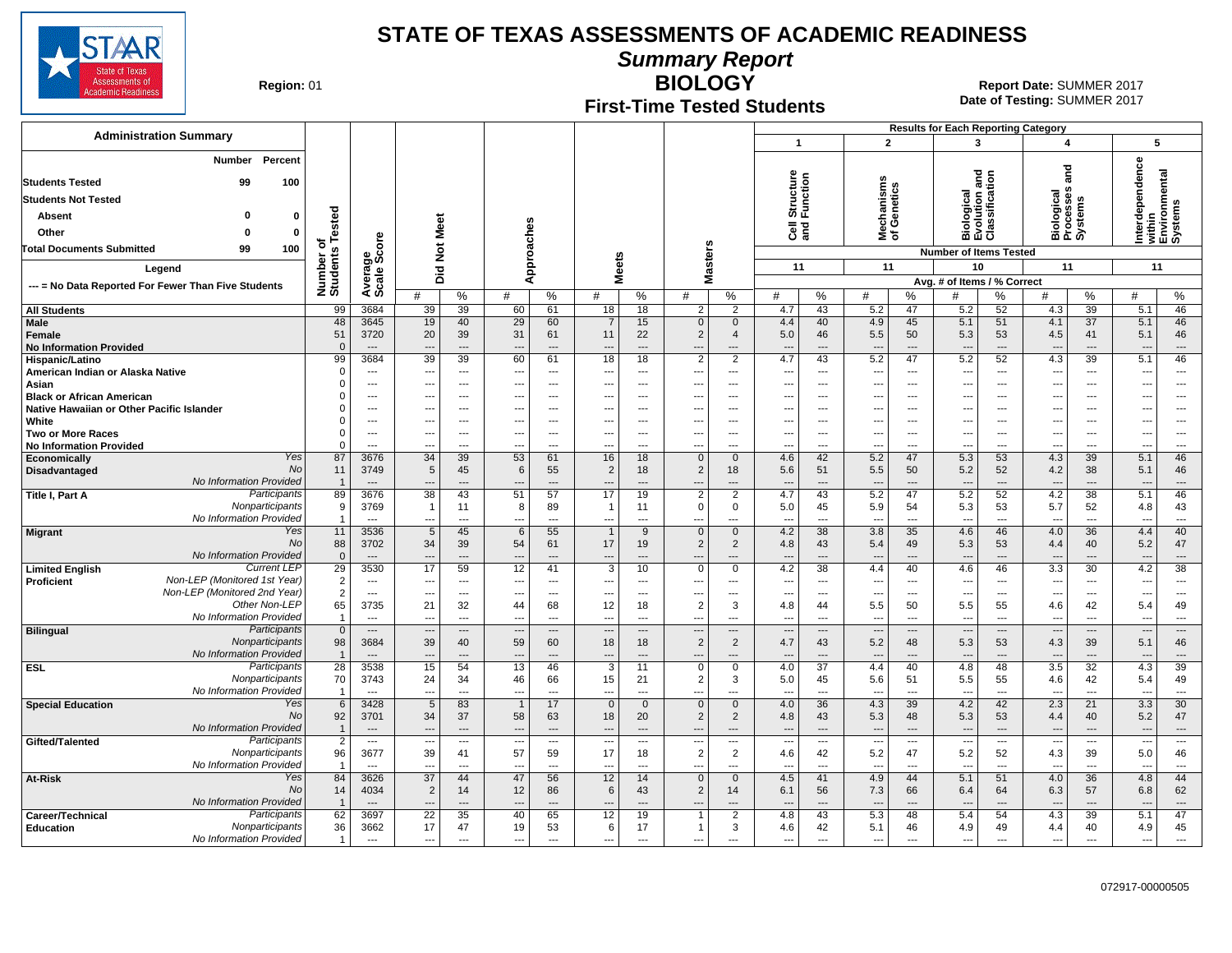

**Summary Report**

**Region: 01** 

#### **First-Time Tested Students**

**BIOLOGY** 01 **Report Date:** SUMMER 2017 **Date of Testing:**  SUMMER 2017

|                                                                      |                                   |                                                      |                                |                                 |                |                                 |                                |                                |                                         |                          |                                 |                                            |                                                      |                                |                                                      |                                | <b>Results for Each Reporting Category</b> |                          |                          |                                                      |
|----------------------------------------------------------------------|-----------------------------------|------------------------------------------------------|--------------------------------|---------------------------------|----------------|---------------------------------|--------------------------------|--------------------------------|-----------------------------------------|--------------------------|---------------------------------|--------------------------------------------|------------------------------------------------------|--------------------------------|------------------------------------------------------|--------------------------------|--------------------------------------------|--------------------------|--------------------------|------------------------------------------------------|
| <b>Administration Summary</b>                                        |                                   |                                                      |                                |                                 |                |                                 |                                |                                |                                         |                          | $\mathbf{1}$                    |                                            | $\overline{2}$                                       |                                |                                                      | 3                              | 4                                          |                          | 5                        |                                                      |
|                                                                      |                                   |                                                      |                                |                                 |                |                                 |                                |                                |                                         |                          |                                 |                                            |                                                      |                                |                                                      |                                |                                            |                          |                          |                                                      |
| Percent<br><b>Number</b>                                             |                                   |                                                      |                                |                                 |                |                                 |                                |                                |                                         |                          |                                 |                                            |                                                      |                                |                                                      |                                |                                            |                          |                          |                                                      |
| <b>Students Tested</b><br>99<br>100                                  |                                   |                                                      |                                |                                 |                |                                 |                                |                                |                                         |                          | Structure<br>Function           |                                            |                                                      |                                | Biological<br>Evolution and<br>Classification        |                                | and                                        |                          | erdependence             | within<br>Environmental<br>Systems                   |
| <b>Students Not Tested</b>                                           |                                   |                                                      |                                |                                 |                |                                 |                                |                                |                                         |                          |                                 |                                            | lechanisms<br>f Genetics                             |                                |                                                      |                                | Biological<br>Processes<br>Systems         |                          |                          |                                                      |
| Absent<br>$\mathbf 0$<br>ŋ                                           |                                   |                                                      |                                |                                 |                |                                 |                                |                                |                                         |                          |                                 |                                            |                                                      |                                |                                                      |                                |                                            |                          |                          |                                                      |
|                                                                      |                                   |                                                      | Meet                           |                                 |                |                                 |                                |                                |                                         |                          | ලි දි                           |                                            |                                                      |                                |                                                      |                                |                                            |                          |                          |                                                      |
| Other<br>$\Omega$<br>$\Omega$                                        | Tested<br>৳                       |                                                      |                                |                                 |                |                                 |                                |                                |                                         |                          |                                 |                                            | ౾ౕ                                                   |                                |                                                      |                                |                                            |                          |                          |                                                      |
| <b>Total Documents Submitted</b><br>99<br>100                        |                                   |                                                      | $\breve{\mathbf{z}}$           |                                 |                |                                 |                                |                                |                                         |                          |                                 |                                            |                                                      |                                | <b>Number of Items Tested</b>                        |                                |                                            |                          |                          |                                                      |
| Legend                                                               | Number of<br>Students             | Average<br>Scale Score                               | Did                            |                                 |                | Approaches                      |                                | <b>Meets</b>                   | <b>Masters</b>                          |                          | 11                              |                                            | 11                                                   |                                | 10                                                   |                                | 11                                         |                          | 11                       |                                                      |
| --- = No Data Reported For Fewer Than Five Students                  |                                   |                                                      |                                |                                 |                |                                 |                                |                                |                                         |                          |                                 |                                            |                                                      |                                | Avg. # of Items / % Correct                          |                                |                                            |                          |                          |                                                      |
|                                                                      |                                   |                                                      | #                              | %                               | #              | %                               | #                              | %                              | #                                       | %                        | #                               | %                                          | #                                                    | ℅                              | #                                                    | $\%$                           | #                                          | %                        | #                        | %                                                    |
| <b>All Students</b>                                                  | 99                                | 3684                                                 | 39                             | 39                              | 60             | 61                              | 18                             | 18                             | 2                                       | $\overline{2}$           | 4.7                             | 43                                         | 5.2                                                  | 47                             | 5.2                                                  | 52                             | 4.3                                        | 39                       | 5.1                      | 46                                                   |
| Male                                                                 | 48                                | 3645                                                 | 19                             | 40                              | 29             | 60                              | $\overline{7}$                 | 15                             | $\mathbf 0$                             | $\mathbf{0}$             | 4.4                             | 40                                         | 4.9                                                  | 45                             | 5.1                                                  | 51                             | 4.1                                        | 37                       | 5.1                      | 46                                                   |
| Female<br><b>No Information Provided</b>                             | 51<br>$\mathbf{0}$                | 3720<br>$---$                                        | 20<br>$\overline{\phantom{a}}$ | 39<br>$---$                     | 31<br>$---$    | 61<br>$---$                     | 11<br>---                      | 22<br>$---$                    | 2<br>$\overline{\phantom{a}}$           | $\overline{4}$<br>$---$  | 5.0<br>$---$                    | 46<br>$---$                                | 5.5<br>$\overline{\phantom{a}}$                      | 50<br>$---$                    | 5.3<br>$---$                                         | 53<br>$\overline{\phantom{a}}$ | 4.5<br>$\overline{\phantom{a}}$            | 41<br>$---$              | 5.1<br>---               | 46<br>$---$                                          |
| Hispanic/Latino                                                      | 99                                | 3684                                                 | $\overline{39}$                | 39                              | 60             | 61                              | 18                             | 18                             | $\overline{2}$                          | $\overline{2}$           | 4.7                             | 43                                         | 5.2                                                  | 47                             | 5.2                                                  | 52                             | 4.3                                        | 39                       | 5.1                      | 46                                                   |
| American Indian or Alaska Native                                     | $\mathbf 0$                       | $\overline{\phantom{a}}$                             | ---                            | ---                             | $---$          | $\overline{a}$                  | ---                            | $---$                          | $\overline{a}$                          | ---                      | $\overline{\phantom{a}}$        | $\overline{a}$                             | $\overline{\phantom{a}}$                             | $---$                          | $\overline{\phantom{a}}$                             | ---                            | ---                                        | $\overline{\phantom{a}}$ | ---                      | $\overline{\phantom{a}}$                             |
| Asian                                                                | $\Omega$                          | $\overline{\phantom{a}}$                             | ---                            | $\sim$                          | ---            | $\overline{a}$                  | ---                            | $---$                          |                                         | ---                      | ---                             | $\overline{a}$                             | $\overline{\phantom{a}}$                             | $---$                          | $\overline{\phantom{a}}$                             | $\overline{\phantom{a}}$       | ---                                        | $---$                    | $---$                    | $\overline{\phantom{a}}$                             |
| <b>Black or African American</b>                                     | $\Omega$                          | $\overline{\phantom{a}}$                             | ---                            | $---$                           | ---            | $\overline{a}$                  | ---                            | $-$                            | $\overline{a}$                          | $\overline{a}$           | ---                             | $\overline{a}$                             | $\overline{\phantom{a}}$                             | $\overline{a}$                 | $\overline{\phantom{a}}$                             | ---                            | ---                                        | ---                      | $---$                    | ---                                                  |
| Native Hawaiian or Other Pacific Islander                            | $\mathbf 0$                       | ---                                                  | ---                            | ---                             |                | ---                             | ---                            |                                |                                         | ---                      | ---                             | $\overline{\phantom{a}}$                   | $\overline{\phantom{a}}$                             | ---                            | ---                                                  | ---                            | ---                                        | ---                      |                          | ---                                                  |
| White<br><b>Two or More Races</b>                                    | $\mathbf 0$<br>$\Omega$           | $\overline{\phantom{a}}$<br>$\overline{\phantom{a}}$ | ---<br>…                       | ---<br>$\overline{\phantom{a}}$ | ---            | ---<br>$\overline{\phantom{a}}$ | ---<br>---                     | $\overline{\phantom{a}}$       | $\overline{\phantom{a}}$                | ---<br>---               | ---<br>---                      | $\overline{a}$<br>$\overline{\phantom{a}}$ | $\overline{\phantom{a}}$<br>$\overline{\phantom{a}}$ | ---<br>---                     | $\overline{\phantom{a}}$<br>$\overline{\phantom{a}}$ | ---<br>---                     | --<br>---                                  | ---<br>---               | ---                      | $\overline{\phantom{a}}$<br>$\overline{\phantom{a}}$ |
| <b>No Information Provided</b>                                       | $\Omega$                          | $\overline{a}$                                       | Ξ.                             | ---                             |                | $\overline{a}$                  | ---                            | $\sim$                         | $\sim$                                  | ---                      | $\overline{a}$                  | $\overline{a}$                             | $\sim$                                               | $\overline{a}$                 | $\overline{a}$                                       | ---                            | $\overline{\phantom{a}}$                   | $\overline{a}$           |                          | $\overline{a}$                                       |
| Yes<br>Economically                                                  | 87                                | 3676                                                 | $\overline{34}$                | 39                              | 53             | 61                              | 16                             | 18                             | $\overline{0}$                          | $\Omega$                 | 4.6                             | 42                                         | 5.2                                                  | 47                             | 5.3                                                  | 53                             | 4.3                                        | 39                       | 5.1                      | 46                                                   |
| No<br>Disadvantaged                                                  | 11                                | 3749                                                 | 5                              | 45                              | 6              | 55                              | $\overline{2}$                 | 18                             | 2                                       | 18                       | 5.6                             | 51                                         | 5.5                                                  | 50                             | 5.2                                                  | 52                             | 4.2                                        | 38                       | 5.1                      | 46                                                   |
| No Information Provided<br>Participants                              | $\overline{1}$                    | $\overline{\phantom{a}}$                             | ---                            | ---                             |                | $\overline{a}$                  | $\overline{\phantom{a}}$       | $\overline{\phantom{a}}$       |                                         | ---                      | $\overline{\phantom{a}}$        | $\overline{\phantom{a}}$                   | $\overline{\phantom{a}}$                             | $\overline{\phantom{a}}$       | $\overline{\phantom{a}}$                             | ---                            | ---                                        | ---                      | $\overline{\phantom{a}}$ | $\overline{\phantom{a}}$                             |
| Title I, Part A<br>Nonparticipants                                   | 89<br>9                           | 3676<br>3769                                         | 38<br>-1                       | 43<br>11                        | 51<br>8        | 57<br>89                        | 17<br>-1                       | 19<br>11                       | $\overline{2}$<br>$\mathbf 0$           | 2<br>$\mathbf 0$         | 4.7<br>5.0                      | 43<br>45                                   | 5.2<br>5.9                                           | 47<br>54                       | 5.2<br>5.3                                           | 52<br>53                       | 4.2<br>5.7                                 | 38<br>52                 | 5.1<br>4.8               | 46<br>43                                             |
| No Information Provided                                              | $\mathbf{1}$                      | $---$                                                | ---                            | ---                             | ---            | $\overline{a}$                  | $\overline{\phantom{a}}$       | ---                            | $---$                                   | ---                      | $\overline{a}$                  | $---$                                      | $\overline{\phantom{a}}$                             | $\overline{a}$                 | $\overline{\phantom{a}}$                             | ---                            | $\overline{a}$                             | $\overline{a}$           | $\overline{a}$           | $\overline{\phantom{a}}$                             |
| Yes<br><b>Migrant</b>                                                | 11                                | 3536                                                 | 5                              | 45                              | 6              | 55                              | $\overline{1}$                 | 9                              | $\overline{0}$                          | $\mathbf{0}$             | 4.2                             | 38                                         | 3.8                                                  | 35                             | 4.6                                                  | 46                             | 4.0                                        | 36                       | 4.4                      | 40                                                   |
| No                                                                   | 88                                | 3702                                                 | 34                             | 39                              | 54             | 61                              | 17                             | 19                             | 2                                       | $\overline{2}$           | 4.8                             | 43                                         | 5.4                                                  | 49                             | 5.3                                                  | 53                             | 4.4                                        | 40                       | 5.2                      | 47                                                   |
| No Information Provided<br><b>Current LEP</b>                        | $\mathbf{0}$                      | $\overline{\phantom{a}}$                             | ---                            | $\overline{a}$                  | $\overline{a}$ | $\overline{a}$                  | $\overline{\phantom{a}}$       | $---$                          | $\overline{\phantom{a}}$                | $\overline{a}$           | $\overline{\phantom{a}}$        | $---$                                      | $\overline{\phantom{a}}$                             | $---$                          | $\overline{\phantom{a}}$                             | ---                            | $\overline{\phantom{a}}$                   | $\overline{a}$           | ---                      | $\overline{\phantom{a}}$                             |
| <b>Limited English</b><br>Non-LEP (Monitored 1st Year)<br>Proficient | $\overline{29}$<br>$\overline{2}$ | 3530<br>$\overline{a}$                               | 17<br>---                      | 59<br>---                       | 12<br>---      | 41<br>$\overline{a}$            | 3<br>$\overline{\phantom{a}}$  | 10<br>---                      | $\mathbf 0$<br>$\overline{\phantom{a}}$ | $\Omega$<br>---          | 4.2<br>$\overline{\phantom{a}}$ | 38<br>$\overline{a}$                       | 4.4<br>$\overline{\phantom{a}}$                      | 40<br>---                      | 4.6<br>$\overline{a}$                                | 46<br>$\overline{a}$           | 3.3<br>---                                 | 30<br>$\cdots$           | 4.2<br>---               | 38<br>$\overline{\phantom{a}}$                       |
| Non-LEP (Monitored 2nd Year)                                         | $\boldsymbol{2}$                  | $---$                                                | ---                            | $\sim$                          | $---$          | $---$                           | ---                            | $---$                          | $---$                                   | $\sim$                   | $\overline{a}$                  | $---$                                      | $\sim$                                               | $---$                          | $\hspace{0.05cm} \ldots$                             | $\overline{a}$                 | $\overline{a}$                             | $---$                    | $---$                    | $\overline{\phantom{a}}$                             |
| Other Non-LEP                                                        | 65                                | 3735                                                 | 21                             | 32                              | 44             | 68                              | 12                             | 18                             | $\overline{2}$                          | 3                        | 4.8                             | 44                                         | 5.5                                                  | 50                             | 5.5                                                  | 55                             | 4.6                                        | 42                       | 5.4                      | 49                                                   |
| No Information Provided                                              | $\overline{1}$                    | $\overline{a}$                                       | ---                            | $\overline{a}$                  |                | $\overline{a}$                  | $\overline{a}$                 | $-$                            |                                         | $\overline{a}$           | $\sim$                          | $\overline{a}$                             | $\sim$                                               | $\overline{a}$                 | $\overline{a}$                                       | ---                            | $\sim$                                     | $\overline{a}$           |                          | $\overline{a}$                                       |
| Participants<br><b>Bilingual</b>                                     | $\mathbf{0}$                      | $\overline{\phantom{a}}$                             | ---                            | $---$                           | ---            | $---$                           | $\overline{\phantom{a}}$       | $---$                          | $\overline{\phantom{a}}$                | ---                      | $\overline{\phantom{a}}$        | $\qquad \qquad \cdots$                     | $\overline{\phantom{a}}$                             | ---                            | $\overline{\phantom{a}}$                             | $\overline{\phantom{a}}$       | ---                                        | $---$                    | ---                      | $---$                                                |
| Nonparticipants<br>No Information Provided                           | 98<br>$\overline{1}$              | 3684<br>$---$                                        | 39<br>---                      | 40<br>$\overline{\phantom{a}}$  | 59             | 60<br>$\overline{a}$            | 18<br>$\overline{a}$           | 18<br>$\overline{\phantom{a}}$ | 2                                       | 2<br>$\overline{a}$      | 4.7                             | 43<br>$---$                                | 5.2<br>$\sim$                                        | 48<br>$-$                      | 5.3<br>$\overline{\phantom{a}}$                      | 53<br>---                      | 4.3                                        | 39<br>$---$              | 5.1                      | 46<br>$\overline{a}$                                 |
| <b>ESL</b><br>Participants                                           | $\overline{28}$                   | 3538                                                 | $\overline{15}$                | 54                              | 13             | 46                              | -3                             | 11                             | $\mathbf 0$                             | $\Omega$                 | 4.0                             | 37                                         | 4.4                                                  | 40                             | 4.8                                                  | 48                             | 3.5                                        | 32                       | 4.3                      | 39                                                   |
| Nonparticipants                                                      | 70                                | 3743                                                 | 24                             | 34                              | 46             | 66                              | 15                             | 21                             | 2                                       | 3                        | 5.0                             | 45                                         | 5.6                                                  | 51                             | 5.5                                                  | 55                             | 4.6                                        | 42                       | 5.4                      | 49                                                   |
| No Information Provided                                              | $\overline{1}$                    | $\overline{a}$                                       | −−                             | $\overline{a}$                  | ---            | $\overline{a}$                  | $\overline{\phantom{a}}$       | $\sim$                         |                                         | $\overline{a}$           |                                 | $\sim$                                     | $\sim$                                               | $\overline{\phantom{a}}$       | $\overline{a}$                                       | ---                            |                                            | $\overline{a}$           | ---                      | $\overline{\phantom{a}}$                             |
| Yes<br><b>Special Education</b>                                      | 6                                 | 3428                                                 | $5\overline{)}$                | 83                              |                | 17                              | $\overline{0}$                 | $\mathbf{0}$                   | $\mathbf 0$                             | $\mathbf{0}$             | 4.0                             | 36                                         | 4.3                                                  | 39                             | 4.2                                                  | 42                             | 2.3                                        | 21                       | 3.3                      | 30                                                   |
| No<br>No Information Provided                                        | 92<br>$\mathbf{1}$                | 3701<br>$\overline{\phantom{a}}$                     | 34<br>÷÷                       | 37<br>$---$                     | 58             | 63<br>$\overline{a}$            | 18<br>$\overline{\phantom{a}}$ | 20                             | $\overline{2}$                          | $\overline{2}$<br>---    | 4.8<br>$\overline{\phantom{a}}$ | 43<br>$\overline{a}$                       | 5.3<br>$\overline{\phantom{a}}$                      | 48<br>$\overline{\phantom{a}}$ | 5.3<br>$\overline{\phantom{a}}$                      | 53<br>---                      | 4.4<br>$\overline{\phantom{a}}$            | 40<br>$---$              | 5.2<br>$\overline{a}$    | 47<br>$---$                                          |
| Participants<br>Gifted/Talented                                      | 2                                 | $\sim$                                               | ---                            | $\overline{\phantom{a}}$        | ---            | $\sim$ $\sim$                   | $\overline{\phantom{a}}$       | $\overline{a}$                 | $\sim$                                  | $\hspace{0.05cm} \ldots$ | $\sim$                          | $\overline{\phantom{a}}$                   | $\overline{\phantom{a}}$                             | $\sim$                         | $\sim$                                               | $\hspace{0.05cm} \ldots$       | $\overline{\phantom{a}}$                   | $\sim$                   | ---                      | $\sim$                                               |
| Nonparticipants                                                      | 96                                | 3677                                                 | 39                             | 41                              | 57             | 59                              | 17                             | 18                             | $\overline{2}$                          | $\overline{2}$           | 4.6                             | 42                                         | 5.2                                                  | 47                             | 5.2                                                  | 52                             | 4.3                                        | 39                       | 5.0                      | 46                                                   |
| No Information Provided                                              | $\overline{1}$                    | $\overline{a}$                                       | ---                            |                                 | ---            | $\overline{a}$                  | ---                            | $\overline{\phantom{a}}$       | $\overline{a}$                          | $\overline{a}$           | $\overline{a}$                  | $\overline{a}$                             | $\overline{\phantom{a}}$                             | $\overline{a}$                 | $\overline{a}$                                       | ---                            | $\overline{a}$                             | $\overline{a}$           | $\overline{a}$           | $\overline{\phantom{a}}$                             |
| Yes<br>At-Risk                                                       | 84                                | 3626                                                 | $\overline{37}$                | 44                              | 47             | 56                              | 12                             | 14                             | $\overline{0}$                          | $\Omega$                 | 4.5                             | 41                                         | 4.9                                                  | 44                             | 5.1                                                  | 51                             | 4.0                                        | 36                       | 4.8                      | 44                                                   |
| <b>No</b>                                                            | 14                                | 4034                                                 | $\overline{2}$                 | 14                              | 12             | 86                              | 6                              | 43                             | 2                                       | 14                       | 6.1                             | 56                                         | 7.3                                                  | 66                             | 6.4                                                  | 64                             | 6.3                                        | 57                       | 6.8                      | 62                                                   |
| <b>No Information Provided</b><br>Participants<br>Career/Technical   | $\overline{1}$<br>62              | $---$<br>3697                                        | 22                             | 35                              | 40             | $\overline{a}$<br>65            | ---<br>12                      | 19                             |                                         | ---<br>2                 | 4.8                             | $\overline{a}$<br>43                       | 5.3                                                  | 48                             | $\overline{a}$<br>5.4                                | ---<br>54                      | 4.3                                        | ---<br>39                | 5.1                      | $\overline{a}$<br>47                                 |
| Nonparticipants<br><b>Education</b>                                  | 36                                | 3662                                                 | 17                             | 47                              | 19             | 53                              | 6                              | 17                             | $\overline{1}$                          | 3                        | 4.6                             | 42                                         | 5.1                                                  | 46                             | 4.9                                                  | 49                             | 4.4                                        | 40                       | 4.9                      | 45                                                   |
| No Information Provided                                              | $\mathbf{1}$                      | $\sim$                                               | $\overline{\phantom{a}}$       | $\sim$                          | ---            | $---$                           | ---                            | $---$                          | $\overline{a}$                          | $\overline{\phantom{a}}$ | $\overline{\phantom{a}}$        | $\overline{a}$                             | $\sim$                                               | $---$                          | $---$                                                | $\overline{\phantom{a}}$       | ---                                        | $---$                    | $---$                    | ---                                                  |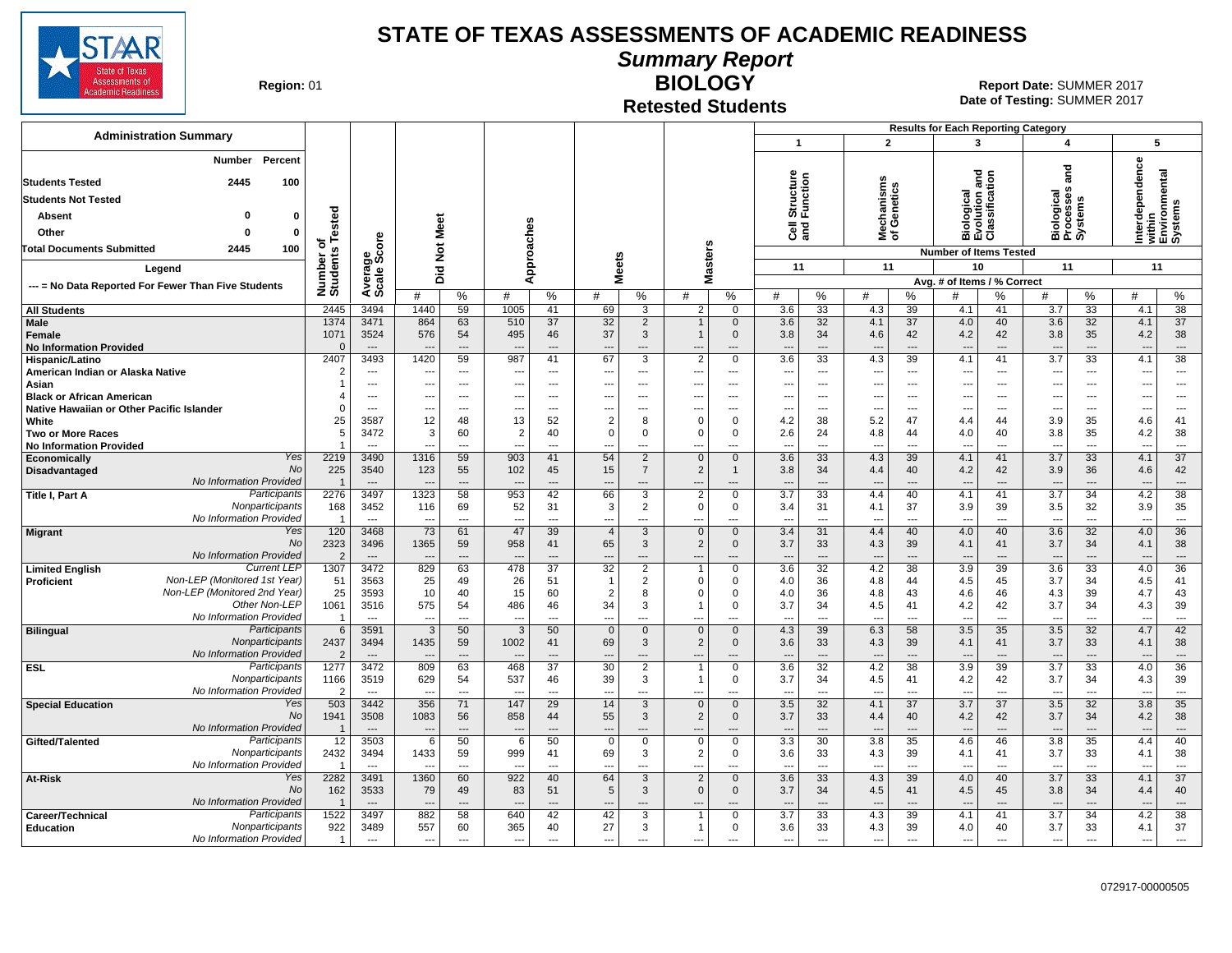

**Summary Report**

**Region: 01** 

### **Retested Students**

**BIOLOGY** 01 **Report Date:** SUMMER 2017 **Date of Testing:**  SUMMER 2017

| <b>Administration Summary</b>                               |                              |                                  |                                  |                                |                          |                                |                                            |                               |                                  |                            | $\mathbf{1}$                    |                      |                                 | $\overline{2}$                 | <b>Results for Each Reporting Category</b> | 3                                           | $\overline{\mathbf{4}}$         |                                    |                                 | 5                                                     |
|-------------------------------------------------------------|------------------------------|----------------------------------|----------------------------------|--------------------------------|--------------------------|--------------------------------|--------------------------------------------|-------------------------------|----------------------------------|----------------------------|---------------------------------|----------------------|---------------------------------|--------------------------------|--------------------------------------------|---------------------------------------------|---------------------------------|------------------------------------|---------------------------------|-------------------------------------------------------|
| Percent                                                     |                              |                                  |                                  |                                |                          |                                |                                            |                               |                                  |                            |                                 |                      |                                 |                                |                                            |                                             |                                 |                                    |                                 |                                                       |
| <b>Number</b>                                               |                              |                                  |                                  |                                |                          |                                |                                            |                               |                                  |                            |                                 |                      |                                 |                                |                                            |                                             |                                 | nd<br>and                          |                                 |                                                       |
| <b>Students Tested</b><br>2445<br>100                       |                              |                                  |                                  |                                |                          |                                |                                            |                               |                                  |                            | Structure<br>Function           |                      | lechanisms<br>f Genetics        |                                |                                            | iological<br>volution and<br>:lassification |                                 |                                    |                                 | Interdependence<br>within<br>Environmental<br>Systems |
| <b>Students Not Tested</b>                                  |                              |                                  |                                  |                                |                          |                                |                                            |                               |                                  |                            |                                 |                      |                                 |                                |                                            |                                             |                                 |                                    |                                 |                                                       |
| $\Omega$<br>0<br>Absent                                     |                              |                                  |                                  |                                |                          |                                |                                            |                               |                                  |                            |                                 |                      |                                 |                                |                                            |                                             |                                 | Biological<br>Processes<br>Systems |                                 |                                                       |
| Other<br>$\Omega$<br>0                                      |                              |                                  | Meet                             |                                |                          |                                |                                            |                               |                                  |                            | e≣<br>ama                       |                      | হঁ আ                            |                                | ᄪᇺᇚ                                        |                                             |                                 |                                    |                                 |                                                       |
| <b>Total Documents Submitted</b><br>2445<br>100             |                              |                                  |                                  |                                |                          |                                |                                            |                               |                                  |                            |                                 |                      |                                 |                                |                                            |                                             |                                 |                                    |                                 |                                                       |
|                                                             | Number of<br>Students Tested |                                  | $\rm \breve{\rm z}$              |                                |                          | Approaches                     |                                            | <b>Meets</b>                  |                                  | <b>Masters</b>             | 11                              |                      | 11                              |                                | <b>Number of Items Tested</b><br>10        |                                             | 11                              |                                    | 11                              |                                                       |
| Legend                                                      |                              |                                  | Did                              |                                |                          |                                |                                            |                               |                                  |                            |                                 |                      |                                 |                                | Avg. # of Items / % Correct                |                                             |                                 |                                    |                                 |                                                       |
| --- = No Data Reported For Fewer Than Five Students         |                              | Average<br>Scale Score           | #                                | %                              | #                        | %                              | #                                          | %                             | #                                | $\%$                       | #                               | %                    | #                               | %                              | #                                          | ℅                                           | #                               | %                                  | #                               | %                                                     |
| <b>All Students</b>                                         | 2445                         | 3494                             | 1440                             | 59                             | 1005                     | 41                             | 69                                         | 3                             | $\overline{2}$                   | $\Omega$                   | 3.6                             | 33                   | 4.3                             | 39                             | 4.1                                        | 41                                          | 3.7                             | 33                                 | 4.1                             | 38                                                    |
| Male                                                        | 1374                         | 3471                             | 864                              | 63                             | 510                      | 37                             | 32                                         | 2                             |                                  | $\mathbf 0$                | 3.6                             | 32                   | 4.1                             | 37                             | 4.0                                        | 40                                          | 3.6                             | 32                                 | 4.1                             | 37                                                    |
| Female                                                      | 1071                         | 3524                             | 576                              | 54                             | 495                      | 46                             | 37                                         | 3                             |                                  | $\mathbf 0$                | 3.8                             | 34                   | 4.6                             | 42                             | 4.2                                        | 42                                          | 3.8                             | 35                                 | 4.2                             | 38                                                    |
| <b>No Information Provided</b><br>Hispanic/Latino           | $\Omega$<br>2407             | $---$<br>3493                    | 1420                             | $---$<br>59                    | 987                      | $---$<br>41                    | $---$<br>67                                | $---$<br>3                    | $---$<br>$\overline{2}$          | $---$<br>$\mathbf 0$       | $\overline{a}$<br>3.6           | ---<br>33            | ---<br>4.3                      | $---$<br>39                    | $\overline{\phantom{a}}$<br>4.1            | $---$<br>41                                 | $---$<br>3.7                    | $---$<br>33                        | $\overline{a}$<br>4.1           | $---$<br>38                                           |
| American Indian or Alaska Native                            | $\overline{2}$               | $---$                            | --                               | $---$                          | $---$                    | $---$                          | $\overline{a}$                             | $\overline{a}$                | $\overline{a}$                   | $---$                      | $\overline{a}$                  | $\overline{a}$       | ---                             | $\sim$                         | $\overline{a}$                             | $---$                                       | $\overline{a}$                  | $\overline{a}$                     | $\overline{\phantom{a}}$        | $---$                                                 |
| Asian                                                       | $\overline{1}$               | $\overline{\phantom{a}}$         | --                               | $---$                          | ---                      | $\overline{a}$                 | ---                                        | ---                           | ---                              | ---                        | ---                             | ---                  | ---                             | $\sim$                         | $\ddotsc$                                  | $\overline{\phantom{a}}$                    | ---                             | ---                                | --                              | $\overline{\phantom{a}}$                              |
| <b>Black or African American</b>                            | 4                            | $\overline{a}$                   | ---                              | $\sim$                         | $---$                    | $\overline{a}$                 | ---                                        | $\overline{a}$                | $\overline{a}$                   | $---$                      | $\overline{a}$                  | $\overline{a}$       | ---                             | $\sim$                         | $\overline{a}$                             | $---$                                       | $\overline{\phantom{a}}$        | ---                                | $\overline{\phantom{a}}$        | $\sim$                                                |
| Native Hawaiian or Other Pacific Islander                   | $\Omega$                     | $\overline{a}$                   | --                               | $\overline{a}$                 |                          | $\overline{a}$                 | $\overline{\phantom{a}}$                   | ---                           | ---                              | ---                        | ---                             | ---                  | ---                             | $\overline{\phantom{a}}$       | $\overline{\phantom{a}}$                   | ---                                         | ---                             | ---                                | --                              | ---                                                   |
| White<br><b>Two or More Races</b>                           | 25<br>5                      | 3587<br>3472                     | 12<br>3                          | 48<br>60                       | 13<br>$\overline{2}$     | 52<br>40                       | $\overline{2}$<br>$\mathbf 0$              | 8<br>$\Omega$                 | $\Omega$<br>$\mathbf 0$          | $\mathbf 0$<br>$\mathbf 0$ | 4.2<br>2.6                      | 38<br>24             | 5.2<br>4.8                      | 47<br>44                       | 4.4<br>4.0                                 | 44<br>40                                    | 3.9<br>3.8                      | 35<br>35                           | 4.6<br>4.2                      | 41<br>38                                              |
| <b>No Information Provided</b>                              | $\overline{1}$               | $\overline{\phantom{a}}$         |                                  | $---$                          |                          | $\overline{a}$                 | ---                                        |                               |                                  | ---                        | $\overline{a}$                  | $\overline{a}$       | $\overline{a}$                  | $\overline{a}$                 |                                            | $---$                                       | $\sim$                          | ---                                | --                              | $\sim$                                                |
| Yes<br><b>Economically</b>                                  | 2219                         | 3490                             | 1316                             | 59                             | 903                      | 41                             | 54                                         | 2                             | $\Omega$                         | $\mathbf{0}$               | 3.6                             | 33                   | 4.3                             | 39                             | 4.1                                        | 41                                          | 3.7                             | 33                                 | 4.1                             | $\overline{37}$                                       |
| No<br>Disadvantaged<br>No Information Provided              | 225                          | 3540                             | 123                              | 55                             | 102                      | 45                             | 15                                         | $\overline{7}$                | 2                                | $\mathbf{1}$               | 3.8                             | 34                   | 4.4                             | 40                             | 4.2                                        | 42                                          | 3.9                             | 36                                 | 4.6                             | 42                                                    |
| Participants<br>Title I, Part A                             | $\overline{1}$<br>2276       | $\overline{\phantom{a}}$<br>3497 | ---<br>1323                      | $\overline{\phantom{a}}$<br>58 | 953                      | $\overline{\phantom{a}}$<br>42 | $\overline{\phantom{a}}$<br>66             | $\overline{\phantom{a}}$<br>3 | $\overline{a}$<br>2              | ---<br>$\mathbf 0$         | $\overline{a}$<br>3.7           | ---<br>33            | ---<br>4.4                      | $\overline{\phantom{a}}$<br>40 | $\overline{\phantom{a}}$<br>4.1            | ---<br>41                                   | $\overline{\phantom{a}}$<br>3.7 | ---<br>34                          | ---<br>4.2                      | $\hspace{0.05cm} \ldots$<br>38                        |
| Nonparticipants                                             | 168                          | 3452                             | 116                              | 69                             | 52                       | 31                             | 3                                          | 2                             | $\Omega$                         | $\mathbf 0$                | 3.4                             | 31                   | 4.1                             | 37                             | 3.9                                        | 39                                          | 3.5                             | 32                                 | 3.9                             | 35                                                    |
| No Information Provided                                     | $\overline{1}$               | $\sim$                           | $\overline{a}$                   | $\overline{a}$                 | ---                      | $\overline{a}$                 | ---                                        | $\overline{a}$                | $\overline{a}$                   | $---$                      | $\overline{a}$                  | $\overline{a}$       | $\overline{a}$                  | $\sim$                         | $\sim$                                     | $\overline{a}$                              | $\overline{a}$                  | $\overline{a}$                     | $\overline{\phantom{a}}$        | $\overline{\phantom{a}}$                              |
| Yes<br><b>Migrant</b>                                       | 120                          | 3468                             | 73                               | 61                             | 47                       | 39                             | $\overline{4}$                             | 3                             | $\mathbf{0}$                     | $\mathbf{0}$               | 3.4                             | 31                   | 4.4                             | 40                             | 4.0                                        | 40                                          | 3.6                             | 32                                 | 4.0                             | 36                                                    |
| No<br>No Information Provided                               | 2323<br>$\overline{2}$       | 3496<br>$\overline{\phantom{a}}$ | 1365<br>$\overline{\phantom{a}}$ | 59<br>$\overline{\phantom{a}}$ | 958<br>$\overline{a}$    | 41<br>$\overline{\phantom{a}}$ | 65<br>$\overline{\phantom{a}}$             | 3<br>$\overline{\phantom{a}}$ | 2<br>$\overline{\phantom{a}}$    | $\mathbf 0$<br>---         | 3.7<br>$\overline{\phantom{a}}$ | 33<br>$---$          | 4.3<br>$\overline{\phantom{a}}$ | 39<br>$\overline{\phantom{a}}$ | 4.1<br>$\overline{\phantom{a}}$            | 41<br>$\overline{\phantom{a}}$              | 3.7<br>$\overline{\phantom{a}}$ | 34<br>---                          | 4.1<br>$\overline{\phantom{a}}$ | 38<br>$---$                                           |
| <b>Current LEF</b><br><b>Limited English</b>                | 1307                         | 3472                             | 829                              | 63                             | 478                      | 37                             | 32                                         | 2                             |                                  | $\mathbf 0$                | 3.6                             | 32                   | 4.2                             | 38                             | 3.9                                        | 39                                          | 3.6                             | 33                                 | 4.0                             | $\overline{36}$                                       |
| Non-LEP (Monitored 1st Year)<br>Proficient                  | 51                           | 3563                             | 25                               | 49                             | 26                       | 51                             | $\overline{1}$                             | 2                             | $\Omega$                         | $\mathbf 0$                | 4.0                             | 36                   | 4.8                             | 44                             | 4.5                                        | 45                                          | 3.7                             | 34                                 | 4.5                             | 41                                                    |
| Non-LEP (Monitored 2nd Year)                                | 25                           | 3593                             | 10                               | 40                             | 15                       | 60                             | $\overline{2}$                             | 8                             | $\Omega$                         | 0                          | 4.0                             | 36                   | 4.8                             | 43                             | 4.6                                        | 46                                          | 4.3                             | 39                                 | 4.7                             | 43                                                    |
| Other Non-LEP<br>No Information Provided                    | 1061<br>$\overline{1}$       | 3516<br>$-$                      | 575<br>--                        | 54<br>$\overline{a}$           | 486<br>---               | 46<br>$\overline{a}$           | 34<br>---                                  | 3<br>$\overline{\phantom{a}}$ |                                  | $\Omega$<br>---            | 3.7<br>$\overline{a}$           | 34<br>$\overline{a}$ | 4.5<br>---                      | 41<br>$\overline{\phantom{a}}$ | 4.2<br>$\overline{\phantom{a}}$            | 42<br>$\overline{a}$                        | 3.7<br>---                      | 34<br>---                          | 4.3<br>--                       | 39<br>$\overline{\phantom{a}}$                        |
| Participants<br><b>Bilingual</b>                            | 6                            | 3591                             | 3                                | 50                             | 3                        | 50                             | $\mathbf{0}$                               | $\mathbf{0}$                  | $\mathbf{0}$                     | $\mathbf{0}$               | 4.3                             | 39                   | 6.3                             | 58                             | 3.5                                        | 35                                          | 3.5                             | 32                                 | 4.7                             | 42                                                    |
| Nonparticipants                                             | 2437                         | 3494                             | 1435                             | 59                             | 1002                     | 41                             | 69                                         | 3                             | 2                                | $\mathbf{0}$               | 3.6                             | 33                   | 4.3                             | 39                             | 4.1                                        | 41                                          | 3.7                             | 33                                 | 4.1                             | 38                                                    |
| No Information Provided                                     | 2                            | $---$                            |                                  | $\overline{a}$                 |                          | $\overline{a}$                 | $\overline{a}$                             | $\overline{a}$                | $\overline{a}$                   | $---$                      |                                 | $\overline{a}$       | ---                             | $---$                          |                                            | $---$                                       | $\overline{\phantom{a}}$        | ---                                | $\overline{\phantom{a}}$        | $---$                                                 |
| <b>ESL</b><br>Participants<br>Nonparticipants               | 1277<br>1166                 | 3472<br>3519                     | 809<br>629                       | 63<br>54                       | 468<br>537               | 37<br>46                       | $\overline{30}$<br>39                      | $\overline{2}$<br>3           |                                  | $\mathbf 0$<br>$\mathbf 0$ | 3.6<br>3.7                      | 32<br>34             | 4.2<br>4.5                      | 38<br>41                       | 3.9<br>4.2                                 | 39<br>42                                    | 3.7<br>3.7                      | 33<br>34                           | 4.0<br>4.3                      | 36<br>39                                              |
| No Information Provided                                     | $\overline{2}$               | $\overline{a}$                   |                                  | $-$                            |                          | $\sim$                         | $\overline{\phantom{a}}$                   | $\overline{\phantom{a}}$      |                                  | ---                        | $\overline{\phantom{a}}$        | $\overline{a}$       | ---                             | $\sim$                         | $\overline{\phantom{a}}$                   | $\overline{\phantom{a}}$                    |                                 | ---                                | $\overline{\phantom{a}}$        | $\overline{\phantom{a}}$                              |
| Yes<br><b>Special Education</b>                             | 503                          | 3442                             | 356                              | 71                             | 147                      | 29                             | 14                                         | 3                             | $\mathbf{0}$                     | $\overline{0}$             | 3.5                             | 32                   | 4.1                             | $\overline{37}$                | 3.7                                        | $\overline{37}$                             | 3.5                             | 32                                 | 3.8                             | 35                                                    |
| No                                                          | 1941                         | 3508                             | 1083                             | 56                             | 858                      | 44                             | 55                                         | 3                             | 2                                | $\mathbf{0}$               | 3.7                             | 33                   | 4.4                             | 40                             | 4.2                                        | 42                                          | 3.7                             | 34                                 | 4.2                             | 38                                                    |
| No Information Provided<br>Participants                     | $\overline{1}$               | $\overline{\phantom{a}}$<br>3503 | $\overline{\phantom{a}}$<br>6    | ---<br>50                      | 6                        | 50                             | $\overline{\phantom{a}}$<br>$\overline{0}$ | $\mathbf 0$                   | $\overline{a}$<br>$\overline{0}$ | ---<br>$\overline{0}$      | $\overline{a}$                  | $---$<br>30          | $\overline{a}$                  | $\overline{\phantom{a}}$<br>35 | 4.6                                        | $---$                                       |                                 | ---<br>35                          | $\overline{\phantom{a}}$<br>4.4 | $\overline{\phantom{a}}$<br>40                        |
| Gifted/Talented<br>Nonparticipants                          | 12<br>2432                   | 3494                             | 1433                             | 59                             | 999                      | 41                             | 69                                         | 3                             | 2                                | 0                          | 3.3<br>3.6                      | 33                   | 3.8<br>4.3                      | 39                             | 4.1                                        | 46<br>41                                    | 3.8<br>3.7                      | 33                                 | 4.1                             | 38                                                    |
| No Information Provideo                                     |                              | $\overline{a}$                   | $\overline{a}$                   | ---                            |                          | $\overline{a}$                 | $\overline{a}$                             | $\overline{a}$                | $\overline{a}$                   | ---                        | $\overline{a}$                  | $\overline{a}$       | $\overline{a}$                  | $\overline{\phantom{a}}$       | $\overline{\phantom{a}}$                   |                                             | $\overline{a}$                  | ---                                | $\overline{a}$                  | $\sim$                                                |
| Yes<br>At-Risk                                              | 2282                         | 3491                             | 1360                             | 60                             | 922                      | 40                             | 64                                         | 3                             | 2                                | $\mathbf 0$                | 3.6                             | $\overline{33}$      | 4.3                             | 39                             | 4.0                                        | 40                                          | 3.7                             | 33                                 | 4.1                             | 37                                                    |
| No                                                          | 162                          | 3533                             | 79                               | 49                             | 83                       | 51                             | 5                                          | 3                             | $\Omega$                         | $\mathbf{0}$               | 3.7                             | 34                   | 4.5                             | 41                             | 4.5                                        | 45                                          | 3.8                             | 34                                 | 4.4                             | 40                                                    |
| No Information Provided<br>Participants<br>Career/Technical | $\overline{1}$<br>1522       | $---$<br>3497                    | 882                              | ---<br>58                      | 640                      | $---$<br>42                    | ---<br>42                                  | $\overline{\phantom{a}}$<br>3 |                                  | ---<br>$\mathbf 0$         | 3.7                             | ---<br>33            | ---<br>4.3                      | $\overline{\phantom{a}}$<br>39 | 4.1                                        | $\overline{\phantom{a}}$<br>41              | $\overline{\phantom{a}}$<br>3.7 | ---<br>34                          | $\overline{a}$<br>4.2           | $---$<br>38                                           |
| Nonparticipants<br><b>Education</b>                         | 922                          | 3489                             | 557                              | 60                             | 365                      | 40                             | 27                                         | 3                             |                                  | 0                          | 3.6                             | 33                   | 4.3                             | 39                             | 4.0                                        | 40                                          | 3.7                             | 33                                 | 4.1                             | 37                                                    |
| No Information Provided                                     | $\overline{1}$               | $\sim$                           | $\overline{\phantom{a}}$         | $---$                          | $\overline{\phantom{a}}$ | $---$                          | ---                                        | $---$                         | ---                              | $---$                      | ---                             | $\overline{a}$       | ---                             | $\sim$                         | $\sim$                                     | $---$                                       | $\overline{\phantom{a}}$        | $\overline{a}$                     | ---                             | $\overline{\phantom{a}}$                              |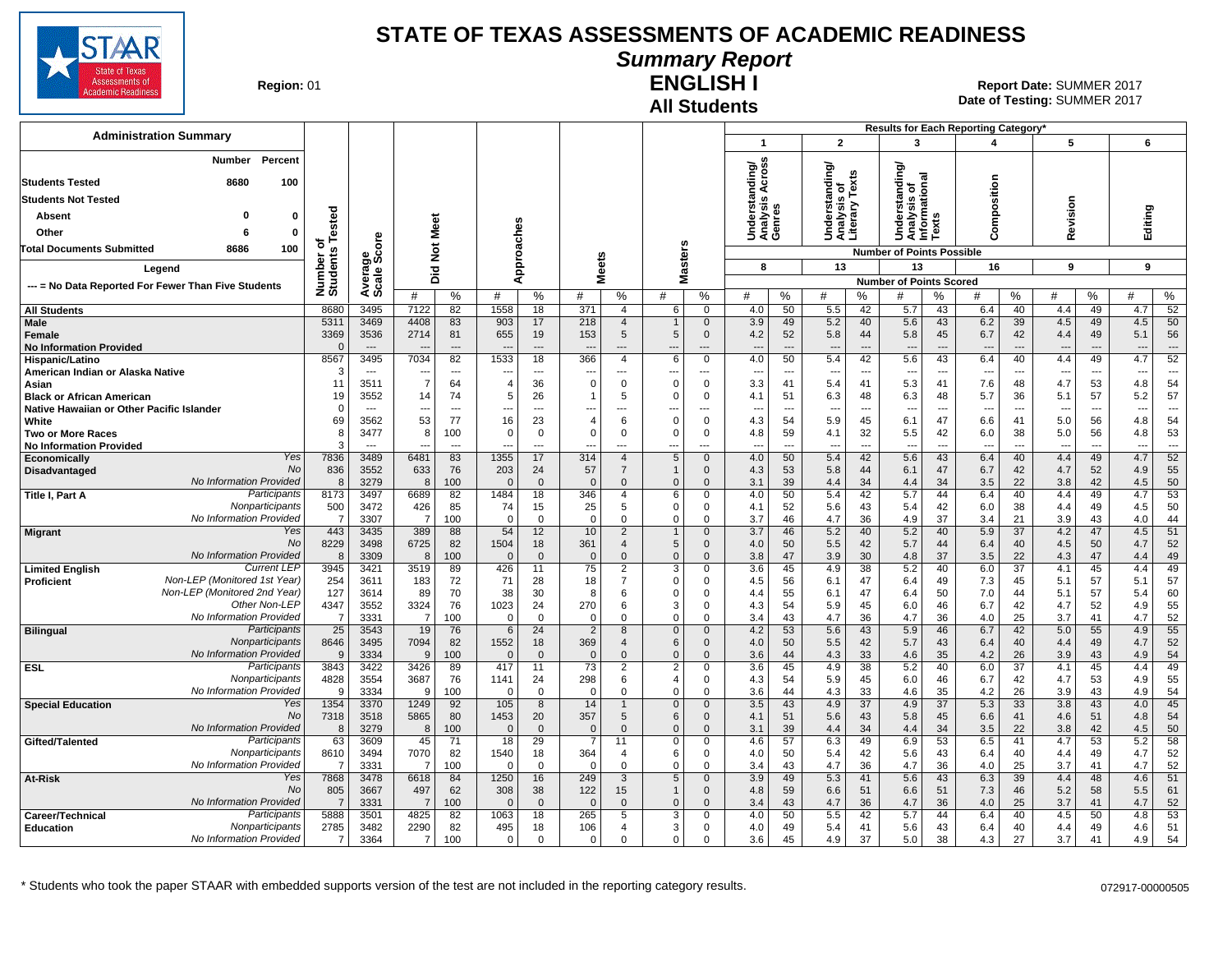

### **Summary Report**

**Region: 01** 

#### **All Students ENGLISH I**

**Date of Testing:**  SUMMER 2017 01 **Report Date:** SUMMER 2017

|                                                            |                            |                                          |                       |                       |                                            |                                      |                               |                                                 |                            |                                         |                                        |                                      |                                        |                   |                                                   |                      | Results for Each Reporting Category' |                                      |                          |                                      |                   |                                |
|------------------------------------------------------------|----------------------------|------------------------------------------|-----------------------|-----------------------|--------------------------------------------|--------------------------------------|-------------------------------|-------------------------------------------------|----------------------------|-----------------------------------------|----------------------------------------|--------------------------------------|----------------------------------------|-------------------|---------------------------------------------------|----------------------|--------------------------------------|--------------------------------------|--------------------------|--------------------------------------|-------------------|--------------------------------|
| <b>Administration Summary</b>                              |                            |                                          |                       |                       |                                            |                                      |                               |                                                 |                            |                                         | 1                                      |                                      | $\overline{2}$                         |                   | 3                                                 |                      | 4                                    |                                      | 5                        |                                      | 6                 |                                |
| Percent<br>Number<br><b>Students Tested</b><br>8680<br>100 |                            |                                          |                       |                       |                                            |                                      |                               |                                                 |                            |                                         | ding/<br>cross<br>∢                    |                                      | ৯<br>standin                           | Texts             | ਨ<br>tanding<br>$\overline{\mathbf{c}}$<br>ā<br>۰ |                      | Composition                          |                                      |                          |                                      |                   |                                |
| <b>Students Not Tested</b>                                 |                            |                                          |                       |                       |                                            |                                      |                               |                                                 |                            |                                         | ত<br>S                                 |                                      | w                                      |                   | Analysis<br>Informatio<br>ÿ۶,                     |                      |                                      |                                      |                          |                                      |                   |                                |
| Absent<br>0                                                | ested                      |                                          |                       |                       |                                            |                                      |                               |                                                 |                            |                                         | Underst<br>Analysis<br>Genres          |                                      | Understa<br>Analysis<br>Literary       |                   | ō<br>Ō                                            | S                    |                                      |                                      | Revision                 |                                      | Editing           |                                |
| Other<br>-6<br>0                                           |                            |                                          | Meet                  |                       |                                            |                                      |                               |                                                 |                            |                                         |                                        |                                      |                                        |                   | $\Rightarrow$                                     | š                    |                                      |                                      |                          |                                      |                   |                                |
| 100<br>8686<br><b>Total Documents Submitted</b>            | ठ                          | ge<br>Score                              | $\frac{5}{2}$         |                       |                                            |                                      |                               |                                                 |                            |                                         |                                        |                                      |                                        |                   | <b>Number of Points Possible</b>                  |                      |                                      |                                      |                          |                                      |                   |                                |
| Legend                                                     | Number o<br>Students       |                                          |                       |                       |                                            | Approaches                           | <b>Meets</b>                  |                                                 |                            | <b>Masters</b>                          | 8                                      |                                      | 13                                     |                   | 13                                                |                      | 16                                   |                                      | 9                        |                                      | 9                 |                                |
| --- = No Data Reported For Fewer Than Five Students        |                            | Avera<br>Scale                           | Did                   |                       |                                            |                                      |                               |                                                 |                            |                                         |                                        |                                      |                                        |                   | <b>Number of Points Scored</b>                    |                      |                                      |                                      |                          |                                      |                   |                                |
|                                                            |                            |                                          | #                     | %                     | #                                          | %                                    | #                             | %                                               | #                          | %                                       | #                                      | %                                    | #                                      | %                 | #                                                 | %                    | #                                    | %                                    | #                        | %                                    | #                 | ℅                              |
| <b>All Students</b>                                        | 8680                       | 3495                                     | 7122                  | 82                    | 1558                                       | 18                                   | 371                           | $\overline{4}$                                  | 6                          | $\overline{0}$                          | 4.0                                    | 50                                   | 5.5                                    | 42                | 5.7                                               | 43                   | 6.4                                  | 40                                   | 4.4                      | 49                                   | 4.7               | 52                             |
| Male<br>Female<br><b>No Information Provided</b>           | 5311<br>3369<br>$\sqrt{ }$ | 3469<br>3536<br>$\overline{\phantom{a}}$ | 4408<br>2714          | 83<br>81<br>$---$     | 903<br>655<br>$\overline{\phantom{a}}$     | 17<br>19<br>$\overline{\phantom{a}}$ | 218<br>153                    | $\overline{4}$<br>5<br>$\overline{\phantom{a}}$ | $\mathbf 1$<br>5<br>---    | $\mathbf{0}$<br>$\mathbf 0$<br>---      | 3.9<br>4.2<br>$\overline{\phantom{a}}$ | 49<br>52<br>$\overline{\phantom{a}}$ | 5.2<br>5.8<br>$\overline{\phantom{a}}$ | 40<br>44<br>$---$ | 5.6<br>5.8<br>$\overline{\phantom{a}}$            | 43<br>45<br>---      | 6.2<br>6.7                           | 39<br>42<br>$\overline{\phantom{a}}$ | 4.5<br>4.4<br>---        | 49<br>49<br>$\overline{\phantom{a}}$ | 4.5<br>5.1<br>--- | 50<br>56<br>$\overline{a}$     |
| Hispanic/Latino                                            | 8567                       | 3495                                     | 7034                  | 82                    | 1533                                       | 18                                   | 366                           | 4                                               | 6                          | $\mathbf 0$                             | 4.0                                    | 50                                   | 5.4                                    | 42                | 5.6                                               | 43                   | 6.4                                  | 40                                   | 4.4                      | 49                                   | 4.7               | 52                             |
| American Indian or Alaska Native                           | Ŀ.                         | $---$<br>3511                            | ---<br>$\overline{7}$ | ---<br>64             | $\overline{\phantom{a}}$<br>$\overline{4}$ | $\overline{\phantom{a}}$<br>36       | ---<br>$\mathbf 0$            | $---$<br>$\mathbf 0$                            | ---<br>$\Omega$            | $---$<br>$\overline{0}$                 | $- - -$                                | $\overline{\phantom{a}}$<br>41       | ---<br>5.4                             | ---<br>41         | $\sim$<br>5.3                                     | $\overline{a}$<br>41 | $\sim$<br>7.6                        | $---$<br>48                          | $\ddotsc$                | ---<br>53                            | ---<br>4.8        | $---$<br>54                    |
| Asian<br><b>Black or African American</b>                  | 11<br>19                   | 3552                                     | 14                    | 74                    | 5                                          | 26                                   | 1                             | 5                                               | $\Omega$                   | $\mathbf 0$                             | 3.3<br>4.1                             | 51                                   | 6.3                                    | 48                | 6.3                                               | 48                   | 5.7                                  | 36                                   | 4.7<br>5.1               | 57                                   | 5.2               | 57                             |
| Native Hawaiian or Other Pacific Islander                  | $\Omega$                   | $-$                                      | $\overline{a}$        | $---$                 | $\overline{a}$                             | $---$                                |                               | $---$                                           | ---                        | $---$                                   | $\sim$                                 | $\sim$                               | $\sim$                                 | $---$             | ---                                               | $-$                  |                                      | $\sim$                               | $\overline{\phantom{a}}$ | $\sim$                               | ---               | $\overline{a}$                 |
| White                                                      | 69                         | 3562                                     | 53                    | 77                    | 16                                         | 23                                   | $\overline{4}$                | 6                                               | $\mathbf 0$                | $\mathbf{0}$                            | 4.3                                    | 54                                   | 5.9                                    | 45                | 6.1                                               | 47                   | 6.6                                  | 41                                   | 5.0                      | 56                                   | 4.8               | 54                             |
| Two or More Races<br><b>No Information Provided</b>        | 8                          | 3477<br>$\overline{\phantom{a}}$         | 8<br>$\sim$           | 100<br>$\overline{a}$ | $\overline{0}$<br>$\overline{a}$           | $\mathbf 0$<br>$\overline{a}$        | $\mathbf 0$<br>$\overline{a}$ | $\mathbf 0$<br>$\overline{a}$                   | $\mathbf 0$<br>---         | $\mathbf 0$<br>$\overline{\phantom{a}}$ | 4.8<br>$-$                             | 59<br>$\overline{a}$                 | 4.1<br>$\overline{a}$                  | 32<br>$\sim$      | 5.5<br>---                                        | 42<br>$\overline{a}$ | 6.0<br>$\overline{a}$                | 38<br>$\overline{\phantom{a}}$       | 5.0<br>$\overline{a}$    | 56<br>$\overline{a}$                 | 4.8<br>$\sim$     | 53<br>$\overline{\phantom{a}}$ |
| Yes<br>Economically                                        | 7836                       | 3489                                     | 6481                  | 83                    | 1355                                       | 17                                   | 314                           | $\overline{4}$                                  | 5                          | $\mathbf 0$                             | 4.0                                    | 50                                   | 5.4                                    | 42                | 5.6                                               | 43                   | 6.4                                  | 40                                   | 4.4                      | 49                                   | 4.7               | 52                             |
| <b>No</b><br>Disadvantaged                                 | 836                        | 3552                                     | 633                   | 76                    | 203                                        | 24                                   | 57                            | $\overline{7}$                                  | $\mathbf{1}$               | $\mathbf 0$                             | 4.3                                    | 53                                   | 5.8                                    | 44                | 6.1                                               | 47                   | 6.7                                  | 42                                   | 4.7                      | 52                                   | 4.9               | 55                             |
| No Information Provided<br>Participants<br>Title I, Part A | -8<br>8173                 | 3279<br>3497                             | 8<br>6689             | 100<br>82             | $\Omega$<br>1484                           | $\overline{0}$<br>18                 | $\Omega$<br>346               | $\Omega$<br>$\overline{4}$                      | $\Omega$<br>6              | $\overline{0}$<br>$\overline{0}$        | 3.1<br>4.0                             | 39<br>50                             | 4.4<br>5.4                             | 34<br>42          | 4.4<br>5.7                                        | 34<br>44             | 3.5<br>6.4                           | 22<br>40                             | 3.8<br>4.4               | 42<br>49                             | 4.5<br>4.7        | 50<br>53                       |
| Nonparticipants                                            | 500                        | 3472                                     | 426                   | 85                    | 74                                         | 15                                   | 25                            | 5                                               | $\Omega$                   | $\mathbf 0$                             | 4.1                                    | 52                                   | 5.6                                    | 43                | 5.4                                               | 42                   | 6.0                                  | 38                                   | 4.4                      | 49                                   | 4.5               | 50                             |
| No Information Provided                                    | $\overline{7}$             | 3307                                     | $\overline{7}$        | 100                   | $\mathbf 0$                                | $\mathbf 0$                          | $\mathbf 0$                   | $\mathbf 0$                                     | $\mathbf 0$                | $\mathbf 0$                             | 3.7                                    | 46                                   | 4.7                                    | 36                | 4.9                                               | 37                   | 3.4                                  | 21                                   | 3.9                      | 43                                   | 4.0               | 44                             |
| Yes<br><b>Migrant</b><br>No                                | 443                        | 3435                                     | 389                   | 88                    | 54                                         | 12                                   | 10                            | $\overline{2}$                                  | $\overline{1}$             | $\mathbf 0$                             | 3.7                                    | 46                                   | 5.2                                    | 40                | 5.2                                               | 40                   | 5.9                                  | 37                                   | 4.2                      | 47                                   | 4.5               | 51                             |
| No Information Provided                                    | 8229<br>$\mathcal{R}$      | 3498<br>3309                             | 6725<br>8             | 82<br>100             | 1504<br>$\Omega$                           | 18<br>$\overline{0}$                 | 361<br>$\Omega$               | 4<br>$\Omega$                                   | 5<br>$\Omega$              | $\mathbf 0$<br>$\overline{0}$           | 4.0<br>3.8                             | 50<br>47                             | 5.5<br>3.9                             | 42<br>30          | 5.7<br>4.8                                        | 44<br>37             | 6.4<br>3.5                           | 40<br>22                             | 4.5<br>4.3               | 50<br>47                             | 4.7<br>4.4        | 52<br>49                       |
| <b>Current LEP</b><br><b>Limited English</b>               | 3945                       | 3421                                     | 3519                  | 89                    | 426                                        | 11                                   | 75                            | 2                                               | 3                          | 0                                       | 3.6                                    | 45                                   | 4.9                                    | 38                | 5.2                                               | 40                   | 6.0                                  | 37                                   | 4.1                      | 45                                   | 4.4               | 49                             |
| Non-LEP (Monitored 1st Year)<br><b>Proficient</b>          | 254                        | 3611                                     | 183                   | 72                    | 71                                         | 28                                   | 18                            | $\overline{7}$                                  | $\Omega$                   | $\mathbf 0$                             | 4.5                                    | 56                                   | 6.1                                    | 47                | 6.4                                               | 49                   | 7.3                                  | 45                                   | 5.1                      | 57                                   | 5.1               | 57                             |
| Non-LEP (Monitored 2nd Year)<br>Other Non-LEP              | 127<br>4347                | 3614<br>3552                             | 89<br>3324            | 70<br>76              | 38<br>1023                                 | 30<br>24                             | 8<br>270                      | 6<br>6                                          | $\Omega$<br>3              | 0<br>$\mathbf 0$                        | 4.4<br>4.3                             | 55<br>54                             | 6.1<br>5.9                             | 47<br>45          | 6.4<br>6.0                                        | 50<br>46             | 7.0<br>6.7                           | 44<br>42                             | 5.1<br>4.7               | 57<br>52                             | 5.4<br>4.9        | 60<br>55                       |
| No Information Provided                                    | $\overline{7}$             | 3331                                     | $\overline{7}$        | 100                   | $\overline{0}$                             | $\mathbf 0$                          | $\overline{0}$                | $\Omega$                                        | $\Omega$                   | $\mathbf 0$                             | 3.4                                    | 43                                   | 4.7                                    | 36                | 4.7                                               | 36                   | 4.0                                  | 25                                   | 3.7                      | 41                                   | 4.7               | 52                             |
| Participants<br><b>Bilingual</b>                           | 25                         | 3543                                     | 19                    | 76                    | 6                                          | 24                                   | $\overline{2}$                | 8                                               | $\mathbf{0}$               | $\mathbf 0$                             | 4.2                                    | 53                                   | 5.6                                    | 43                | 5.9                                               | 46                   | 6.7                                  | 42                                   | 5.0                      | 55                                   | 4.9               | 55                             |
| Nonparticipants                                            | 8646                       | 3495                                     | 7094                  | 82                    | 1552                                       | 18                                   | 369                           | $\overline{4}$                                  | 6                          | $\mathbf{0}$                            | 4.0                                    | 50                                   | 5.5                                    | 42                | 5.7                                               | 43                   | 6.4                                  | 40                                   | 4.4                      | 49                                   | 4.7               | 52                             |
| No Information Provided<br><b>ESL</b><br>Participants      | $\mathbf{c}$<br>3843       | 3334<br>3422                             | 9<br>3426             | 100<br>89             | $\Omega$<br>417                            | $\mathbf{0}$<br>11                   | $\Omega$<br>73                | $\Omega$<br>$\overline{2}$                      | $\Omega$<br>$\overline{2}$ | $\mathbf{0}$<br>0                       | 3.6<br>3.6                             | 44<br>45                             | 4.3<br>4.9                             | 33<br>38          | 4.6<br>5.2                                        | 35<br>40             | 4.2<br>6.0                           | 26<br>37                             | 3.9<br>4.1               | 43<br>45                             | 4.9<br>4.4        | 54<br>49                       |
| Nonparticipants                                            | 4828                       | 3554                                     | 3687                  | 76                    | 1141                                       | 24                                   | 298                           | 6                                               | $\overline{4}$             | $\mathbf 0$                             | 4.3                                    | 54                                   | 5.9                                    | 45                | 6.0                                               | 46                   | 6.7                                  | 42                                   | 4.7                      | 53                                   | 4.9               | 55                             |
| No Information Provided                                    | <b>c</b>                   | 3334                                     | 9                     | 100                   | $\Omega$                                   | $\mathbf 0$                          | $\mathbf 0$                   | $\mathbf 0$                                     | $\mathbf 0$                | $\mathbf 0$                             | 3.6                                    | 44                                   | 4.3                                    | 33                | 4.6                                               | 35                   | 4.2                                  | 26                                   | 3.9                      | 43                                   | 4.9               | 54                             |
| Yes<br><b>Special Education</b>                            | 1354                       | 3370                                     | 1249                  | 92                    | 105                                        | 8                                    | 14                            | -1                                              | $\mathbf 0$                | $\mathbf 0$                             | 3.5                                    | 43                                   | 4.9                                    | 37                | 4.9                                               | 37                   | 5.3                                  | 33                                   | 3.8                      | 43                                   | 4.0               | 45                             |
| No<br>No Information Provided                              | 7318<br>-8                 | 3518<br>3279                             | 5865<br>8             | 80<br>100             | 1453<br>$\Omega$                           | 20<br>$\Omega$                       | 357<br>$\Omega$               | 5<br>$\Omega$                                   | 6<br>$\Omega$              | $\mathbf 0$<br>$\mathbf{0}$             | 4.1<br>3.1                             | 51<br>39                             | 5.6<br>4.4                             | 43<br>34          | 5.8<br>4.4                                        | 45<br>34             | 6.6<br>3.5                           | 41<br>22                             | 4.6<br>3.8               | 51<br>42                             | 4.8<br>4.5        | 54<br>50                       |
| Participants<br>Gifted/Talented                            | 63                         | 3609                                     | 45                    | 71                    | 18                                         | 29                                   | 7                             | 11                                              | $\Omega$                   | $\mathbf 0$                             | 4.6                                    | 57                                   | 6.3                                    | 49                | 6.9                                               | 53                   | 6.5                                  | 41                                   | 4.7                      | 53                                   | 5.2               | 58                             |
| Nonparticipants                                            | 8610                       | 3494                                     | 7070                  | 82                    | 1540                                       | 18                                   | 364                           | $\overline{4}$                                  | 6                          | 0                                       | 4.0                                    | 50                                   | 5.4                                    | 42                | 5.6                                               | 43                   | 6.4                                  | 40                                   | 4.4                      | 49                                   | 4.7               | 52                             |
| No Information Provided                                    |                            | 3331                                     | 7                     | 100                   | - 0                                        | $\mathbf 0$                          | $\Omega$                      | $\Omega$                                        | $\Omega$                   | $\mathbf 0$                             | 3.4                                    | 43                                   | 4.7                                    | 36                | 4.7                                               | 36                   | 4.0                                  | 25                                   | 3.7                      | 41                                   | 4.7               | 52                             |
| Yes<br>At-Risk<br>No                                       | 7868<br>805                | 3478<br>3667                             | 6618<br>497           | 84<br>62              | 1250<br>308                                | 16<br>38                             | 249<br>122                    | 3<br>15                                         | 5<br>$\mathbf{1}$          | $\mathbf 0$<br>$\mathbf 0$              | 3.9<br>4.8                             | 49<br>59                             | 5.3<br>6.6                             | 41<br>51          | 5.6<br>6.6                                        | 43<br>51             | 6.3<br>7.3                           | 39<br>46                             | 4.4<br>5.2               | 48<br>58                             | 4.6<br>5.5        | 51<br>61                       |
| No Information Provided                                    | - 7                        | 3331                                     | $\overline{7}$        | 100                   | $\Omega$                                   | $\mathbf 0$                          | $\Omega$                      | $\Omega$                                        | $\Omega$                   | $\mathbf{0}$                            | 3.4                                    | 43                                   | 4.7                                    | 36                | 4.7                                               | 36                   | 4.0                                  | 25                                   | 3.7                      | 41                                   | 4.7               | 52                             |
| Participants<br>Career/Technical                           | 5888                       | 3501                                     | 4825                  | 82                    | 1063                                       | 18                                   | 265                           | 5                                               | 3                          | $\Omega$                                | 4.0                                    | 50                                   | 5.5                                    | 42                | 5.7                                               | 44                   | 6.4                                  | 40                                   | 4.5                      | 50                                   | 4.8               | 53                             |
| Nonparticipants<br><b>Education</b>                        | 2785                       | 3482                                     | 2290                  | 82                    | 495                                        | 18                                   | 106                           | $\overline{4}$                                  | 3                          | $\mathbf 0$                             | 4.0                                    | 49                                   | 5.4                                    | 41                | 5.6                                               | 43                   | 6.4                                  | 40                                   | 4.4                      | 49                                   | 4.6               | 51                             |
| No Information Provided                                    | $\overline{7}$             | 3364                                     | $\overline{7}$        | 100                   | $\mathbf 0$                                | $\mathbf 0$                          | $\mathbf{0}$                  | $\mathbf 0$                                     | $\mathbf 0$                | $\Omega$                                | 3.6                                    | 45                                   | 4.9                                    | 37                | 5.0                                               | 38                   | 4.3                                  | 27                                   | 3.7                      | 41                                   | 4.9               | 54                             |

\* Students who took the paper STAAR with embedded supports version of the test are not included in the reporting category results. 072917-00000505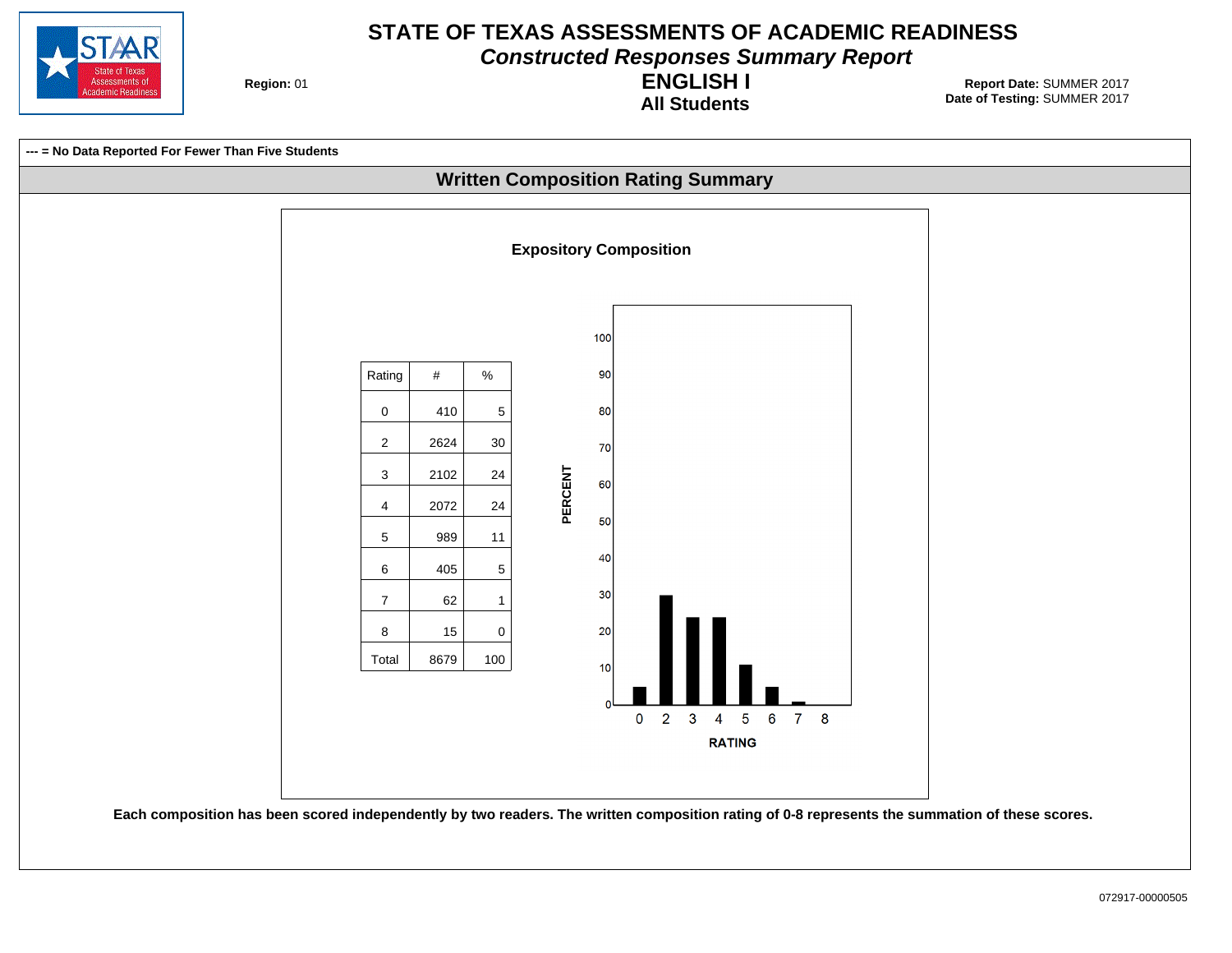

**Constructed Responses Summary Report**

**Region: 01** 

**All Students ENGLISH I**

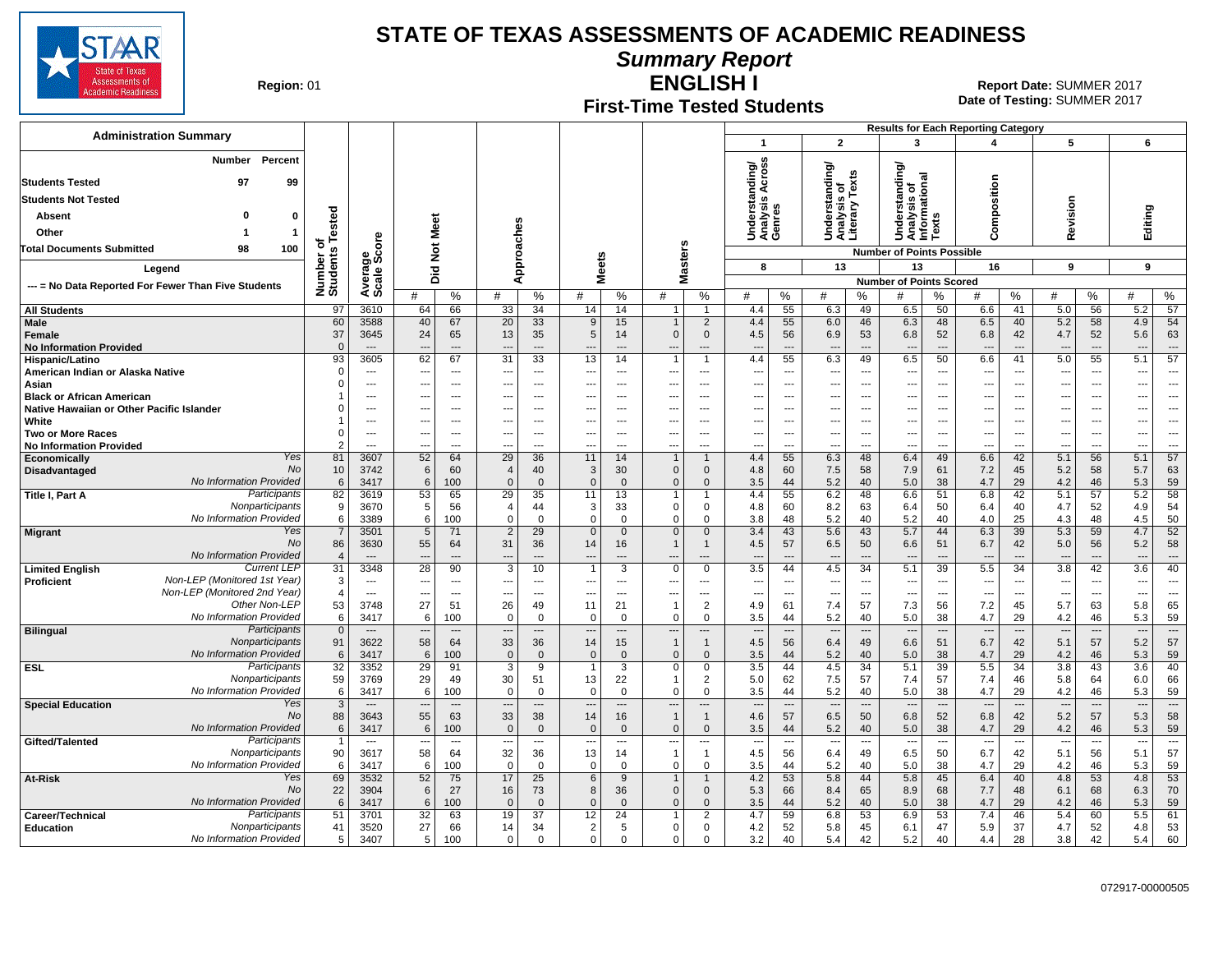

**Summary Report**

**Region: 01** 

### **First-Time Tested Students**

**ENGLISH I** 01 **Report Date:** SUMMER 2017 **Date of Testing:**  SUMMER 2017

|                                                                         |                              |                                          |                                      |                                                      |                          |                                            |                                    |                              |                                            |                                                 |                                                      |                                 |                                                                               | <b>Results for Each Reporting Category</b>             |                                                      |                                                      |                                                      |                                                      |                                            |                                 |                                |
|-------------------------------------------------------------------------|------------------------------|------------------------------------------|--------------------------------------|------------------------------------------------------|--------------------------|--------------------------------------------|------------------------------------|------------------------------|--------------------------------------------|-------------------------------------------------|------------------------------------------------------|---------------------------------|-------------------------------------------------------------------------------|--------------------------------------------------------|------------------------------------------------------|------------------------------------------------------|------------------------------------------------------|------------------------------------------------------|--------------------------------------------|---------------------------------|--------------------------------|
| <b>Administration Summary</b>                                           |                              |                                          |                                      |                                                      |                          |                                            |                                    |                              |                                            |                                                 | $\mathbf{1}$                                         |                                 | $\overline{2}$                                                                | 3                                                      |                                                      | 4                                                    |                                                      | 5                                                    |                                            | 6                               |                                |
| Percent<br><b>Number</b><br><b>Students Tested</b><br>97<br>99          |                              |                                          |                                      |                                                      |                          |                                            |                                    |                              |                                            |                                                 | anding/<br>Across                                    |                                 | Understanding/<br>Analysis of<br>Literary Texts                               | ৯                                                      |                                                      |                                                      |                                                      |                                                      |                                            |                                 |                                |
| <b>Students Not Tested</b>                                              |                              |                                          |                                      |                                                      |                          |                                            |                                    |                              |                                            |                                                 | w                                                    |                                 |                                                                               | tanding                                                |                                                      |                                                      |                                                      |                                                      |                                            |                                 |                                |
| 0<br>Absent<br>0                                                        |                              |                                          |                                      |                                                      |                          |                                            |                                    |                              |                                            |                                                 | lerstan<br>Underst<br>Analysi:<br>Genres             |                                 |                                                                               | Understanding<br>Analysis of<br>Informational<br>Texts |                                                      | omposition                                           |                                                      | evision                                              |                                            | Editing                         |                                |
| Other<br>$\mathbf{1}$                                                   |                              |                                          | Meet                                 |                                                      |                          |                                            |                                    |                              |                                            |                                                 |                                                      |                                 |                                                                               |                                                        |                                                      |                                                      |                                                      |                                                      |                                            |                                 |                                |
| 98<br><b>Total Documents Submitted</b><br>100                           |                              | δ                                        | $\frac{5}{2}$                        |                                                      | oaches                   |                                            |                                    |                              |                                            |                                                 |                                                      |                                 |                                                                               | <b>Number of Points Possible</b>                       |                                                      | ပ                                                    |                                                      | ≃                                                    |                                            |                                 |                                |
|                                                                         | Number of<br>Students Tested | န္မွဳ့ပ္ကိ                               |                                      |                                                      | ă                        |                                            | <b>Meets</b>                       |                              | <b>Masters</b>                             |                                                 | 8                                                    |                                 | 13                                                                            | 13                                                     |                                                      | 16                                                   |                                                      | 9                                                    |                                            | 9                               |                                |
| Legend                                                                  |                              | Avera<br>Scale                           | Did                                  |                                                      | ⋖                        |                                            |                                    |                              |                                            |                                                 |                                                      |                                 |                                                                               | <b>Number of Points Scored</b>                         |                                                      |                                                      |                                                      |                                                      |                                            |                                 |                                |
| --- = No Data Reported For Fewer Than Five Students                     |                              |                                          | #                                    | %                                                    | #                        | %                                          | #                                  | %                            | #                                          | %                                               | #                                                    | %<br>#                          | ℅                                                                             | #                                                      | %                                                    | #                                                    | %                                                    | #                                                    | %                                          | #                               | %                              |
| <b>All Students</b>                                                     | 97                           | 3610                                     | 64                                   | 66                                                   | 33                       | 34                                         | 14                                 | 14                           |                                            | $\overline{1}$                                  | 4.4                                                  | 55                              | 49<br>6.3                                                                     | 6.5                                                    | 50                                                   | 6.6                                                  | 41                                                   | 5.0                                                  | 56                                         | 5.2                             | 57                             |
| Male<br>Female<br><b>No Information Provided</b>                        | 60<br>37<br>$\Omega$         | 3588<br>3645<br>$\overline{\phantom{a}}$ | 40<br>24<br>$\overline{\phantom{a}}$ | 67<br>65<br>$\overline{a}$                           | 20<br>13<br>---          | 33<br>35<br>$\overline{a}$                 | 9<br>$\,$ 5 $\,$<br>$\overline{a}$ | 15<br>14<br>$\overline{a}$   | $\mathbf{1}$<br>$\mathbf 0$                | $\overline{2}$<br>$\mathbf 0$<br>$\overline{a}$ | 4.4<br>4.5<br>$\sim$                                 | 55<br>56<br>$\overline{a}$      | 6.0<br>46<br>6.9<br>53<br>$\sim$<br>$\overline{a}$                            | 6.3<br>6.8<br>---                                      | 48<br>52<br>$\overline{\phantom{a}}$                 | 6.5<br>6.8<br>$\overline{a}$                         | 40<br>42<br>$\overline{a}$                           | 5.2<br>4.7<br>$\overline{\phantom{a}}$               | 58<br>52<br>$\overline{a}$                 | 4.9<br>5.6<br>$\overline{a}$    | 54<br>63<br>$\overline{a}$     |
| Hispanic/Latino                                                         | 93<br>$\Omega$               | 3605                                     | 62                                   | 67                                                   | 31                       | 33                                         | 13                                 | 14                           | $\overline{1}$                             | $\overline{1}$                                  | 4.4                                                  | 55                              | 6.3<br>49                                                                     | 6.5                                                    | 50                                                   | 6.6                                                  | 41                                                   | 5.0                                                  | 55                                         | 5.1                             | 57                             |
| American Indian or Alaska Native<br>Asian                               | $\Omega$                     | $\sim$<br>$\sim$                         | $\overline{\phantom{a}}$             | $---$<br>$\overline{\phantom{a}}$                    | ---<br>---               | $\overline{a}$<br>$\overline{\phantom{a}}$ | ---<br>---                         | $---$<br>$---$               |                                            | $---$<br>---                                    | $\sim$<br>$\overline{\phantom{a}}$                   | $\overline{a}$<br>---           | --<br>---<br>$\overline{a}$<br>---                                            | ---<br>---                                             | $\overline{\phantom{a}}$<br>$\overline{\phantom{a}}$ | $\overline{\phantom{a}}$<br>$\overline{\phantom{a}}$ | ---<br>$\overline{\phantom{a}}$                      | $\overline{\phantom{a}}$<br>$\overline{\phantom{a}}$ | $\overline{a}$<br>$\overline{\phantom{a}}$ | ---<br>---                      | $- - -$<br>---                 |
| <b>Black or African American</b>                                        |                              | ---                                      | ---                                  | $---$                                                | ---                      | ---                                        | ---                                | ---                          | ---                                        | $---$                                           | $\overline{\phantom{a}}$                             | $\overline{\phantom{a}}$        | $\overline{\phantom{a}}$<br>---                                               | ---                                                    | $\overline{\phantom{a}}$                             | $\overline{\phantom{a}}$                             | ---                                                  | $\overline{\phantom{a}}$                             | ---                                        | ---                             | ---                            |
| Native Hawaiian or Other Pacific Islander<br>White                      | $\Omega$                     | $\overline{\phantom{a}}$                 | $\ddotsc$                            | $\overline{\phantom{a}}$<br>$\overline{\phantom{a}}$ | ---<br>---               | ---<br>---                                 | ---                                | ---                          | $\overline{\phantom{a}}$                   | ---<br>---                                      | $\overline{\phantom{a}}$<br>$\overline{\phantom{a}}$ | $\overline{\phantom{a}}$        | $\overline{\phantom{a}}$<br>---<br>$\overline{\phantom{a}}$<br>$\overline{a}$ | ---<br>---                                             | $\overline{\phantom{a}}$<br>$\overline{\phantom{a}}$ | $\overline{\phantom{a}}$<br>$\overline{a}$           | $\overline{\phantom{a}}$<br>$\overline{\phantom{a}}$ | $\qquad \qquad \cdots$<br>---                        | ---<br>---                                 | ---<br>---                      | ---                            |
| Two or More Races                                                       | $\Omega$                     | ---                                      |                                      | $\overline{\phantom{a}}$                             | ---                      | ---                                        | ---                                | ---<br>---                   | $\overline{\phantom{a}}$                   | ---                                             | $---$                                                | $\overline{\phantom{a}}$<br>--- | $\overline{\phantom{a}}$<br>---                                               | ---                                                    | $\overline{\phantom{a}}$                             | $\sim$                                               | ---                                                  | $\qquad \qquad \cdots$                               | ---                                        | ---                             | ---                            |
| <b>No Information Provided</b>                                          | 2                            | ---                                      | $\overline{a}$                       | $\overline{\phantom{a}}$                             | ÷.,                      | …                                          | ---                                | ---                          | $\overline{a}$                             | $\overline{a}$                                  | $\overline{a}$                                       | $\overline{a}$                  | ---<br>---                                                                    | Ξ.                                                     | ---                                                  | ---                                                  | $\overline{a}$                                       | ---                                                  | $\overline{a}$                             | $\overline{a}$                  | $\overline{a}$                 |
| Yes<br>Economically<br><b>No</b>                                        | 81<br>10                     | 3607<br>3742                             | 52<br>6                              | 64<br>60                                             | 29<br>$\overline{4}$     | $\overline{36}$<br>40                      | 11<br>3                            | 14<br>30                     | $\overline{1}$<br>$\mathbf{0}$             | $\overline{1}$<br>$\mathbf 0$                   | 4.4<br>4.8                                           | 55<br>60                        | 6.3<br>48<br>7.5<br>58                                                        | 6.4<br>7.9                                             | 49<br>61                                             | 6.6<br>7.2                                           | 42<br>45                                             | 5.1<br>5.2                                           | 56<br>58                                   | 5.1<br>5.7                      | 57<br>63                       |
| Disadvantaged<br>No Information Provided                                | 6                            | 3417                                     | 6                                    | 100                                                  | $\Omega$                 | $\overline{0}$                             | $\Omega$                           | $\Omega$                     | $\mathbf 0$                                | $\Omega$                                        | 3.5                                                  | 44                              | 5.2<br>40                                                                     | 5.0                                                    | 38                                                   | 4.7                                                  | 29                                                   | 4.2                                                  | 46                                         | 5.3                             | 59                             |
| Participants<br>Title I, Part A                                         | 82                           | 3619                                     | 53                                   | 65                                                   | 29                       | 35                                         | 11                                 | 13                           | $\mathbf{1}$                               |                                                 | 4.4                                                  | 55                              | 6.2<br>48                                                                     | 6.6                                                    | 51                                                   | 6.8                                                  | 42                                                   | 5.1                                                  | 57                                         | 5.2                             | 58                             |
| Nonparticipants<br>No Information Provided                              | 9<br>6                       | 3670<br>3389                             | 5<br>6                               | 56<br>100                                            | $\angle$<br>$\Omega$     | 44<br>$\overline{0}$                       | 3<br>$\mathbf 0$                   | 33<br>$\Omega$               | $\mathbf 0$<br>$\mathbf 0$                 | $\mathbf 0$<br>0                                | 4.8<br>3.8                                           | 60<br>48                        | 8.2<br>63<br>5.2<br>40                                                        | 6.4<br>5.2                                             | 50<br>40                                             | 6.4<br>4.0                                           | 40<br>25                                             | 4.7<br>4.3                                           | 52<br>48                                   | 4.9<br>4.5                      | 54<br>50                       |
| Yes<br><b>Migrant</b>                                                   | $\overline{7}$               | 3501                                     | $5\phantom{.0}$                      | 71                                                   | $\overline{2}$           | 29                                         | $\mathbf{0}$                       | $\mathbf 0$                  | $\mathbf 0$                                | $\mathbf 0$                                     | 3.4                                                  | 43                              | 5.6<br>43                                                                     | 5.7                                                    | 44                                                   | 6.3                                                  | 39                                                   | 5.3                                                  | 59                                         | 4.7                             | 52                             |
| <b>No</b>                                                               | 86                           | 3630                                     | 55                                   | 64                                                   | 31                       | 36                                         | 14                                 | 16                           | $\mathbf{1}$                               | $\mathbf{1}$                                    | 4.5                                                  | 57                              | 50<br>6.5                                                                     | 6.6                                                    | 51                                                   | 6.7                                                  | 42                                                   | 5.0                                                  | 56                                         | 5.2                             | 58                             |
| No Information Provided<br><b>Current LEF</b><br><b>Limited English</b> | $\boldsymbol{A}$<br>31       | $\overline{\phantom{a}}$<br>3348         | $\overline{\phantom{a}}$<br>28       | $---$<br>90                                          | ---<br>3                 | $\overline{a}$<br>10                       | $---$                              | $---$<br>3                   | $\overline{\phantom{a}}$<br>$\mathbf 0$    | $---$<br>$\mathbf 0$                            | $\overline{a}$<br>3.5                                | $\overline{\phantom{a}}$<br>44  | $\sim$<br>$---$<br>4.5<br>34                                                  | $\overline{\phantom{a}}$<br>5.1                        | $\overline{\phantom{a}}$<br>39                       | $---$<br>5.5                                         | $---$<br>34                                          | $\overline{\phantom{a}}$<br>3.8                      | $\overline{\phantom{a}}$<br>42             | $---$<br>3.6                    | $\overline{\phantom{a}}$<br>40 |
| Non-LEP (Monitored 1st Year)<br><b>Proficient</b>                       | 3                            | $- - -$                                  | $\sim$                               | $---$                                                | ---                      | $---$                                      | $\overline{\phantom{a}}$           | $---$                        | $-$                                        | $---$                                           | $\overline{a}$                                       | $\overline{a}$                  | $\overline{\phantom{a}}$<br>$---$                                             | ---                                                    | $\sim$                                               | $\overline{\phantom{a}}$                             | $\sim$                                               | $\sim$                                               | $\overline{a}$                             | $\overline{\phantom{a}}$        | $\overline{a}$                 |
| Non-LEP (Monitored 2nd Year)<br>Other Non-LEP                           | $\overline{4}$               | $-$                                      | $\overline{\phantom{a}}$             | $---$                                                | ---                      | $---$                                      | ---                                | $---$                        | ---                                        | $---$                                           | $\sim$                                               | $\overline{a}$                  | $\overline{\phantom{a}}$<br>$\sim$                                            | ---                                                    | $\sim$                                               | $\overline{\phantom{a}}$                             | $\sim$                                               | ---                                                  | $\overline{a}$                             | ---                             | $---$                          |
| No Information Provided                                                 | 53<br>6                      | 3748<br>3417                             | 27<br>6                              | 51<br>100                                            | 26<br>$\Omega$           | 49<br>$\Omega$                             | 11<br>$\Omega$                     | 21<br>$\Omega$               | $\overline{1}$<br>$\mathbf 0$              | 2<br>$\mathbf 0$                                | 4.9<br>3.5                                           | 61<br>44                        | 7.4<br>57<br>5.2<br>40                                                        | 7.3<br>5.0                                             | 56<br>38                                             | 7.2<br>4.7                                           | 45<br>29                                             | 5.7<br>4.2                                           | 63<br>46                                   | 5.8<br>5.3                      | 65<br>59                       |
| Participants<br><b>Bilingual</b>                                        | $\mathbf{0}$                 | $\hspace{1.5cm} \dots$                   | $\overline{\phantom{a}}$             | $\overline{\phantom{a}}$                             | $\overline{\phantom{a}}$ | $\overline{\phantom{a}}$                   | $\overline{\phantom{a}}$           | $\overline{a}$               | $\overline{\phantom{a}}$                   | ---                                             | $\overline{\phantom{a}}$                             | $\overline{\phantom{a}}$        | $\overline{\phantom{a}}$<br>$\overline{a}$                                    | $\overline{\phantom{a}}$                               | $\overline{\phantom{a}}$                             | $\overline{\phantom{a}}$                             | $\overline{\phantom{a}}$                             | $\overline{\phantom{a}}$                             | $\overline{\phantom{a}}$                   | $\overline{\phantom{a}}$        | $\overline{\phantom{a}}$       |
| Nonparticipants<br>No Information Provided                              | 91<br>6                      | 3622<br>3417                             | 58<br>6                              | 64<br>100                                            | 33<br>$\overline{0}$     | 36<br>$\overline{0}$                       | 14<br>$\Omega$                     | 15 <sup>15</sup><br>$\Omega$ | $\overline{1}$<br>$\Omega$                 | $\mathbf{1}$<br>$\mathbf{0}$                    | 4.5<br>3.5                                           | 56<br>44                        | 6.4<br>49<br>5.2<br>40                                                        | 6.6<br>5.0                                             | 51<br>38                                             | 6.7<br>4.7                                           | 42<br>29                                             | 5.1<br>4.2                                           | 57<br>46                                   | 5.2<br>5.3                      | 57<br>59                       |
| <b>ESL</b><br>Participants                                              | 32                           | 3352                                     | 29                                   | 91                                                   | 3                        | $\overline{9}$                             |                                    | 3                            | $\mathbf 0$                                | $\mathbf 0$                                     | 3.5                                                  | 44                              | 34<br>4.5                                                                     | 5.1                                                    | 39                                                   | 5.5                                                  | 34                                                   | 3.8                                                  | 43                                         | 3.6                             | 40                             |
| Nonparticipants                                                         | 59                           | 3769                                     | 29                                   | 49                                                   | 30                       | 51                                         | 13                                 | 22                           | $\mathbf{1}$                               | 2                                               | 5.0                                                  | 62                              | 7.5<br>57                                                                     | 7.4                                                    | 57                                                   | 7.4                                                  | 46                                                   | 5.8                                                  | 64                                         | 6.0                             | 66                             |
| No Information Provided<br>Yes<br><b>Special Education</b>              | 6<br>3                       | 3417<br>$\overline{\phantom{a}}$         | 6<br>$\overline{\phantom{a}}$        | 100<br>$\overline{\phantom{a}}$                      | $\overline{0}$<br>---    | $\overline{0}$<br>$\overline{\phantom{a}}$ | $\mathbf 0$<br>$\cdots$            | $\Omega$<br>---              | $\mathbf 0$<br>$\overline{\phantom{a}}$    | $\mathbf 0$<br>$\overline{\phantom{a}}$         | 3.5<br>$\overline{a}$                                | 44<br>---                       | 5.2<br>40<br>$\overline{\phantom{a}}$<br>---                                  | 5.0<br>$\overline{\phantom{a}}$                        | 38<br>$\overline{\phantom{a}}$                       | 4.7<br>$\overline{\phantom{a}}$                      | 29<br>$\overline{\phantom{a}}$                       | 4.2<br>$\overline{\phantom{a}}$                      | 46<br>$\overline{\phantom{a}}$             | 5.3<br>$\hspace{0.05cm} \cdots$ | 59<br>$\overline{\phantom{a}}$ |
| <b>No</b>                                                               | 88                           | 3643                                     | 55                                   | 63                                                   | 33                       | 38                                         | 14                                 | 16                           | $\overline{1}$                             | $\mathbf{1}$                                    | 4.6                                                  | 57                              | 6.5<br>50                                                                     | 6.8                                                    | 52                                                   | 6.8                                                  | 42                                                   | 5.2                                                  | 57                                         | 5.3                             | 58                             |
| No Information Provided                                                 | 6                            | 3417                                     | 6                                    | 100                                                  | $\overline{0}$           | $\overline{0}$                             | $\Omega$                           | $\mathbf{0}$                 | $\mathbf{0}$                               | $\mathbf{0}$                                    | 3.5                                                  | 44                              | 5.2<br>40                                                                     | 5.0                                                    | 38                                                   | 4.7                                                  | 29                                                   | 4.2                                                  | 46                                         | 5.3                             | 59                             |
| Participants<br>Gifted/Talented<br>Nonparticipants                      | 90                           | $\cdots$<br>3617                         | $\overline{\phantom{a}}$<br>58       | $\scriptstyle\cdots$<br>64                           | ---<br>32                | $\overline{\phantom{a}}$<br>36             | $\hspace{0.05cm} \ldots$<br>13     | ---<br>14                    | $\overline{\phantom{a}}$<br>$\overline{1}$ | $\hspace{0.05cm} \ldots$<br>$\overline{1}$      | $\cdots$<br>4.5                                      | $\ldots$<br>56                  | $\overline{\phantom{a}}$<br>$\overline{\phantom{a}}$<br>6.4<br>49             | $\overline{\phantom{a}}$<br>6.5                        | $\sim$<br>50                                         | $\overline{\phantom{a}}$<br>6.7                      | $\sim$<br>42                                         | $\sim$<br>5.1                                        | $\overline{\phantom{a}}$<br>56             | $\sim$<br>5.1                   | $\sim$<br>57                   |
| No Information Provided                                                 | 6                            | 3417                                     | 6                                    | 100                                                  | $\Omega$                 | $\Omega$                                   | $\Omega$                           | $\Omega$                     | $\Omega$                                   | $\mathbf 0$                                     | 3.5                                                  | 44                              | 5.2<br>40                                                                     | 5.0                                                    | 38                                                   | 4.7                                                  | 29                                                   | 4.2                                                  | 46                                         | 5.3                             | 59                             |
| Yes<br>At-Risk<br>No                                                    | 69                           | 3532                                     | 52                                   | 75                                                   | 17                       | $\overline{25}$                            | 6                                  | 9                            | $\mathbf{1}$                               | $\mathbf{1}$                                    | 4.2                                                  | 53                              | 5.8<br>44                                                                     | 5.8                                                    | 45                                                   | 6.4                                                  | 40                                                   | 4.8                                                  | 53                                         | 4.8                             | 53                             |
| No Information Provided                                                 | 22<br>6                      | 3904<br>3417                             | 6<br>6                               | 27<br>100                                            | 16<br>$\Omega$           | 73<br>$\overline{0}$                       | 8<br>$\Omega$                      | 36<br>$\Omega$               | $\mathbf{0}$<br>$\mathbf{0}$               | $\mathbf{0}$<br>$\Omega$                        | 5.3<br>3.5                                           | 66<br>44                        | 8.4<br>65<br>5.2<br>40                                                        | 8.9<br>5.0                                             | 68<br>38                                             | 7.7<br>4.7                                           | 48<br>29                                             | 6.1<br>4.2                                           | 68<br>46                                   | 6.3<br>5.3                      | 70<br>59                       |
| Participants<br>Career/Technical                                        | 51                           | 3701                                     | 32                                   | 63                                                   | 19                       | 37                                         | 12                                 | 24                           | -1                                         | $\overline{2}$                                  | 4.7                                                  | 59                              | 53<br>6.8                                                                     | 6.9                                                    | 53                                                   | 7.4                                                  | 46                                                   | 5.4                                                  | 60                                         | 5.5                             | 61                             |
| Nonparticipants<br><b>Education</b><br>No Information Provided          | 41<br>5                      | 3520<br>3407                             | 27<br>5                              | 66<br>100                                            | 14<br>$\mathbf 0$        | 34<br>$\Omega$                             | 2<br>$\mathbf 0$                   | 5<br>$\Omega$                | $\mathbf{0}$<br>$\mathbf 0$                | $\mathbf 0$<br>$\Omega$                         | 4.2<br>3.2                                           | 52<br>40                        | 5.8<br>45<br>42<br>5.4                                                        | 6.1<br>5.2                                             | 47<br>40                                             | 5.9<br>4.4                                           | 37<br>28                                             | 4.7<br>3.8                                           | 52<br>42                                   | 4.8<br>5.4                      | 53<br>60                       |
|                                                                         |                              |                                          |                                      |                                                      |                          |                                            |                                    |                              |                                            |                                                 |                                                      |                                 |                                                                               |                                                        |                                                      |                                                      |                                                      |                                                      |                                            |                                 |                                |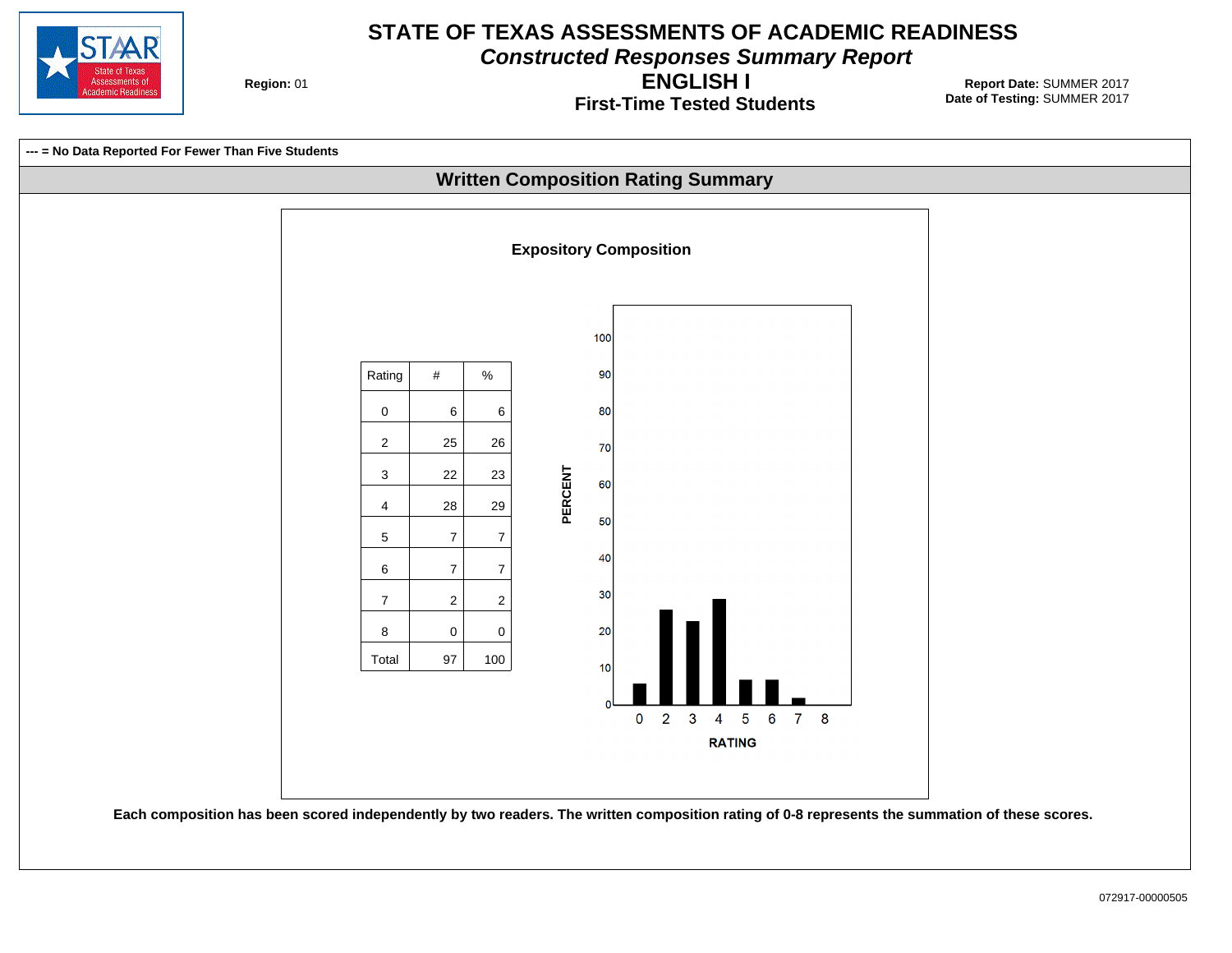

**Constructed Responses Summary Report**

**Region: 01** 

**First-Time Tested Students ENGLISH I**

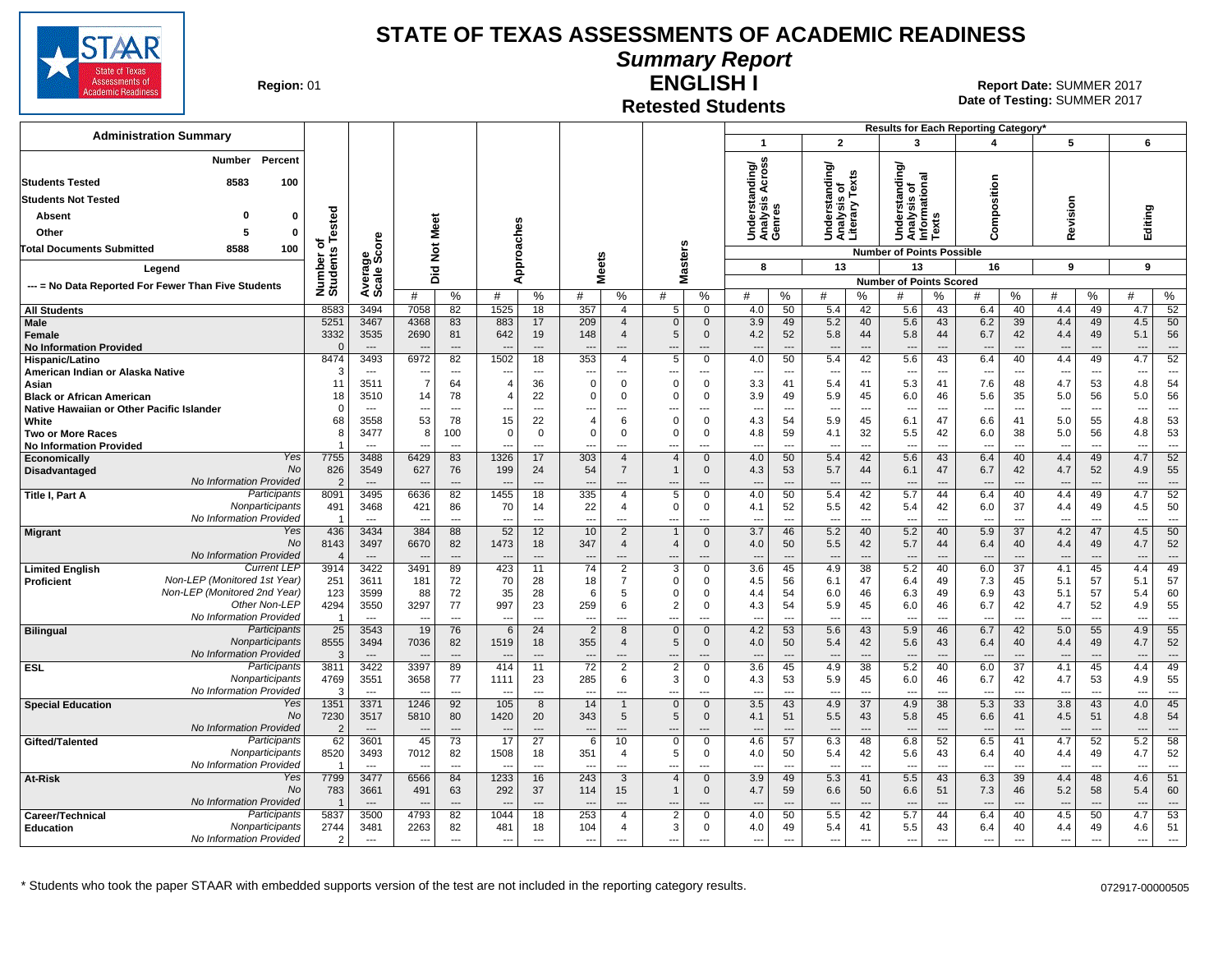

**Summary Report**

**Region: 01** 

#### **Retested Students ENGLISH I**

|                                                                              |                              |                                  |                |                                |                          |                                |                               |                                  |                                      |                                |                                     |                                |                                                 |                                | Results for Each Reporting Category'          |                                |                        |                      |                                 |                                |                                 |                                |
|------------------------------------------------------------------------------|------------------------------|----------------------------------|----------------|--------------------------------|--------------------------|--------------------------------|-------------------------------|----------------------------------|--------------------------------------|--------------------------------|-------------------------------------|--------------------------------|-------------------------------------------------|--------------------------------|-----------------------------------------------|--------------------------------|------------------------|----------------------|---------------------------------|--------------------------------|---------------------------------|--------------------------------|
| <b>Administration Summary</b>                                                |                              |                                  |                |                                |                          |                                |                               |                                  |                                      |                                | $\overline{1}$                      |                                | $\overline{2}$                                  |                                | $\overline{\mathbf{3}}$                       |                                | 4                      |                      | 5                               |                                | 6                               |                                |
| <b>Number</b><br>Percent                                                     |                              |                                  |                |                                |                          |                                |                               |                                  |                                      |                                |                                     |                                |                                                 |                                |                                               |                                |                        |                      |                                 |                                |                                 |                                |
| 8583<br>100<br><b>Students Tested</b>                                        |                              |                                  |                |                                |                          |                                |                               |                                  |                                      |                                | Across<br>ding/                     |                                | Understanding/<br>Analysis of<br>Literary Texts |                                | Jnderstanding/<br>Analysis of<br>nformational |                                |                        |                      |                                 |                                |                                 |                                |
| <b>Students Not Tested</b>                                                   |                              |                                  |                |                                |                          |                                |                               |                                  |                                      |                                | Understand<br>Analysis Av<br>Genres |                                |                                                 |                                |                                               |                                | omposition             |                      |                                 |                                |                                 |                                |
| <b>Absent</b><br>o<br>0                                                      |                              |                                  |                |                                |                          |                                |                               |                                  |                                      |                                |                                     |                                |                                                 |                                |                                               | n                              |                        |                      | evision                         |                                | Editing                         |                                |
| Other<br>0<br>5                                                              |                              |                                  |                | Meet                           |                          |                                |                               |                                  |                                      |                                |                                     |                                |                                                 |                                |                                               | Text                           |                        |                      |                                 |                                |                                 |                                |
| 8588<br>Total Documents Submitted<br>100                                     |                              | ၑ<br>ō                           |                | $\rm \breve{\rm z}$            |                          | oaches                         |                               |                                  |                                      |                                |                                     |                                |                                                 |                                | ⊇∢><br>∍                                      |                                | $\epsilon$             |                      | œ                               |                                |                                 |                                |
| Legend                                                                       | Number or<br>Students Tested | క్టిట్                           |                |                                |                          | ă                              | <b>Meets</b>                  |                                  |                                      | asters                         | 8                                   |                                | 13                                              |                                | <b>Number of Points Possible</b><br>13        |                                | 16                     |                      | 9                               |                                | 9                               |                                |
|                                                                              |                              | Average:                         |                | 흐<br>۵                         |                          | ⋖                              |                               |                                  | Σ                                    |                                |                                     |                                |                                                 |                                | <b>Number of Points Scored</b>                |                                |                        |                      |                                 |                                |                                 |                                |
| --- = No Data Reported For Fewer Than Five Students                          |                              |                                  | #              | $\%$                           | #                        | %                              | #                             | %                                | #                                    | %                              | #                                   | %                              | #                                               | %                              | #                                             | %                              | #                      | ℅                    | #                               | ℅                              | #                               | %                              |
| <b>All Students</b>                                                          | 8583                         | 3494                             | 7058           | 82                             | 1525                     | 18                             | 357                           | $\overline{4}$                   | 5                                    | $\Omega$                       | 4.0                                 | 50                             | 5.4                                             | 42                             | 5.6                                           | 43                             | 6.4                    | 40                   | 4.4                             | 49                             | 4.7                             | 52                             |
| <b>Male</b><br>Female                                                        | 5251<br>3332                 | 3467<br>3535                     | 4368<br>2690   | 83<br>81                       | 883<br>642               | 17<br>19                       | 209<br>148                    | $\overline{4}$<br>$\overline{4}$ | $\Omega$<br>5                        | $\mathbf{0}$<br>$\mathbf{0}$   | 3.9<br>4.2                          | 49<br>52                       | 5.2<br>5.8                                      | 40<br>44                       | 5.6<br>5.8                                    | 43<br>44                       | 6.2<br>6.7             | 39<br>42             | 4.4<br>4.4                      | 49<br>49                       | 4.5<br>5.1                      | 50<br>56                       |
| <b>No Information Provided</b>                                               | $\Omega$                     | $\overline{\phantom{a}}$         |                | $\overline{a}$                 |                          | $\sim$                         |                               | ---                              |                                      | $---$                          | $-$                                 |                                | $\overline{\phantom{a}}$                        | $\overline{a}$                 | $\overline{\phantom{a}}$                      | $\overline{\phantom{a}}$       | $\overline{a}$         | $\overline{a}$       |                                 | ---                            |                                 | $\overline{a}$                 |
| Hispanic/Latino                                                              | 8474                         | 3493                             | 6972           | 82                             | 1502                     | 18                             | 353                           | $\overline{4}$                   | 5                                    | $\mathbf 0$                    | 4.0                                 | 50                             | 5.4                                             | 42                             | 5.6                                           | 43                             | 6.4                    | 40                   | 4.4                             | 49                             | 4.7                             | 52                             |
| American Indian or Alaska Native<br>Asian                                    | 3<br>11                      | $\sim$<br>3511                   | $\overline{7}$ | $\overline{\phantom{a}}$<br>64 | --<br>$\overline{4}$     | $\overline{\phantom{a}}$<br>36 | $\Omega$                      | ---<br>$\Omega$                  | $\Omega$                             | ---<br>$\Omega$                | ---<br>3.3                          | $\overline{\phantom{a}}$<br>41 | $\overline{\phantom{a}}$<br>5.4                 | $\overline{\phantom{a}}$<br>41 | $\overline{\phantom{a}}$<br>5.3               | $\overline{\phantom{a}}$<br>41 | ---<br>7.6             | ---<br>48            | ---<br>4.7                      | ---<br>53                      | $\overline{\phantom{a}}$<br>4.8 | $\overline{a}$<br>54           |
| <b>Black or African American</b>                                             | 18                           | 3510                             | 14             | 78                             | 4                        | 22                             | $\mathbf 0$                   | 0                                | $\Omega$                             | 0                              | 3.9                                 | 49                             | 5.9                                             | 45                             | 6.0                                           | 46                             | 5.6                    | 35                   | 5.0                             | 56                             | 5.0                             | 56                             |
| Native Hawaiian or Other Pacific Islander                                    | $\Omega$                     | $\sim$                           |                | $\overline{\phantom{a}}$       | ---                      | $\overline{\phantom{a}}$       | ---                           | ---                              | $\overline{\phantom{a}}$             | ---                            | ---                                 | ---                            | $\overline{\phantom{a}}$                        | $\overline{\phantom{a}}$       | $\overline{\phantom{a}}$                      | $\overline{\phantom{a}}$       | $\overline{a}$         | ---                  | ---                             | $\overline{\phantom{a}}$       | ---                             | $---$                          |
| White<br><b>Two or More Races</b>                                            | 68<br>8                      | 3558<br>3477                     | 53<br>8        | 78<br>100                      | 15<br>$\Omega$           | 22<br>$\overline{0}$           | $\overline{4}$<br>$\mathsf 0$ | 6<br>$\mathbf 0$                 | $\Omega$<br>$\Omega$                 | $\mathbf 0$<br>$\mathbf 0$     | 4.3<br>4.8                          | 54<br>59                       | 5.9<br>4.1                                      | 45<br>32                       | 6.1<br>5.5                                    | 47<br>42                       | 6.6<br>6.0             | 41<br>38             | 5.0<br>5.0                      | 55<br>56                       | 4.8<br>4.8                      | 53<br>53                       |
| <b>No Information Provided</b>                                               |                              |                                  |                | $\overline{a}$                 |                          | $\overline{a}$                 | ---                           | ---                              | $\overline{\phantom{a}}$             | $\overline{a}$                 |                                     | ---                            | $\overline{\phantom{a}}$                        | $\overline{a}$                 | ---                                           | $\overline{a}$                 | ---                    | $\overline{a}$       |                                 | $\sim$                         |                                 | $\overline{a}$                 |
| Yes<br>Economically                                                          | 7755                         | 3488                             | 6429           | 83                             | 1326                     | 17                             | 303                           | $\overline{4}$                   | $\overline{4}$                       | $\mathbf{0}$                   | 4.0                                 | 50                             | 5.4                                             | 42                             | 5.6                                           | 43                             | 6.4                    | 40                   | 4.4                             | 49                             | 4.7                             | 52                             |
| <b>No</b><br>Disadvantaged<br>No Information Provided                        | 826<br>$\overline{2}$        | 3549<br>$---$                    | 627            | 76<br>$\overline{a}$           | 199<br>$\overline{a}$    | 24<br>$\overline{a}$           | 54<br>$\sim$                  | $\overline{7}$<br>$\overline{a}$ | $\overline{\phantom{a}}$             | $\mathbf 0$<br>$\overline{a}$  | 4.3<br>$\overline{a}$               | 53<br>$\overline{a}$           | 5.7<br>$\sim$                                   | 44<br>$\overline{a}$           | 6.1<br>---                                    | 47<br>$\overline{\phantom{a}}$ | 6.7<br>$\overline{a}$  | 42<br>$\overline{a}$ | 4.7<br>$\sim$                   | 52<br>$\overline{\phantom{a}}$ | 4.9<br>$\overline{\phantom{a}}$ | 55<br>$\overline{a}$           |
| Participants<br>Title I. Part A                                              | 8091                         | 3495                             | 6636           | 82                             | 1455                     | 18                             | 335                           | 4                                | 5                                    | $\mathbf 0$                    | 4.0                                 | 50                             | 5.4                                             | 42                             | 5.7                                           | 44                             | 6.4                    | 40                   | 4.4                             | 49                             | 4.7                             | 52                             |
| Nonparticipants                                                              | 491                          | 3468                             | 421            | 86                             | 70                       | 14                             | 22                            | 4                                | $\mathbf 0$                          | 0                              | 4.1                                 | 52                             | 5.5                                             | 42                             | 5.4                                           | 42                             | 6.0                    | 37                   | 4.4                             | 49                             | 4.5                             | 50                             |
| No Information Provided<br>Yes                                               |                              | $\sim$<br>3434                   | --<br>384      | $---$                          | $\overline{a}$           | ---                            | $\overline{a}$                | $\overline{a}$                   | $\sim$<br>$\overline{1}$             | $---$<br>$\mathbf{0}$          | $-$                                 | ---                            | ---                                             | ---                            | $\overline{a}$                                | $\overline{a}$                 | $\overline{a}$         | $\overline{a}$       | ---                             | ---                            | $\sim$<br>4.5                   | $---$<br>50                    |
| <b>Migrant</b><br>No                                                         | 436<br>8143                  | 3497                             | 6670           | 88<br>82                       | 52<br>1473               | 12<br>18                       | 10<br>347                     | $\overline{2}$<br>$\overline{4}$ | $\overline{4}$                       | $\mathbf 0$                    | 3.7<br>4.0                          | 46<br>50                       | 5.2<br>5.5                                      | 40<br>42                       | 5.2<br>5.7                                    | 40<br>44                       | 5.9<br>6.4             | 37<br>40             | 4.2<br>4.4                      | 47<br>49                       | 4.7                             | 52                             |
| No Information Provided                                                      | $\boldsymbol{\Delta}$        | $\overline{\phantom{a}}$         |                | $\overline{a}$                 |                          | $\overline{\phantom{a}}$       |                               | $\sim$                           |                                      | $\overline{a}$                 | $\overline{a}$                      | $\overline{a}$                 | $\sim$                                          | $\overline{\phantom{a}}$       | $\overline{\phantom{a}}$                      | $\sim$                         | $\sim$                 | $\sim$               | $\overline{\phantom{a}}$        | $\sim$                         |                                 | $\overline{a}$                 |
| <b>Current LEF</b><br><b>Limited English</b><br>Non-LEP (Monitored 1st Year) | 3914<br>251                  | 3422                             | 3491           | 89                             | 423<br>70                | 11                             | 74<br>18                      | $\overline{2}$<br>$\overline{7}$ | 3<br>$\Omega$                        | $\mathbf 0$<br>0               | $\overline{3.6}$                    | 45                             | 4.9                                             | 38                             | 5.2                                           | 40                             | 6.0<br>7.3             | $\overline{37}$      | 4.1                             | 45<br>57                       | 4.4                             | 49<br>57                       |
| Proficient<br>Non-LEP (Monitored 2nd Year)                                   | 123                          | 3611<br>3599                     | 181<br>88      | 72<br>72                       | 35                       | 28<br>28                       | 6                             | 5                                | $\Omega$                             | $\Omega$                       | 4.5<br>4.4                          | 56<br>54                       | 6.1<br>6.0                                      | 47<br>46                       | 6.4<br>6.3                                    | 49<br>49                       | 6.9                    | 45<br>43             | 5.1<br>5.1                      | 57                             | 5.1<br>5.4                      | 60                             |
| Other Non-LEF                                                                | 4294                         | 3550                             | 3297           | 77                             | 997                      | 23                             | 259                           | 6                                | $\overline{2}$                       | $\mathbf 0$                    | 4.3                                 | 54                             | 5.9                                             | 45                             | 6.0                                           | 46                             | 6.7                    | 42                   | 4.7                             | 52                             | 4.9                             | 55                             |
| No Information Provided                                                      | -1                           | $\overline{a}$                   |                | $\overline{\phantom{a}}$       | $\overline{a}$           | $\overline{a}$                 | ---                           | ---                              | $\overline{a}$                       | $\overline{a}$                 | $\overline{a}$                      | Ξ.                             | $\overline{\phantom{a}}$                        | ---                            | $\overline{\phantom{a}}$                      | ---                            | $\overline{a}$         | $\overline{a}$       | ---                             | $\overline{a}$                 |                                 | $\overline{\phantom{a}}$       |
| Participants<br><b>Bilingual</b><br>Nonparticipants                          | 25<br>8555                   | 3543<br>3494                     | 19<br>7036     | 76<br>82                       | 6<br>1519                | 24<br>18                       | $\overline{2}$<br>355         | 8<br>$\overline{4}$              | $\mathbf{0}$<br>5                    | $\mathbf{0}$<br>$\mathbf 0$    | 4.2<br>4.0                          | 53<br>50                       | 5.6<br>5.4                                      | 43<br>42                       | 5.9<br>5.6                                    | 46<br>43                       | 6.7<br>6.4             | 42<br>40             | 5.0<br>4.4                      | 55<br>49                       | 4.9<br>4.7                      | 55<br>52                       |
| No Information Provided                                                      | $\mathcal{R}$                | $---$                            |                | $\overline{a}$                 | $\overline{\phantom{a}}$ | $\overline{a}$                 |                               | $\overline{a}$                   |                                      | $\overline{a}$                 |                                     | $\overline{a}$                 | $\overline{\phantom{a}}$                        | $\overline{a}$                 | $\overline{\phantom{a}}$                      | $\overline{\phantom{a}}$       | $\overline{a}$         | $\overline{a}$       | $\overline{a}$                  | $\sim$                         |                                 | $\overline{a}$                 |
| Participants<br><b>ESL</b>                                                   | 3811                         | 3422                             | 3397           | 89                             | 414                      | 11                             | $\overline{72}$               | $\overline{2}$                   | 2                                    | $\mathbf 0$                    | 3.6                                 | 45                             | 4.9                                             | 38                             | 5.2                                           | 40                             | 6.0                    | $\overline{37}$      | 4.1                             | 45                             | 4.4                             | 49                             |
| Nonparticipants<br>No Information Provided                                   | 4769<br>- 3                  | 3551<br>$\overline{\phantom{a}}$ | 3658           | 77<br>$\overline{\phantom{a}}$ | 1111                     | 23<br>$\overline{\phantom{a}}$ | 285                           | 6<br>---                         | 3<br>---                             | $\mathbf{0}$<br>$\overline{a}$ | 4.3<br>---                          | 53<br>---                      | 5.9<br>$\overline{\phantom{a}}$                 | 45<br>$\overline{\phantom{a}}$ | 6.0<br>$\overline{\phantom{a}}$               | 46<br>$\overline{\phantom{a}}$ | 6.7<br>$\overline{a}$  | 42<br>---            | 4.7<br>---                      | 53<br>---                      | 4.9                             | 55<br>$\overline{\phantom{a}}$ |
| Yes<br><b>Special Education</b>                                              | 1351                         | 3371                             | 1246           | 92                             | 105                      | 8                              | 14                            | $\mathbf{1}$                     | $\mathbf{0}$                         | $\mathbf{0}$                   | 3.5                                 | 43                             | 4.9                                             | $\overline{37}$                | 4.9                                           | 38                             | 5.3                    | 33                   | 3.8                             | 43                             | 4.0                             | 45                             |
| No                                                                           | 7230                         | 3517                             | 5810           | 80                             | 1420                     | 20                             | 343                           | 5                                | 5                                    | $\mathbf 0$                    | 4.1                                 | 51                             | 5.5                                             | 43                             | 5.8                                           | 45                             | 6.6                    | 41                   | 4.5                             | 51                             | 4.8                             | 54                             |
| No Information Provided<br>Participants<br>Gifted/Talented                   | 62                           | 3601                             | 45             | $\overline{\phantom{a}}$<br>73 | --<br>17                 | $\overline{a}$<br>27           | 6                             | 10                               | $\overline{\phantom{a}}$<br>$\Omega$ | $---$<br>0                     | $\overline{\phantom{a}}$<br>4.6     | ---<br>57                      | $\overline{\phantom{a}}$<br>6.3                 | $\overline{a}$<br>48           | $\overline{\phantom{a}}$<br>6.8               | $\overline{\phantom{a}}$<br>52 | $\overline{a}$<br>6.5  | $---$<br>41          | $\overline{\phantom{a}}$<br>4.7 | $\overline{\phantom{a}}$<br>52 | 5.2                             | $---$<br>58                    |
| Nonparticipants                                                              | 8520                         | 3493                             | 7012           | 82                             | 1508                     | 18                             | 351                           | 4                                | 5                                    | $\mathbf 0$                    | 4.0                                 | 50                             | 5.4                                             | 42                             | 5.6                                           | 43                             | 6.4                    | 40                   | 4.4                             | 49                             | 4.7                             | 52                             |
| No Information Provided                                                      | - 1                          | $\sim$                           |                | $\overline{a}$                 | $\overline{\phantom{a}}$ | $\overline{a}$                 | $\sim$                        | $\overline{a}$                   | $- - -$                              | $---$                          | $-$                                 | $\overline{a}$                 | ---                                             | $\overline{a}$                 | $\overline{\phantom{a}}$                      | $\overline{\phantom{a}}$       | $\overline{a}$         | $\overline{a}$       | $\overline{\phantom{a}}$        | $\overline{a}$                 | $\sim$                          | $---$                          |
| Yes<br>At-Risk<br><b>No</b>                                                  | 7799                         | 3477                             | 6566           | 84                             | 1233                     | 16                             | 243                           | 3                                | $\overline{4}$<br>$\mathbf{1}$       | $\mathbf{0}$                   | 3.9                                 | 49                             | 5.3                                             | 41                             | 5.5                                           | 43                             | 6.3                    | 39                   | 4.4                             | 48                             | 4.6                             | 51                             |
| No Information Provided                                                      | 783                          | 3661<br>$---$                    | 491            | 63<br>$---$                    | 292<br>---               | 37<br>$---$                    | 114                           | 15<br>$---$                      | $\overline{\phantom{a}}$             | $\mathbf 0$<br>$---$           | 4.7<br>$\overline{a}$               | 59<br>$\overline{a}$           | 6.6<br>---                                      | 50<br>$\overline{a}$           | 6.6<br>---                                    | 51<br>$---$                    | 7.3<br>$---$           | 46<br>---            | 5.2<br>$---$                    | 58<br>$---$                    | 5.4<br>$\overline{\phantom{a}}$ | 60<br>$---$                    |
| Participants<br>Career/Technical                                             | 5837                         | 3500                             | 4793           | 82                             | 1044                     | 18                             | 253                           | 4                                | $\overline{2}$                       | $\mathbf 0$                    | 4.0                                 | 50                             | 5.5                                             | 42                             | 5.7                                           | 44                             | 6.4                    | 40                   | 4.5                             | 50                             | 4.7                             | 53                             |
| Nonparticipants<br><b>Education</b>                                          | 2744                         | 3481                             | 2263           | 82                             | 481                      | 18                             | 104                           | 4                                | 3                                    | 0                              | 4.0                                 | 49                             | 5.4                                             | 41                             | 5.5                                           | 43                             | 6.4                    | 40                   | 4.4                             | 49                             | 4.6                             | 51                             |
| No Information Provided                                                      | 2                            | $\sim$                           | $\sim$         | $\sim$                         | ---                      | $\overline{a}$                 | $\overline{\phantom{a}}$      | $- - -$                          | $\overline{\phantom{a}}$             | $\overline{a}$                 | ---                                 | ---                            | ---                                             | $\overline{a}$                 | $---$                                         | $\overline{\phantom{a}}$       | $\qquad \qquad \cdots$ | $\overline{a}$       | ---                             | $\sim$                         | $\overline{\phantom{a}}$        | $\overline{a}$                 |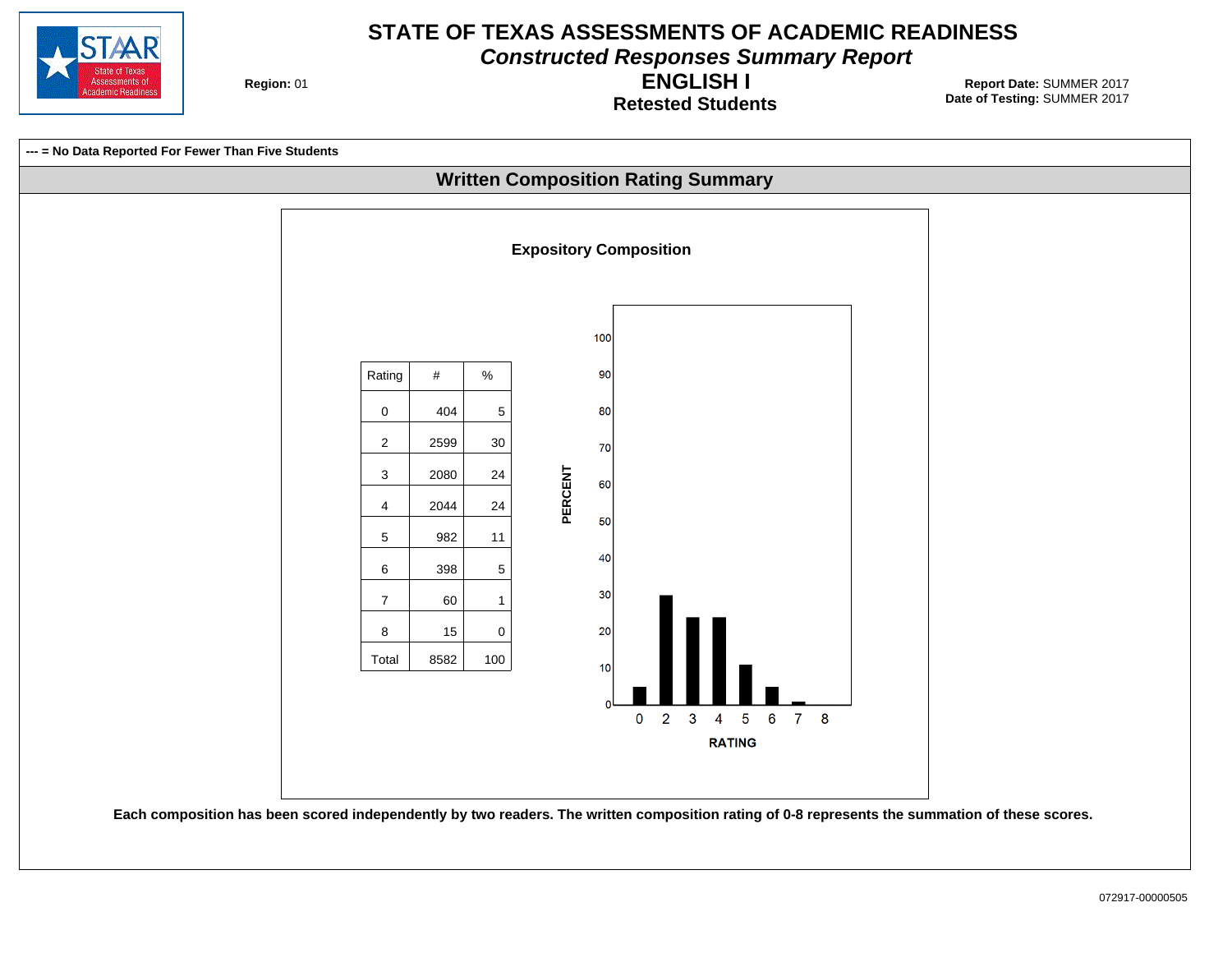

**Constructed Responses Summary Report**

**Region: 01** 

**Retested Students ENGLISH I**

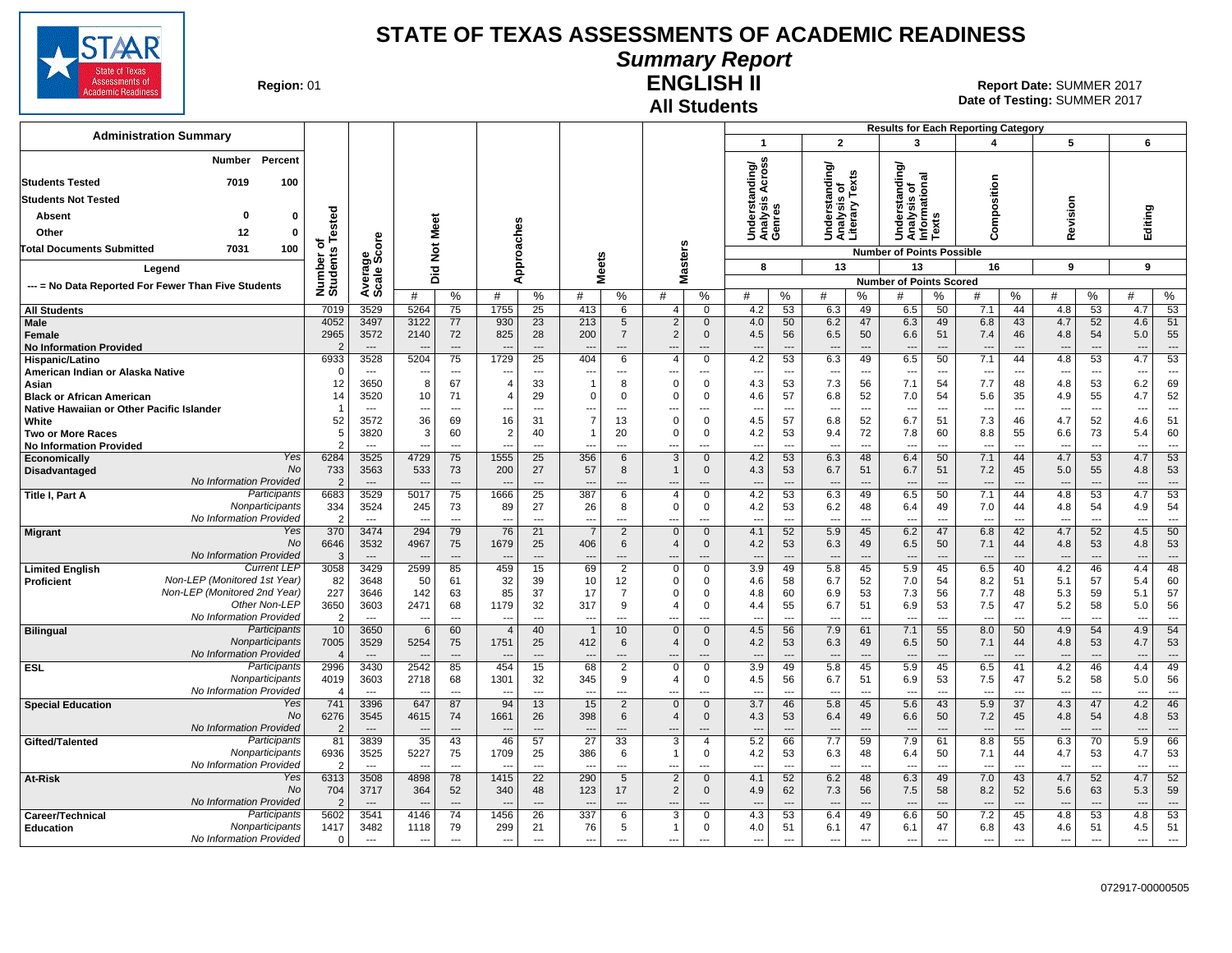

#### **Summary Report**

**Region: 01** 

## **All Students**

**ENGLISH II** 01 **Report Date:** SUMMER 2017 **Date of Testing:**  SUMMER 2017

|                                                                                   |                                 |                                  |                                  |                      |                                            |                                   |                                |                      |                                  |                            |                                                                   |                                 |                                | <b>Results for Each Reporting Category</b>                    |                                      |                                 |                                |                                 |                                |                       |                                |
|-----------------------------------------------------------------------------------|---------------------------------|----------------------------------|----------------------------------|----------------------|--------------------------------------------|-----------------------------------|--------------------------------|----------------------|----------------------------------|----------------------------|-------------------------------------------------------------------|---------------------------------|--------------------------------|---------------------------------------------------------------|--------------------------------------|---------------------------------|--------------------------------|---------------------------------|--------------------------------|-----------------------|--------------------------------|
| <b>Administration Summary</b>                                                     |                                 |                                  |                                  |                      |                                            |                                   |                                |                      |                                  |                            | $\mathbf 1$                                                       | $\overline{2}$                  |                                | 3                                                             |                                      | 4                               |                                | 5                               |                                | 6                     |                                |
| Number<br>Percent<br><b>Students Tested</b><br>7019<br>100                        |                                 |                                  |                                  |                      |                                            |                                   |                                |                      |                                  |                            | nding/<br>Across                                                  | tanding/                        | s of<br>Texts                  | anding<br>Unders.<br>│Analysis or<br>│Informational<br>│ ¯vts |                                      |                                 |                                |                                 |                                |                       |                                |
| <b>Students Not Tested</b>                                                        |                                 |                                  |                                  |                      |                                            |                                   |                                |                      |                                  |                            |                                                                   |                                 |                                |                                                               |                                      |                                 |                                |                                 |                                |                       |                                |
| Absent<br>0                                                                       | ested<br>0                      |                                  |                                  |                      |                                            |                                   |                                |                      |                                  |                            | Understanc<br>Analysis A<br>Genres                                | Underst<br>Analysis<br>Literary |                                |                                                               |                                      | Composition                     |                                | Revision                        |                                | Editing               |                                |
| 12<br>Other                                                                       | $\Omega$                        |                                  |                                  | Meet                 |                                            |                                   |                                |                      |                                  |                            |                                                                   |                                 |                                |                                                               |                                      |                                 |                                |                                 |                                |                       |                                |
| 7031<br>100<br><b>Total Documents Submitted</b>                                   | ৳                               | ge<br>Score                      |                                  | $\frac{5}{2}$        | pproaches                                  |                                   |                                |                      |                                  |                            |                                                                   |                                 |                                | <b>Number of Points Possible</b>                              |                                      |                                 |                                |                                 |                                |                       |                                |
| Legend                                                                            | Number o<br>Students            |                                  |                                  | 흐                    |                                            |                                   | <b>Meets</b>                   |                      |                                  | <b>Masters</b>             | 8                                                                 | 13                              |                                | 13                                                            |                                      | 16                              |                                | 9                               |                                | 9                     |                                |
|                                                                                   |                                 | Avera<br>Scale                   |                                  | ۵                    | ∢                                          |                                   |                                |                      |                                  |                            |                                                                   |                                 |                                | <b>Number of Points Scored</b>                                |                                      |                                 |                                |                                 |                                |                       |                                |
| --- = No Data Reported For Fewer Than Five Students                               |                                 |                                  | #                                | %                    | #                                          | %                                 | #                              | %                    | #                                | %                          | #<br>%                                                            | #                               | %                              | #                                                             | %                                    | #                               | %                              | #                               | %                              | #                     | %                              |
| <b>All Students</b>                                                               | 7019                            | 3529                             | 5264                             | 75                   | 1755                                       | 25                                | 413                            | 6                    | $\overline{4}$                   | 0                          | 4.2<br>53                                                         | 6.3                             | 49                             | 6.5                                                           | 50                                   | 7.1                             | 44                             | 4.8                             | 53                             | 4.7                   | 53                             |
| <b>Male</b><br>Female<br><b>No Information Provided</b>                           | 4052<br>2965                    | 3497<br>3572<br>$\overline{a}$   | 3122<br>2140                     | 77<br>72             | 930<br>825                                 | 23<br>28<br>$\overline{a}$        | 213<br>200                     | 5<br>$\overline{7}$  | $\overline{2}$<br>$\overline{2}$ | $\Omega$<br>$\mathbf{0}$   | 4.0<br>50<br>56<br>4.5<br>$\overline{a}$                          | 6.2<br>6.5                      | 47<br>50<br>$\overline{a}$     | 6.3<br>6.6                                                    | 49<br>51<br>$\overline{\phantom{a}}$ | 6.8<br>7.4                      | 43<br>46                       | 4.7<br>4.8                      | 52<br>54                       | 4.6<br>5.0            | 51<br>55<br>$\overline{a}$     |
| Hispanic/Latino                                                                   | 6933                            | 3528                             | 5204                             | 75                   | 1729                                       | 25                                | 404                            | 6                    | $\overline{4}$                   | 0                          | 4.2<br>53                                                         | 6.3                             | 49                             | 6.5                                                           | 50                                   | 7.1                             | 44                             | 4.8                             | 53                             | 4.7                   | 53                             |
| American Indian or Alaska Native                                                  | -0<br>12                        | $---$<br>3650                    | 8                                | ---<br>67            | $\overline{\phantom{a}}$<br>$\overline{4}$ | $\overline{\phantom{a}}$<br>33    | -1                             | 8                    | --<br>$\mathbf 0$                | ---<br>$\mathbf 0$         | $\sim$<br>$\overline{\phantom{a}}$<br>4.3<br>53                   | $\overline{\phantom{a}}$<br>7.3 | $\overline{\phantom{a}}$<br>56 | ---<br>7.1                                                    | $\overline{\phantom{a}}$<br>54       | $\overline{\phantom{a}}$<br>7.7 | ---<br>48                      | 4.8                             | ---<br>53                      | ---<br>6.2            | ---<br>69                      |
| Asian<br><b>Black or African American</b>                                         | 14                              | 3520                             | 10                               | 71                   | $\overline{4}$                             | 29                                | $\mathbf 0$                    | $\Omega$             | $\Omega$                         | $\Omega$                   | 57<br>4.6                                                         | 6.8                             | 52                             | 7.0                                                           | 54                                   | 5.6                             | 35                             | 4.9                             | 55                             | 4.7                   | 52                             |
| Native Hawaiian or Other Pacific Islander                                         | $\overline{\phantom{a}}$        | $\overline{\phantom{a}}$         | ---                              | ---                  | ---                                        | ---                               |                                |                      | ---                              | ---                        | ---<br>$\overline{\phantom{a}}$                                   | $\overline{\phantom{a}}$        | ---                            | ---                                                           | ---                                  | $\overline{a}$                  | $\overline{\phantom{a}}$       |                                 | ---                            |                       | ---                            |
| White                                                                             | 52                              | 3572                             | 36                               | 69                   | 16                                         | 31                                | $\overline{7}$                 | 13                   | $\Omega$                         | $\Omega$                   | 4.5<br>57                                                         | 6.8                             | 52                             | 6.7                                                           | 51                                   | 7.3                             | 46                             | 4.7                             | 52                             | 4.6                   | 51                             |
| Two or More Races<br><b>No Information Provided</b>                               | -5                              | 3820<br>$\overline{\phantom{a}}$ | 3<br>---                         | 60<br>---            | $\overline{2}$<br>$\overline{\phantom{a}}$ | 40                                | $\mathbf{1}$<br>---            | 20<br>$\overline{a}$ | $\Omega$<br>---                  | 0<br>---                   | 4.2<br>53<br>$\overline{a}$                                       | 9.4<br>$\overline{\phantom{a}}$ | 72<br>---                      | 7.8<br>$\overline{\phantom{a}}$                               | 60<br>---                            | 8.8<br>$\overline{\phantom{a}}$ | 55                             | 6.6<br>$\overline{\phantom{a}}$ | 73                             | 5.4<br>---            | 60<br>$\overline{a}$           |
| <b>Economically</b>                                                               | Yes<br>6284                     | 3525                             | 4729                             | 75                   | 1555                                       | $\overline{25}$                   | 356                            | 6                    | $\overline{3}$                   | $\mathbf{0}$               | 4.2<br>53                                                         | 6.3                             | 48                             | 6.4                                                           | 50                                   | 7.1                             | 44                             | 4.7                             | 53                             | 4.7                   | 53                             |
| Disadvantaged                                                                     | No<br>733                       | 3563                             | 533                              | 73                   | 200                                        | 27                                | 57                             | 8                    |                                  | $\mathbf{0}$               | 4.3<br>53                                                         | 6.7                             | 51                             | 6.7                                                           | 51                                   | 7.2                             | 45                             | 5.0                             | 55                             | 4.8                   | 53                             |
| No Information Provided<br>Participants<br>Title I, Part A                        | $\overline{2}$<br>6683          | $\overline{\phantom{a}}$<br>3529 | 5017                             | $---$<br>75          | 1666                                       | $\overline{\phantom{a}}$<br>25    | 387                            | 6                    | $\overline{4}$                   | ---<br>$\mathbf 0$         | $\overline{\phantom{a}}$<br>4.2<br>53                             | $\overline{\phantom{a}}$<br>6.3 | $\overline{\phantom{a}}$<br>49 | 6.5                                                           | $\overline{\phantom{a}}$<br>50       | $\overline{\phantom{a}}$<br>7.1 | $\overline{\phantom{a}}$<br>44 | 4.8                             | 53                             | 4.7                   | $\overline{a}$<br>53           |
| Nonparticipants                                                                   | 334                             | 3524                             | 245                              | 73                   | 89                                         | 27                                | 26                             | 8                    | $\Omega$                         | $\mathbf 0$                | 4.2<br>53                                                         | 6.2                             | 48                             | 6.4                                                           | 49                                   | 7.0                             | 44                             | 4.8                             | 54                             | 4.9                   | 54                             |
| No Information Provided                                                           |                                 | $---$                            | $\sim$                           | $\overline{a}$       | $- - -$                                    | $---$                             | $\sim$                         | $---$                | ---                              | ---                        | $\overline{a}$<br>---                                             | $\overline{\phantom{a}}$        | ---                            | ---                                                           | ---                                  | $---$                           | $\sim$                         | $- - -$                         | $\sim$                         | ---                   | $---$                          |
| Yes<br><b>Migrant</b>                                                             | 370<br>6646                     | 3474<br>3532                     | 294<br>4967                      | 79                   | 76<br>1679                                 | 21<br>25                          | $\overline{7}$<br>406          | $\overline{2}$<br>6  | $\mathbf{0}$<br>$\overline{4}$   | $\Omega$                   | 4.1<br>52                                                         | 5.9                             | 45                             | 6.2<br>6.5                                                    | 47<br>50                             | 6.8                             | 42<br>44                       | 4.7<br>4.8                      | 52<br>53                       | 4.5<br>4.8            | 50                             |
| No Information Provided                                                           | $\mathcal{R}$                   | $\overline{\phantom{a}}$         |                                  | 75<br>$\overline{a}$ |                                            | $\overline{a}$                    |                                |                      |                                  | $\mathbf 0$<br>---         | 4.2<br>53<br>$\overline{a}$                                       | 6.3                             | 49<br>$\overline{a}$           |                                                               | ---                                  | 7.1                             |                                |                                 |                                |                       | 53<br>$\overline{a}$           |
| <b>Current LEP</b><br><b>Limited English</b>                                      | 3058                            | 3429                             | 2599                             | 85                   | 459                                        | 15                                | 69                             | $\overline{2}$       | $\mathbf 0$                      | $\mathbf 0$                | 3.9<br>49                                                         | 5.8                             | 45                             | 5.9                                                           | 45                                   | 6.5                             | 40                             | 4.2                             | 46                             | 4.4                   | 48                             |
| Non-LEP (Monitored 1st Year)<br><b>Proficient</b><br>Non-LEP (Monitored 2nd Year) | 82                              | 3648                             | 50                               | 61                   | 32                                         | 39                                | 10                             | 12                   | $\Omega$                         | $\mathbf 0$                | 4.6<br>58                                                         | 6.7                             | 52                             | 7.0                                                           | 54                                   | 8.2                             | 51                             | 5.1                             | 57                             | 5.4                   | 60                             |
| Other Non-LEP                                                                     | 227<br>3650                     | 3646<br>3603                     | 142<br>2471                      | 63<br>68             | 85<br>1179                                 | 37<br>32                          | 17<br>317                      | $\overline{7}$<br>9  | ſ                                | $\Omega$<br>$\Omega$       | 4.8<br>60<br>4.4<br>55                                            | 6.9<br>6.7                      | 53<br>51                       | 7.3<br>6.9                                                    | 56<br>53                             | 7.7<br>7.5                      | 48<br>47                       | 5.3<br>5.2                      | 59<br>58                       | 5.1<br>5.0            | 57<br>56                       |
| No Information Provided                                                           | -2                              | $-$                              | $\overline{\phantom{a}}$         | $---$                | $\sim$                                     | $---$                             | $\overline{\phantom{a}}$       | $---$                | ---                              | ---                        | $\overline{\phantom{a}}$<br>$\sim$                                | $\overline{\phantom{a}}$        | $\overline{a}$                 | ---                                                           | $\overline{a}$                       | $---$                           | $\sim$                         | $\sim$                          | $\sim$                         | ---                   | $\overline{\phantom{a}}$       |
| Participants<br><b>Bilingual</b>                                                  | 10                              | 3650                             | 6                                | 60                   | $\overline{4}$                             | 40                                |                                | 10                   | $\Omega$                         | $\overline{0}$             | 4.5<br>56                                                         | 7.9                             | 61                             | 7.1                                                           | 55                                   | 8.0                             | 50                             | 4.9                             | 54                             | 4.9                   | 54                             |
| Nonparticipants<br>No Information Provided                                        | 7005                            | 3529                             | 5254                             | 75                   | 1751                                       | 25                                | 412                            | 6                    | $\overline{4}$                   | $\mathbf 0$                | 4.2<br>53                                                         | 6.3                             | 49                             | 6.5                                                           | 50                                   | 7.1                             | 44                             | 4.8                             | 53                             | 4.7                   | 53                             |
| Participants<br><b>ESL</b>                                                        | 2996                            | $\overline{\phantom{a}}$<br>3430 | 2542                             | $\overline{a}$<br>85 | 454                                        | 15                                | 68                             | $\overline{2}$       | $\mathbf 0$                      | ---<br>$\mathbf 0$         | $\overline{\phantom{a}}$<br>3.9<br>49                             | ---<br>5.8                      | $\overline{a}$<br>45           | 5.9                                                           | $\overline{a}$<br>45                 | 6.5                             | 41                             | 4.2                             | 46                             | ---<br>4.4            | $\sim$<br>49                   |
| Nonparticipants                                                                   | 4019                            | 3603                             | 2718                             | 68                   | 1301                                       | 32                                | 345                            | 9                    | $\overline{4}$                   | $\mathbf 0$                | 4.5<br>56                                                         | 6.7                             | 51                             | 6.9                                                           | 53                                   | 7.5                             | 47                             | 5.2                             | 58                             | 5.0                   | 56                             |
| No Information Provided                                                           |                                 | $\overline{\phantom{a}}$         | $\overline{a}$                   | $\overline{a}$       | $\overline{\phantom{a}}$                   | $\overline{a}$                    | $\overline{\phantom{a}}$       | $---$                | ---                              | $\overline{a}$             | $\overline{\phantom{a}}$<br>$\overline{a}$                        | $\sim$                          | $\overline{a}$                 | $\overline{\phantom{a}}$                                      | $\overline{a}$                       | $\overline{a}$                  | $\overline{\phantom{a}}$       | $\sim$                          | $\sim$                         | $\overline{a}$        | $\sim$                         |
| <b>Special Education</b>                                                          | Yes<br>741<br><b>No</b><br>6276 | 3396<br>3545                     | 647<br>4615                      | 87<br>74             | 94<br>1661                                 | 13<br>26                          | 15<br>398                      | $\overline{2}$<br>6  | $\Omega$<br>$\overline{4}$       | $\mathbf 0$<br>$\mathbf 0$ | 3.7<br>46<br>4.3<br>53                                            | 5.8<br>6.4                      | 45<br>49                       | 5.6<br>6.6                                                    | 43<br>50                             | 5.9<br>7.2                      | $\overline{37}$<br>45          | 4.3<br>4.8                      | 47<br>54                       | 4.2<br>4.8            | 46<br>53                       |
| No Information Provided                                                           |                                 | $\overline{\phantom{a}}$         |                                  | $\overline{a}$       |                                            | $\sim$                            |                                |                      |                                  |                            |                                                                   |                                 | $\overline{a}$                 |                                                               | ---                                  |                                 |                                |                                 |                                |                       | $\sim$                         |
| Participants<br>Gifted/Talented                                                   | 81                              | 3839                             | 35                               | 43                   | 46                                         | 57                                | 27                             | 33                   | 3                                | $\overline{4}$             | 5.2<br>66                                                         | 7.7                             | 59                             | 7.9                                                           | 61                                   | 8.8                             | 55                             | 6.3                             | 70                             | 5.9                   | 66                             |
| Nonparticipants                                                                   | 6936                            | 3525                             | 5227                             | 75                   | 1709                                       | 25                                | 386                            | 6                    | 1                                | $\mathbf 0$                | 4.2<br>53                                                         | 6.3                             | 48                             | 6.4                                                           | 50                                   | 7.1                             | 44                             | 4.7                             | 53                             | 4.7                   | 53                             |
| No Information Provided<br>At-Risk                                                | 2<br>Yes<br>6313                | $\overline{a}$<br>3508           | 4898                             | $\overline{a}$<br>78 | $\overline{\phantom{a}}$<br>1415           | $\overline{a}$<br>$\overline{22}$ | 290                            | $\overline{a}$<br>5  | ---<br>$\overline{2}$            | ---<br>$\mathbf 0$         | $\overline{\phantom{a}}$<br>$\overline{\phantom{a}}$<br>4.1<br>52 | $\overline{\phantom{a}}$<br>6.2 | $\overline{a}$<br>48           | $\overline{\phantom{a}}$<br>6.3                               | ---<br>49                            | $\overline{a}$<br>7.0           | $\overline{\phantom{a}}$<br>43 | $\overline{a}$<br>4.7           | $\overline{a}$<br>52           | ---<br>4.7            | $\overline{a}$<br>52           |
|                                                                                   | No<br>704                       | 3717                             | 364                              | 52                   | 340                                        | 48                                | 123                            | 17                   | 2                                | $\mathbf 0$                | 4.9<br>62                                                         | 7.3                             | 56                             | 7.5                                                           | 58                                   | 8.2                             | 52                             | 5.6                             | 63                             | 5.3                   | 59                             |
| No Information Provided                                                           |                                 | $\overline{\phantom{a}}$         |                                  | $---$                |                                            | $\overline{\phantom{a}}$          |                                |                      | --                               | ---                        | $\overline{\phantom{a}}$                                          | $\overline{\phantom{a}}$        | $\overline{a}$                 | $\overline{\phantom{a}}$                                      | $\overline{\phantom{a}}$             | $\overline{\phantom{a}}$        |                                |                                 | $\overline{a}$                 | ---                   | $\overline{\phantom{a}}$       |
| Participants<br>Career/Technical                                                  | 5602                            | 3541                             | 4146                             | 74                   | 1456                                       | 26                                | 337                            | 6                    | 3                                | $\Omega$                   | 53<br>4.3                                                         | 6.4                             | 49                             | 6.6                                                           | 50                                   | 7.2                             | 45                             | 4.8                             | 53                             | 4.8                   | 53                             |
| Nonparticipants<br><b>Education</b><br>No Information Provided                    | 1417<br>$\mathbf 0$             | 3482<br>$\overline{a}$           | 1118<br>$\overline{\phantom{a}}$ | 79<br>$\overline{a}$ | 299<br>$\overline{a}$                      | 21<br>$\overline{a}$              | 76<br>$\overline{\phantom{a}}$ | 5                    | 1<br>---                         | 0<br>---                   | 4.0<br>51<br>$\sim$<br>$\overline{a}$                             | 6.1<br>$\overline{\phantom{a}}$ | 47<br>$\overline{a}$           | 6.1<br>$\overline{\phantom{a}}$                               | 47<br>---                            | 6.8<br>$\overline{a}$           | 43<br>$\overline{\phantom{a}}$ | 4.6<br>$\overline{\phantom{a}}$ | 51<br>$\overline{\phantom{a}}$ | 4.5<br>$\overline{a}$ | 51<br>$\hspace{0.05cm} \ldots$ |
|                                                                                   |                                 |                                  |                                  |                      |                                            |                                   |                                |                      |                                  |                            |                                                                   |                                 |                                |                                                               |                                      |                                 |                                |                                 |                                |                       |                                |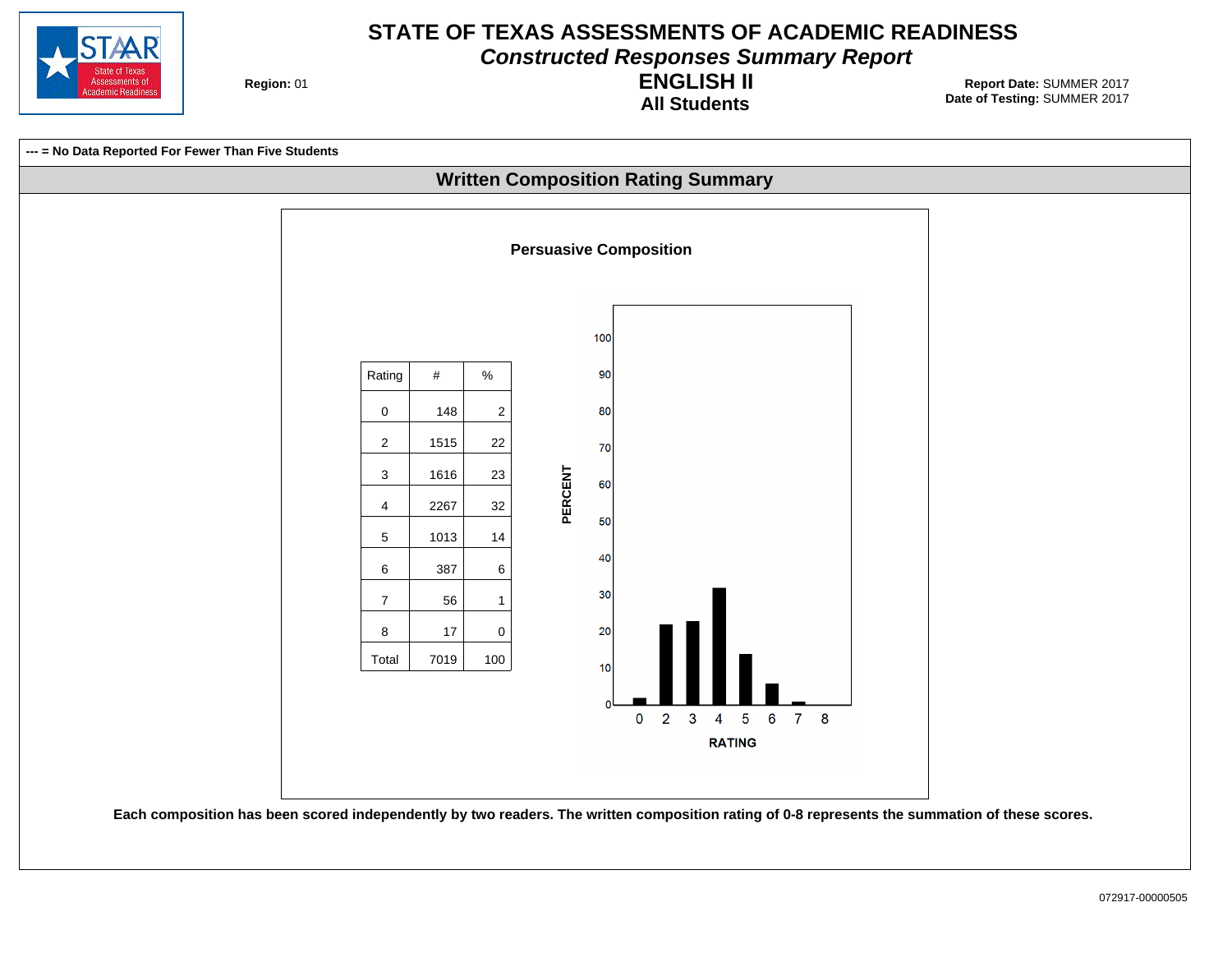

**Constructed Responses Summary Report**

**Region: 01** 

#### **All Students ENGLISH II**

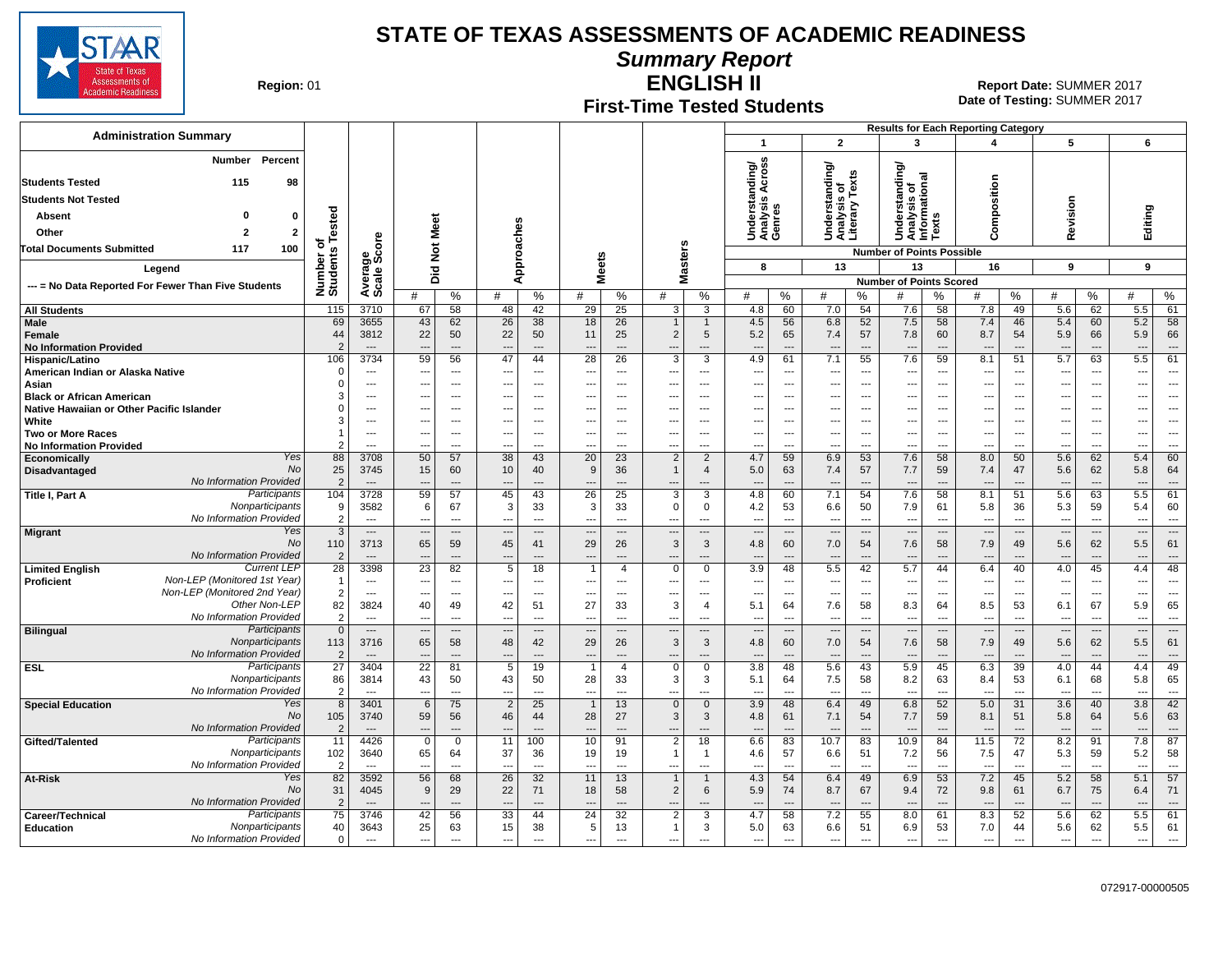

**Summary Report**

**Region: 01** 

## **First-Time Tested Students**

**ENGLISH II** 01 **Report Date:** SUMMER 2017 **Date of Testing:**  SUMMER 2017

|                                                                               |                           |                          |                          |                                |                                      |                                                      |                                |                          |                                            |                                 |                                     |                                      |                                                 |                                                      | <b>Results for Each Reporting Category</b> |                                                      |                                  |                |                                        |                          |                                        |                                                      |
|-------------------------------------------------------------------------------|---------------------------|--------------------------|--------------------------|--------------------------------|--------------------------------------|------------------------------------------------------|--------------------------------|--------------------------|--------------------------------------------|---------------------------------|-------------------------------------|--------------------------------------|-------------------------------------------------|------------------------------------------------------|--------------------------------------------|------------------------------------------------------|----------------------------------|----------------|----------------------------------------|--------------------------|----------------------------------------|------------------------------------------------------|
| <b>Administration Summary</b>                                                 |                           |                          |                          |                                |                                      |                                                      |                                |                          |                                            |                                 | $\mathbf{1}$                        |                                      | $\overline{2}$                                  |                                                      | 3                                          |                                                      | 4                                |                | 5                                      |                          | 6                                      |                                                      |
| <b>Number</b><br>Percent                                                      |                           |                          |                          |                                |                                      |                                                      |                                |                          |                                            |                                 | nding/<br>Across                    |                                      | Understanding/<br>Analysis of<br>Literary Texts |                                                      | ding<br>nal                                |                                                      |                                  |                |                                        |                          |                                        |                                                      |
| <b>Students Tested</b><br>115<br>98                                           |                           |                          |                          |                                |                                      |                                                      |                                |                          |                                            |                                 |                                     |                                      |                                                 |                                                      | Ö<br>ō                                     |                                                      |                                  |                |                                        |                          |                                        |                                                      |
| <b>Students Not Tested</b>                                                    |                           |                          |                          |                                |                                      |                                                      |                                |                          |                                            |                                 |                                     |                                      |                                                 |                                                      | Ē<br>É<br>$\boldsymbol{\omega}$            |                                                      |                                  |                |                                        |                          |                                        |                                                      |
| Absent<br>- 0<br>0                                                            | Tested                    |                          |                          |                                |                                      |                                                      |                                |                          |                                            |                                 | Understanc<br>Analysis Ao<br>Genres |                                      |                                                 |                                                      | Underst<br>Analysis<br>Informa<br>Texts    |                                                      | Composition                      |                | Revision                               |                          | Editing                                |                                                      |
| Other<br>$\overline{\mathbf{2}}$<br>$\overline{2}$                            |                           |                          | Meet                     |                                |                                      |                                                      |                                |                          |                                            |                                 |                                     |                                      |                                                 |                                                      |                                            |                                                      |                                  |                |                                        |                          |                                        |                                                      |
| 100<br><b>Total Documents Submitted</b><br>117                                | ৳                         | ge<br>Score              | $\breve{\mathbf{z}}$     |                                |                                      |                                                      |                                |                          |                                            |                                 |                                     |                                      |                                                 |                                                      | <b>Number of Points Possible</b>           |                                                      |                                  |                |                                        |                          |                                        |                                                      |
|                                                                               |                           |                          |                          |                                |                                      | Approaches                                           | <b>Meets</b>                   |                          | Masters                                    |                                 | 8                                   |                                      | 13                                              |                                                      | 13                                         |                                                      | 16                               |                | 9                                      |                          | 9                                      |                                                      |
| Legend                                                                        |                           |                          | Did                      |                                |                                      |                                                      |                                |                          |                                            |                                 |                                     |                                      |                                                 |                                                      | <b>Number of Points Scored</b>             |                                                      |                                  |                |                                        |                          |                                        |                                                      |
| --- = No Data Reported For Fewer Than Five Students                           | Number o<br>Students      | Avera                    | #                        | $\%$                           | #                                    | %                                                    | #                              | $\%$                     | #                                          | %                               | #                                   | %                                    | #                                               | %                                                    | #                                          | %                                                    | #                                | %              | #                                      | ℅                        | #                                      | $\%$                                                 |
| <b>All Students</b>                                                           | 115                       | 3710                     | 67                       | 58                             | 48                                   | 42                                                   | 29                             | 25                       | 3                                          | 3                               | 4.8                                 | 60                                   | 7.0                                             | 54                                                   | 7.6                                        | 58                                                   | 7.8                              | 49             | 5.6                                    | 62                       | 5.5                                    | 61                                                   |
| <b>Male</b><br>Female<br><b>No Information Provided</b>                       | 69<br>44<br>$\mathcal{P}$ | 3655<br>3812<br>$---$    | 43<br>22                 | 62<br>50<br>$---$              | 26<br>22<br>$\overline{\phantom{a}}$ | 38<br>50                                             | 18<br>11                       | 26<br>25<br>$---$        | $\overline{2}$                             | $\mathbf{1}$<br>5<br>---        | 4.5<br>5.2<br>---                   | 56<br>65<br>$\overline{\phantom{a}}$ | 6.8<br>7.4<br>$\overline{\phantom{a}}$          | 52<br>57<br>$\overline{\phantom{a}}$                 | 7.5<br>7.8<br>$\overline{a}$               | 58<br>60<br>---                                      | 7.4<br>8.7<br>$\overline{a}$     | 46<br>54       | 5.4<br>5.9<br>$\overline{\phantom{a}}$ | 60<br>66                 | 5.2<br>5.9<br>$\overline{\phantom{a}}$ | 58<br>66                                             |
| Hispanic/Latino                                                               | 106                       | 3734                     | 59                       | 56                             | 47                                   | 44                                                   | 28                             | 26                       | 3                                          | 3                               | 4.9                                 | 61                                   | 7.1                                             | 55                                                   | 7.6                                        | 59                                                   | 8.1                              | 51             | 5.7                                    | 63                       | 5.5                                    | 61                                                   |
| American Indian or Alaska Native                                              | $\epsilon$                | ---                      | ---                      | $\hspace{0.05cm} \ldots$       | $\qquad \qquad \cdots$               | $---$                                                | ---                            | $\overline{\phantom{a}}$ | ---                                        | $\qquad \qquad \cdots$          | ---                                 | $\overline{\phantom{a}}$             | $\overline{\phantom{a}}$                        | $---$                                                | $\overline{\phantom{a}}$                   | $\overline{\phantom{a}}$                             | $\hspace{0.05cm} \ldots$         | $\cdots$       | ---                                    | ---                      | ---                                    | $\overline{\phantom{a}}$                             |
| Asian                                                                         | $\Omega$<br>3             | ---<br>---               | ---                      | ---<br>$\overline{a}$          | ---<br>---                           | $\overline{\phantom{a}}$<br>$\overline{\phantom{a}}$ | ---                            | $\overline{a}$<br>$---$  | ---                                        | ---<br>$\overline{a}$           | ---<br>$\overline{\phantom{a}}$     | $\overline{\phantom{a}}$<br>---      | ---<br>---                                      | $\overline{\phantom{a}}$<br>$\overline{\phantom{a}}$ | ---<br>$\qquad \qquad \cdots$              | $\overline{\phantom{a}}$<br>---                      | ---<br>---                       | ---<br>---     | ---                                    | ---<br>---               | ---<br>---                             | $\overline{a}$<br>$\overline{\phantom{a}}$           |
| <b>Black or African American</b><br>Native Hawaiian or Other Pacific Islander | $\Omega$                  | $\overline{\phantom{a}}$ | ---                      | $\sim$                         | ---                                  | $\overline{\phantom{a}}$                             | ---                            | $\sim$                   | ---                                        | ---                             | ---                                 | ---                                  | ---                                             | $\overline{\phantom{a}}$                             | ---                                        | $\ddotsc$                                            | ---                              | ---            | ---                                    | ---                      | ---                                    | $\overline{\phantom{a}}$                             |
| White                                                                         | 3                         | $\overline{\phantom{a}}$ | ---                      | $---$                          | $\overline{\phantom{a}}$             | $\overline{\phantom{a}}$                             | ---                            | $---$                    | ---                                        | $\cdots$                        | ---                                 | ---                                  | $\overline{\phantom{a}}$                        | $\overline{\phantom{a}}$                             | ---                                        | $\overline{\phantom{a}}$                             | ---                              | ---            | ---                                    | ---                      | ---                                    | $\overline{\phantom{a}}$                             |
| <b>Two or More Races</b><br><b>No Information Provided</b>                    |                           | ---<br>---               | ---<br>---               | ---<br>---                     | ---<br>---                           | $\overline{\phantom{a}}$<br>$---$                    | ---<br>---                     | $---$<br>$---$           | ---<br>---                                 | $\overline{\phantom{a}}$<br>--- | ---<br>---                          | $\overline{\phantom{a}}$<br>---      | ---<br>---                                      | $\overline{\phantom{a}}$<br>$\overline{\phantom{a}}$ | ---<br>---                                 | $\overline{\phantom{a}}$<br>$\overline{\phantom{a}}$ | $\overline{a}$<br>$\overline{a}$ | ---<br>---     | ---<br>---                             | ---<br>---               | ---<br>---                             | $\overline{\phantom{a}}$<br>$\overline{\phantom{a}}$ |
| Yes<br>Economically                                                           | 88                        | 3708                     | 50                       | 57                             | 38                                   | 43                                                   | 20                             | 23                       | $\overline{2}$                             | $\overline{2}$                  | 4.7                                 | 59                                   | 6.9                                             | 53                                                   | 7.6                                        | 58                                                   | 8.0                              | 50             | 5.6                                    | 62                       | 5.4                                    | 60                                                   |
| No<br>Disadvantaged                                                           | 25                        | 3745                     | 15                       | 60                             | 10                                   | 40                                                   | 9                              | 36                       | $\mathbf{1}$                               | $\overline{4}$                  | 5.0                                 | 63                                   | 7.4                                             | 57                                                   | 7.7                                        | 59                                                   | 7.4                              | 47             | 5.6                                    | 62                       | 5.8                                    | 64                                                   |
| No Information Provided<br>Participants                                       | $\overline{2}$            | $\overline{\phantom{a}}$ | ---                      | $---$                          | $\overline{a}$                       | $\overline{a}$                                       | ---                            | $---$                    | $\overline{\phantom{a}}$<br>3              | ---                             | $\overline{a}$                      | $\overline{\phantom{a}}$             | $\overline{\phantom{a}}$                        | $\overline{a}$                                       | ---                                        | $\overline{\phantom{a}}$                             | $\overline{a}$                   | $\overline{a}$ | $\overline{\phantom{a}}$               | $\overline{a}$           | $\overline{\phantom{a}}$               | $---$<br>61                                          |
| Title I, Part A<br>Nonparticipants                                            | 104<br>g                  | 3728<br>3582             | 59<br>6                  | 57<br>67                       | 45<br>3                              | 43<br>33                                             | 26<br>3                        | 25<br>33                 | $\Omega$                                   | 3<br>$\mathbf 0$                | 4.8<br>4.2                          | 60<br>53                             | 7.1<br>6.6                                      | 54<br>50                                             | 7.6<br>7.9                                 | 58<br>61                                             | 8.1<br>5.8                       | 51<br>36       | 5.6<br>5.3                             | 63<br>59                 | 5.5<br>5.4                             | 60                                                   |
| No Information Provided                                                       | $\mathcal{P}$             | $\overline{a}$           | $\sim$                   | $---$                          | $\overline{a}$                       | $\overline{a}$                                       | $\overline{\phantom{a}}$       | $\overline{a}$           | $\sim$                                     | ---                             | $\overline{a}$                      | $\overline{a}$                       | $\sim$                                          | $---$                                                | $\overline{\phantom{a}}$                   | $\overline{a}$                                       | $\overline{a}$                   | $\overline{a}$ | $\overline{\phantom{a}}$               | $\overline{\phantom{a}}$ | $\overline{\phantom{a}}$               | $-$                                                  |
| Yes<br><b>Migrant</b>                                                         | -3                        | $\overline{\phantom{a}}$ |                          | ---                            |                                      | $\overline{a}$                                       |                                | $\overline{a}$           | $\overline{\phantom{a}}$                   | ---                             |                                     | $\overline{\phantom{a}}$             | $\overline{\phantom{a}}$                        | $\overline{\phantom{a}}$                             | $\overline{\phantom{a}}$                   | $\overline{\phantom{a}}$                             | ---                              | $\overline{a}$ | $\overline{\phantom{a}}$               | ---                      | $\overline{\phantom{a}}$               | $---$                                                |
| No                                                                            | 110                       | 3713                     | 65                       | 59                             | 45                                   | 41                                                   | 29                             | 26                       | $\mathbf{3}$                               | 3                               | 4.8                                 | 60                                   | 7.0                                             | 54                                                   | 7.6                                        | 58                                                   | 7.9                              | 49             | 5.6                                    | 62                       | 5.5                                    | 61                                                   |
| No Information Provided<br><b>Current LEF</b>                                 | $\overline{2}$            | $\overline{\phantom{a}}$ | $\overline{a}$           | $\sim$                         | $\overline{a}$                       | $\overline{a}$                                       | $\overline{\phantom{a}}$       |                          |                                            | $\overline{a}$                  | $\overline{a}$                      | $\overline{\phantom{a}}$             | $\overline{\phantom{a}}$                        | $\overline{a}$                                       | --                                         | $\overline{a}$                                       | $\overline{a}$                   |                | $\overline{\phantom{a}}$               | ---                      | $\overline{\phantom{a}}$               | $\overline{a}$                                       |
| <b>Limited English</b><br>Non-LEP (Monitored 1st Year)<br><b>Proficient</b>   | 28<br>- 1                 | 3398<br>---              | 23<br>---                | 82<br>$\overline{\phantom{a}}$ | 5<br>---                             | 18<br>$---$                                          | -1<br>---                      | $\overline{4}$<br>$---$  | $\mathbf 0$<br>--                          | 0<br>---                        | 3.9<br>---                          | 48<br>$\overline{\phantom{a}}$       | 5.5<br>$\sim$                                   | 42<br>$\overline{\phantom{a}}$                       | 5.7<br>---                                 | 44<br>$-$                                            | 6.4<br>$\overline{\phantom{a}}$  | 40<br>---      | 4.0<br>---                             | 45<br>$\overline{a}$     | 4.4<br>$\overline{\phantom{a}}$        | 48<br>$---$                                          |
| Non-LEP (Monitored 2nd Year)                                                  | $\overline{2}$            | ---                      | ---                      | ---                            | ---                                  | $---$                                                | ---                            | ---                      | ---                                        | ---                             | $\overline{\phantom{a}}$            | ---                                  | $\overline{\phantom{a}}$                        | $\overline{\phantom{a}}$                             | $\overline{\phantom{a}}$                   | $\ddotsc$                                            | $\overline{a}$                   | ---            | ---                                    | ---                      | ---                                    | $\overline{\phantom{a}}$                             |
| Other Non-LEP                                                                 | 82                        | 3824                     | 40                       | 49                             | 42                                   | 51                                                   | 27                             | 33                       | 3                                          | $\overline{4}$                  | 5.1                                 | 64                                   | 7.6                                             | 58                                                   | 8.3                                        | 64                                                   | 8.5                              | 53             | 6.1                                    | 67                       | 5.9                                    | 65                                                   |
| No Information Provided                                                       | $\overline{2}$            | ---                      |                          | ---                            | $\overline{\phantom{a}}$             | $\overline{\phantom{a}}$                             |                                | ---                      |                                            | ---                             | ---                                 | $\overline{\phantom{a}}$             | ---                                             | $\overline{\phantom{a}}$                             | $\overline{\phantom{a}}$                   | $\overline{\phantom{a}}$                             | $\overline{a}$                   | ---            | ---                                    | ---                      | ---                                    | $\overline{\phantom{a}}$                             |
| <b>Bilingual</b><br>Participants                                              | $\overline{0}$            | $\cdots$                 | ---                      | ---                            | $\overline{\phantom{a}}$             | $\overline{\phantom{a}}$                             | $\overline{\phantom{a}}$       | $\cdots$                 | $\overline{\phantom{a}}$                   | ---                             | $\overline{a}$                      | $\overline{\phantom{a}}$             | $\overline{\phantom{a}}$                        | $\overline{\phantom{a}}$                             | $\overline{\phantom{a}}$                   | $\overline{\phantom{a}}$                             | $\overline{\phantom{a}}$         | ---            | $\overline{\phantom{a}}$               | ---                      | $\overline{\phantom{a}}$               | $\overline{\phantom{a}}$                             |
| Nonparticipants<br>No Information Provided                                    | 113<br>$\overline{2}$     | 3716                     | 65<br>---                | 58<br>$\overline{a}$           | 48<br>$\overline{\phantom{a}}$       | 42<br>$\overline{a}$                                 | 29                             | 26                       | $\mathbf{3}$<br>---                        | $\mathbf{3}$<br>---             | 4.8<br>---                          | 60                                   | 7.0<br>$\overline{\phantom{a}}$                 | 54                                                   | 7.6<br>$\overline{\phantom{a}}$            | 58<br>$\overline{a}$                                 | 7.9<br>$\overline{a}$            | 49<br>---      | 5.6<br>$\overline{\phantom{a}}$        | 62<br>---                | 5.5<br>$\overline{\phantom{a}}$        | 61<br>$\qquad \qquad \cdots$                         |
| Participants<br><b>ESL</b>                                                    | $\overline{27}$           | 3404                     | $\overline{22}$          | 81                             | 5                                    | 19                                                   | $\overline{1}$                 | $\overline{4}$           | $\mathbf 0$                                | 0                               | 3.8                                 | 48                                   | 5.6                                             | 43                                                   | 5.9                                        | 45                                                   | 6.3                              | 39             | 4.0                                    | 44                       | 4.4                                    | 49                                                   |
| Nonparticipants                                                               | 86                        | 3814                     | 43                       | 50                             | 43                                   | 50                                                   | 28                             | 33                       | 3                                          | 3                               | 5.1                                 | 64                                   | 7.5                                             | 58                                                   | 8.2                                        | 63                                                   | 8.4                              | 53             | 6.1                                    | 68                       | 5.8                                    | 65                                                   |
| No Information Provided                                                       | $\overline{2}$            | ---                      | $\overline{a}$           | ---                            | $\overline{a}$                       |                                                      | ---                            |                          |                                            | ---                             |                                     | ---                                  |                                                 | $\overline{a}$                                       | $\overline{a}$                             | ---                                                  | $\overline{a}$                   | ---            | $\overline{a}$                         |                          |                                        | $\overline{a}$                                       |
| Yes<br><b>Special Education</b><br><b>No</b>                                  | 8                         | 3401                     | 6                        | 75                             | $\overline{2}$                       | 25                                                   | $\mathbf{1}$                   | 13                       | $\mathbf{0}$                               | $\overline{0}$                  | 3.9                                 | 48                                   | 6.4                                             | 49                                                   | 6.8                                        | 52                                                   | 5.0                              | 31             | 3.6                                    | 40                       | 3.8                                    | 42                                                   |
| No Information Provided                                                       | 105<br>$\overline{2}$     | 3740<br>$---$            | 59<br>---                | 56<br>$---$                    | 46<br>$---$                          | 44<br>$---$                                          | 28<br>$\overline{\phantom{a}}$ | 27<br>$---$              | 3<br>---                                   | 3<br>---                        | 4.8<br>$\overline{\phantom{a}}$     | 61<br>---                            | 7.1<br>$\overline{\phantom{a}}$                 | 54<br>$---$                                          | 7.7<br>$\overline{a}$                      | 59<br>$---$                                          | 8.1<br>$---$                     | 51<br>$---$    | 5.8<br>$\overline{\phantom{a}}$        | 64<br>$\overline{a}$     | 5.6<br>$\overline{\phantom{a}}$        | 63<br>$---$                                          |
| Participants<br>Gifted/Talented                                               | 11                        | 4426                     | $\mathbf 0$              | $\mathbf 0$                    | 11                                   | 100                                                  | 10                             | 91                       | $\overline{2}$                             | 18                              | 6.6                                 | 83                                   | 10.7                                            | 83                                                   | 10.9                                       | 84                                                   | 11.5                             | 72             | 8.2                                    | 91                       | 7.8                                    | 87                                                   |
| Nonparticipants                                                               | 102                       | 3640                     | 65                       | 64                             | 37                                   | 36                                                   | 19                             | 19                       | $\mathbf 1$                                | $\overline{1}$                  | 4.6                                 | 57                                   | 6.6                                             | 51                                                   | 7.2                                        | 56                                                   | 7.5                              | 47             | 5.3                                    | 59                       | 5.2                                    | 58                                                   |
| No Information Provided                                                       | $\overline{2}$            | $\sim$                   | $\overline{a}$           | $\overline{a}$                 | $\overline{a}$                       | $\overline{a}$                                       | ---                            | $\overline{a}$           |                                            | ---                             | $\overline{a}$                      | $\overline{a}$                       | $\overline{\phantom{a}}$                        | $\overline{a}$                                       | $\sim$                                     | $\sim$                                               | $\overline{a}$                   | $\sim$         | $\overline{a}$                         | $\sim$                   | $\overline{\phantom{a}}$               | $---$                                                |
| Yes<br>At-Risk                                                                | 82                        | 3592                     | 56                       | 68                             | 26                                   | 32                                                   | 11                             | 13                       | $\mathbf{1}$                               | $\mathbf{1}$                    | 4.3                                 | 54                                   | 6.4                                             | 49                                                   | 6.9                                        | 53                                                   | 7.2                              | 45             | 5.2                                    | 58                       | 5.1                                    | 57                                                   |
| No<br>No Information Provided                                                 | 31                        | 4045                     | 9                        | 29                             | 22                                   | 71                                                   | 18                             | 58                       | 2                                          | 6                               | 5.9                                 | 74                                   | 8.7                                             | 67                                                   | 9.4                                        | 72                                                   | 9.8                              | 61             | 6.7                                    | 75                       | 6.4                                    | 71                                                   |
| Participants<br>Career/Technical                                              | $\overline{2}$<br>75      | $---$<br>3746            | $\overline{a}$<br>42     | $---$<br>56                    | $\overline{\phantom{a}}$<br>33       | $---$<br>44                                          | $\overline{\phantom{a}}$<br>24 | $---$<br>32              | $\overline{\phantom{a}}$<br>$\overline{2}$ | ---<br>3                        | $\overline{a}$<br>4.7               | $\overline{\phantom{a}}$<br>58       | $\overline{\phantom{a}}$<br>7.2                 | $---$<br>55                                          | $\overline{\phantom{a}}$<br>8.0            | $\overline{\phantom{a}}$<br>61                       | $---$<br>8.3                     | $---$<br>52    | $\overline{\phantom{a}}$<br>5.6        | $\overline{a}$<br>62     | $\overline{\phantom{a}}$<br>5.5        | $---$<br>61                                          |
| Nonparticipants<br>Education                                                  | 40                        | 3643                     | 25                       | 63                             | 15                                   | 38                                                   | 5                              | 13                       | $\mathbf{1}$                               | 3                               | 5.0                                 | 63                                   | 6.6                                             | 51                                                   | 6.9                                        | 53                                                   | 7.0                              | 44             | 5.6                                    | 62                       | 5.5                                    | 61                                                   |
| No Information Provided                                                       | $\mathbf 0$               | $\overline{a}$           | $\overline{\phantom{a}}$ | $\scriptstyle\cdots$           | $\overline{a}$                       | $\overline{a}$                                       | $\overline{a}$                 | ---                      | $\overline{\phantom{a}}$                   | ---                             | $\overline{\phantom{a}}$            | ---                                  | $\overline{\phantom{a}}$                        | $\overline{a}$                                       | $\overline{\phantom{a}}$                   | $\overline{\phantom{a}}$                             | $\overline{a}$                   | $\overline{a}$ | $\overline{\phantom{a}}$               | ---                      | $\overline{\phantom{a}}$               | $\sim$                                               |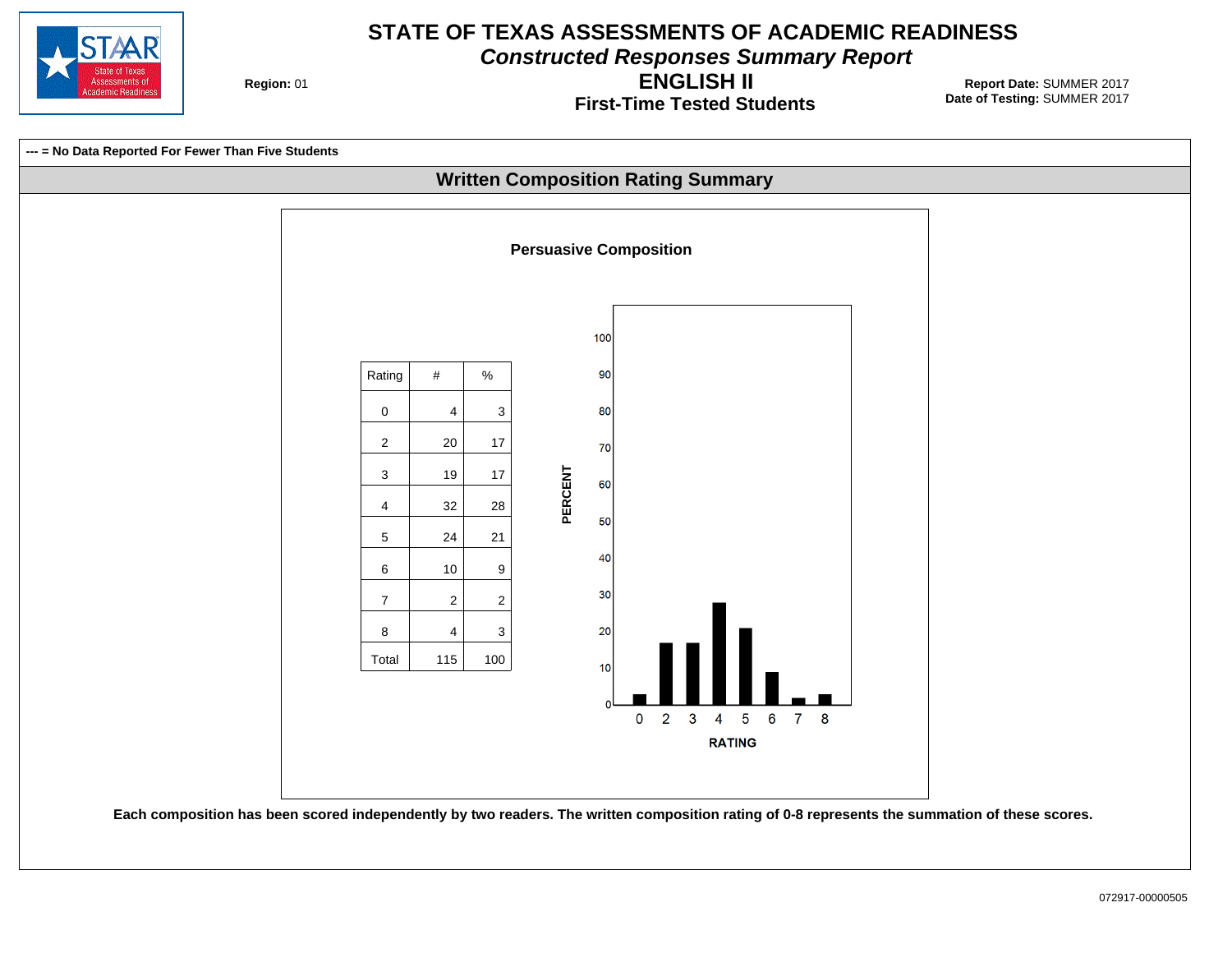

**Constructed Responses Summary Report**

**Region: 01** 

**First-Time Tested Students ENGLISH II**

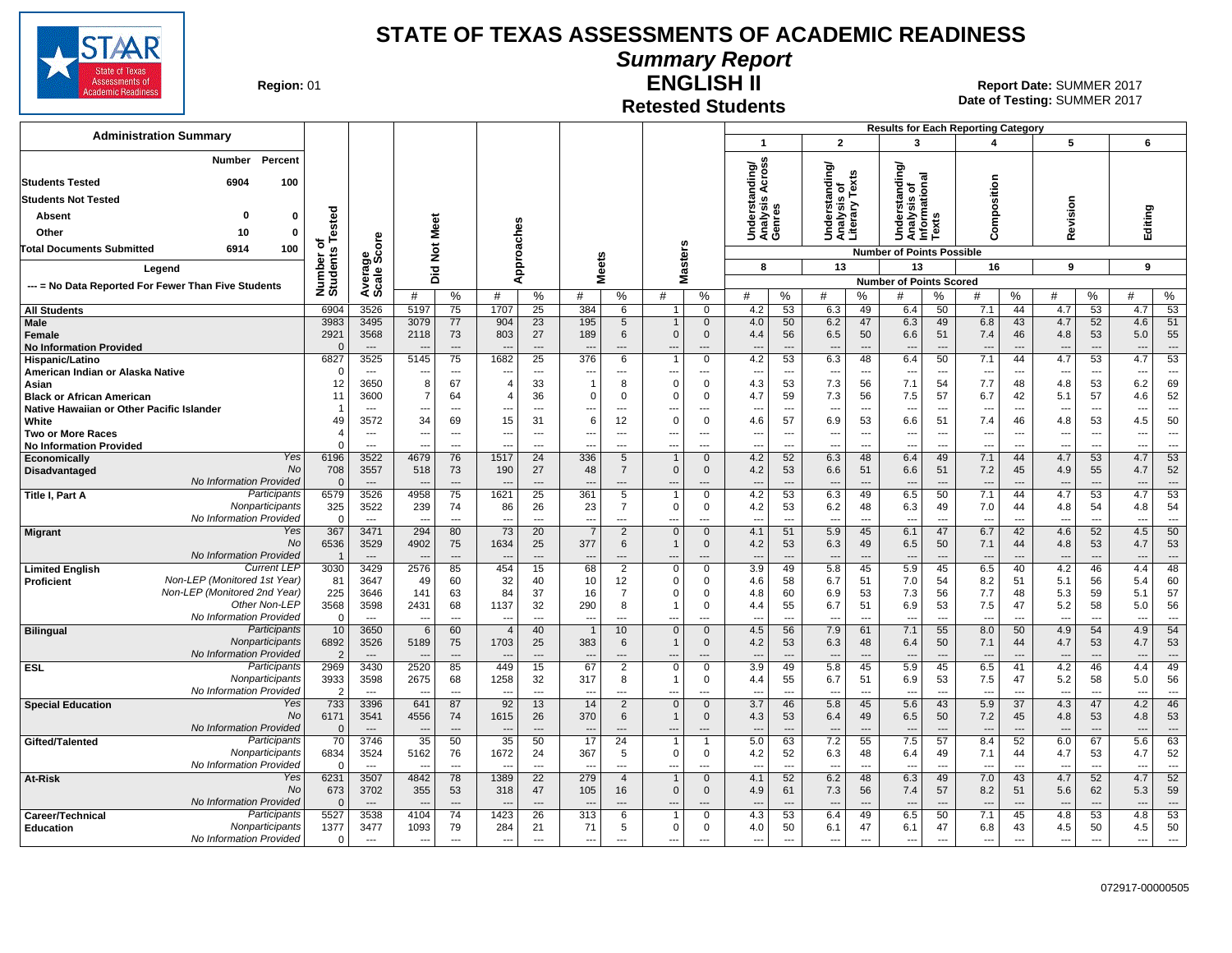

#### **Summary Report**

**Region: 01** 

### **Retested Students**

**ENGLISH II** 01 **Report Date:** SUMMER 2017 **Date of Testing:**  SUMMER 2017

|                                                                                            |                          |                                  |                                |                            |                                            |                                |                                            |                                        |                         |                                    |                                 |                                      |                                          |                                  | <b>Results for Each Reporting Category</b>     |                                  |                                        |                                |                                 |                                      |                          |                            |
|--------------------------------------------------------------------------------------------|--------------------------|----------------------------------|--------------------------------|----------------------------|--------------------------------------------|--------------------------------|--------------------------------------------|----------------------------------------|-------------------------|------------------------------------|---------------------------------|--------------------------------------|------------------------------------------|----------------------------------|------------------------------------------------|----------------------------------|----------------------------------------|--------------------------------|---------------------------------|--------------------------------------|--------------------------|----------------------------|
| <b>Administration Summary</b>                                                              |                          |                                  |                                |                            |                                            |                                |                                            |                                        |                         |                                    | $\mathbf{1}$                    |                                      | $\overline{2}$                           |                                  | 3                                              |                                  | $\boldsymbol{4}$                       |                                | 5                               |                                      | 6                        |                            |
| Percent<br>Number<br>6904<br>100<br><b>Students Tested</b>                                 |                          |                                  |                                |                            |                                            |                                |                                            |                                        |                         |                                    | ding/<br>cross<br>⋖             |                                      | ding/<br>is of<br>/ Texts                |                                  | tanding/<br>त्त                                |                                  |                                        |                                |                                 |                                      |                          |                            |
| <b>Students Not Tested</b>                                                                 |                          |                                  |                                |                            |                                            |                                |                                            |                                        |                         |                                    | ত্ত্<br>w                       |                                      |                                          |                                  |                                                |                                  |                                        |                                |                                 |                                      |                          |                            |
| Absent<br>0<br>$\Omega$                                                                    |                          |                                  |                                |                            |                                            |                                |                                            |                                        |                         |                                    |                                 |                                      |                                          |                                  | erst                                           |                                  |                                        |                                |                                 |                                      |                          |                            |
| Other<br>10<br>$\mathbf 0$                                                                 | Tested                   |                                  |                                | Meet                       |                                            |                                |                                            |                                        |                         |                                    | Understa<br>Analysis<br>Genres  |                                      | Understanc<br>Analysis of<br>Literary Te |                                  | Analysis of<br>Informationa<br>Texts<br>È<br>D |                                  | Composition                            |                                | Revision                        |                                      | Editing                  |                            |
| 6914<br>100<br>Total Documents Submitted                                                   | ৳                        | ö                                |                                | $\rm \breve{\rm z}$        |                                            |                                |                                            |                                        |                         |                                    |                                 |                                      |                                          |                                  | <b>Number of Points Possible</b>               |                                  |                                        |                                |                                 |                                      |                          |                            |
| Legend                                                                                     | Number of<br>Students    | Average<br>Scale Sco             |                                | 흐                          | Approaches                                 |                                | <b>Meets</b>                               |                                        |                         | <b>Masters</b>                     | 8                               |                                      | 13                                       |                                  | 13                                             |                                  | 16                                     |                                | 9                               |                                      | 9                        |                            |
| --- = No Data Reported For Fewer Than Five Students                                        |                          |                                  |                                | ه                          |                                            |                                |                                            |                                        |                         |                                    |                                 |                                      |                                          |                                  | <b>Number of Points Scored</b>                 |                                  |                                        |                                |                                 |                                      |                          |                            |
|                                                                                            |                          |                                  | #                              | %                          | #                                          | %                              | #                                          | %                                      | #                       | %                                  | #                               | %                                    | #                                        | %                                | #                                              | %                                | #                                      | %                              | #                               | $\%$                                 | #                        | %                          |
| <b>All Students</b>                                                                        | 6904                     | 3526                             | 5197                           | 75                         | 1707                                       | 25                             | 384                                        | 6                                      | $\mathbf{1}$            | $\mathbf{0}$                       | 4.2                             | 53                                   | 6.3                                      | 49                               | 6.4                                            | 50                               | 7.1                                    | 44                             | 4.7                             | 53                                   | 4.7                      | 53                         |
| <b>Male</b><br>Female<br><b>No Information Provided</b>                                    | 3983<br>2921<br>$\Omega$ | 3495<br>3568<br>$---$            | 3079<br>2118                   | 77<br>73<br>$\overline{a}$ | 904<br>803                                 | 23<br>27<br>$\overline{a}$     | 195<br>189                                 | $5\phantom{.0}$<br>6<br>$\overline{a}$ | $\mathbf{0}$<br>---     | $\mathbf{0}$<br>$\mathbf 0$<br>--- | 4.0<br>4.4<br>---               | 50<br>56<br>$\overline{\phantom{a}}$ | 6.2<br>6.5<br>$\overline{\phantom{a}}$   | 47<br>50<br>$\overline{a}$       | 6.3<br>6.6<br>$\overline{\phantom{a}}$         | 49<br>51<br>---                  | 6.8<br>7.4<br>$\overline{\phantom{a}}$ | 43<br>46                       | 4.7<br>4.8<br>---               | 52<br>53<br>$\overline{\phantom{a}}$ | 4.6<br>5.0<br>---        | 51<br>55<br>$\overline{a}$ |
| Hispanic/Latino                                                                            | 6827                     | 3525                             | 5145                           | 75                         | 1682                                       | 25                             | 376                                        | 6                                      |                         | 0                                  | 4.2                             | 53                                   | 6.3                                      | 48                               | 6.4                                            | 50                               | 7.1                                    | 44                             | 4.7                             | 53                                   | 4.7                      | 53                         |
| American Indian or Alaska Native                                                           | $\Omega$<br>12           | $-$<br>3650                      | $\sim$<br>8                    | ---<br>67                  | ---<br>$\overline{4}$                      | $---$<br>33                    | ---<br>$\overline{1}$                      | ---<br>8                               | ---<br>$\Omega$         | ---<br>$\Omega$                    | $\overline{\phantom{a}}$<br>4.3 | $\overline{\phantom{a}}$<br>53       | $\overline{\phantom{a}}$<br>7.3          | $\overline{\phantom{a}}$<br>56   | ---<br>7.1                                     | $\overline{\phantom{a}}$<br>54   | $\overline{\phantom{a}}$<br>7.7        | $---$<br>48                    | $\overline{\phantom{a}}$<br>4.8 | ---<br>53                            | ---<br>6.2               | $\overline{a}$<br>69       |
| Asian<br><b>Black or African American</b>                                                  | 11                       | 3600                             | $\overline{7}$                 | 64                         |                                            | 36                             | $\Omega$                                   | $\mathbf 0$                            | O                       | $\Omega$                           | 4.7                             | 59                                   | 7.3                                      | 56                               | 7.5                                            | 57                               | 6.7                                    | 42                             | 5.1                             | 57                                   | 4.6                      | 52                         |
| Native Hawaiian or Other Pacific Islander                                                  |                          | $\sim$                           | $\sim$                         | $\overline{a}$             | $---$                                      | $\sim$                         |                                            | $\sim$                                 | $\overline{a}$          | $\overline{a}$                     | $\overline{\phantom{a}}$        | $\sim$                               | $\sim$                                   | $\overline{a}$                   | $\overline{a}$                                 | $\overline{a}$                   | $\sim$                                 | $\sim$                         | $\sim$                          | $\sim$                               | $\overline{a}$           | $\overline{a}$             |
| White                                                                                      | 49                       | 3572                             | 34                             | 69                         | 15                                         | 31                             | 6                                          | 12                                     | $\Omega$                | $\Omega$                           | 4.6                             | 57                                   | 6.9                                      | 53                               | 6.6                                            | 51                               | 7.4                                    | 46                             | 4.8                             | 53                                   | 4.5                      | 50<br>$\sim$               |
| <b>Two or More Races</b><br><b>No Information Provided</b>                                 |                          | $\sim$<br>$\sim$                 | $\sim$<br>$\overline{a}$       | $---$<br>$---$             | $\sim$<br>$\overline{a}$                   | $---$<br>$---$                 | ---<br>---                                 | $---$<br>$---$                         | ---<br>---              | $\overline{a}$<br>$\overline{a}$   | $- -$<br>$\overline{a}$         | $\sim$<br>$\overline{a}$             | $\overline{\phantom{a}}$<br>$\sim$       | $\overline{a}$<br>$\overline{a}$ | ---<br>$\overline{a}$                          | $\overline{a}$<br>$\overline{a}$ | $\sim$<br>$---$                        | $\sim$<br>$\sim$               | $\sim$<br>$---$                 | $\sim$<br>$---$                      | ---<br>$-$               | $---$                      |
| Yes<br><b>Economically</b>                                                                 | 6196                     | 3522                             | 4679                           | 76                         | 1517                                       | 24                             | 336                                        | 5                                      |                         | $\Omega$                           | 4.2                             | 52                                   | 6.3                                      | 48                               | 6.4                                            | 49                               | 7.1                                    | 44                             | 4.7                             | 53                                   | 4.7                      | 53                         |
| <b>No</b><br>Disadvantaged<br>No Information Provided                                      | 708<br>$\Omega$          | 3557<br>$---$                    | 518                            | 73<br>$---$                | 190                                        | 27                             | 48                                         | $\overline{7}$<br>$---$                | $\mathbf{0}$            | $\mathbf{0}$                       | 4.2<br>$---$                    | 53<br>$\overline{a}$                 | 6.6                                      | 51<br>$\overline{a}$             | 6.6<br>$\overline{\phantom{a}}$                | 51<br>$\overline{\phantom{a}}$   | 7.2<br>$\overline{\phantom{a}}$        | 45<br>$\overline{\phantom{a}}$ | 4.9                             | 55<br>$\overline{a}$                 | 4.7                      | 52<br>$\overline{a}$       |
| Participants<br>Title I, Part A                                                            | 6579                     | 3526                             | 4958                           | 75                         | 1621                                       | 25                             | 361                                        | 5                                      |                         | $\Omega$                           | 4.2                             | 53                                   | 6.3                                      | 49                               | 6.5                                            | 50                               | 7.1                                    | 44                             | 4.7                             | 53                                   | 4.7                      | 53                         |
| Nonparticipants                                                                            | 325                      | 3522                             | 239                            | 74                         | 86                                         | 26                             | 23                                         | $\overline{7}$                         | $\mathbf 0$             | $\mathbf 0$                        | 4.2                             | 53                                   | 6.2                                      | 48                               | 6.3                                            | 49                               | 7.0                                    | 44                             | 4.8                             | 54                                   | 4.8                      | 54                         |
| No Information Provided<br>Yes<br><b>Migrant</b>                                           | - റ<br>367               | $---$<br>3471                    | 294                            | $\overline{a}$<br>80       | ---<br>73                                  | ---<br>20                      | $\overline{\phantom{a}}$<br>$\overline{7}$ | ---<br>2                               | ---<br>$\mathbf{0}$     | ---<br>$\Omega$                    | $\overline{\phantom{a}}$<br>4.1 | ---<br>51                            | $\overline{\phantom{a}}$<br>5.9          | ---<br>45                        | ---<br>6.1                                     | ---<br>47                        | $\overline{a}$<br>6.7                  | ---<br>42                      | ---<br>4.6                      | ---<br>52                            | ---<br>4.5               | $\cdots$<br>50             |
| No                                                                                         | 6536                     | 3529                             | 4902                           | 75                         | 1634                                       | 25                             | 377                                        | 6                                      | $\mathbf{1}$            | $\mathbf{0}$                       | 4.2                             | 53                                   | 6.3                                      | 49                               | 6.5                                            | 50                               | 7.1                                    | 44                             | 4.8                             | 53                                   | 4.7                      | 53                         |
| No Information Provided                                                                    |                          |                                  |                                | $\overline{a}$             |                                            | $\overline{a}$                 |                                            |                                        |                         | ---                                |                                 | $\overline{a}$                       | $\overline{\phantom{a}}$                 | $\overline{a}$                   |                                                |                                  |                                        |                                |                                 | $\overline{\phantom{a}}$             | ---                      | $\overline{a}$             |
| <b>Current LEP</b><br><b>Limited English</b><br>Non-LEP (Monitored 1st Year)<br>Proficient | 3030<br>81               | 3429<br>3647                     | 2576<br>49                     | 85<br>60                   | 454<br>32                                  | 15<br>40                       | 68<br>10                                   | $\overline{2}$<br>12                   | $\mathbf 0$<br>$\Omega$ | $\mathbf 0$<br>$\Omega$            | 3.9<br>4.6                      | 49<br>58                             | 5.8<br>6.7                               | 45<br>51                         | 5.9<br>7.0                                     | 45<br>54                         | 6.5<br>8.2                             | 40<br>51                       | 4.2<br>5.1                      | 46<br>56                             | 4.4<br>5.4               | 48<br>60                   |
| Non-LEP (Monitored 2nd Year)                                                               | 225                      | 3646                             | 141                            | 63                         | 84                                         | 37                             | 16                                         | 7                                      | $\Omega$                | $\Omega$                           | 4.8                             | 60                                   | 6.9                                      | 53                               | 7.3                                            | 56                               | 7.7                                    | 48                             | 5.3                             | 59                                   | 5.1                      | 57                         |
| Other Non-LEP                                                                              | 3568                     | 3598                             | 2431                           | 68                         | 1137                                       | 32                             | 290                                        | 8                                      |                         | $\Omega$                           | 4.4                             | 55                                   | 6.7                                      | 51                               | 6.9                                            | 53                               | 7.5                                    | 47                             | 5.2                             | 58                                   | 5.0                      | 56                         |
| No Information Provided<br>Participants                                                    | $\overline{0}$<br>10     | $\sim$<br>3650                   | $\overline{\phantom{a}}$       | $\overline{a}$             | $\overline{\phantom{a}}$<br>$\overline{4}$ | $\overline{\phantom{a}}$<br>40 | ---                                        | ---<br>10                              | ---<br>$\mathbf{0}$     | ---<br>$\mathbf{0}$                | $\overline{a}$<br>4.5           | $\overline{a}$<br>56                 | $\overline{\phantom{a}}$                 | $\overline{a}$<br>61             | $\overline{a}$<br>7.1                          | ---<br>55                        | ---<br>8.0                             | $\overline{a}$<br>50           | $\overline{\phantom{a}}$<br>4.9 | $\overline{a}$<br>54                 | ---<br>4.9               | $\overline{a}$<br>54       |
| <b>Bilingual</b><br>Nonparticipants                                                        | 6892                     | 3526                             | 6<br>5189                      | 60<br>75                   | 1703                                       | 25                             | 383                                        | 6                                      | $\mathbf 1$             | $\mathbf{0}$                       | 4.2                             | 53                                   | 7.9<br>6.3                               | 48                               | 6.4                                            | 50                               | 7.1                                    | 44                             | 4.7                             | 53                                   | 4.7                      | 53                         |
| No Information Provided                                                                    | $\overline{2}$           |                                  |                                | $\overline{a}$             |                                            |                                |                                            |                                        |                         |                                    | $\overline{a}$                  |                                      | $---$                                    | $\overline{a}$                   |                                                | ---                              |                                        |                                |                                 |                                      | $\overline{\phantom{a}}$ | $\overline{a}$             |
| Participants<br><b>ESL</b><br>Nonparticipants                                              | 2969                     | 3430                             | 2520                           | 85                         | 449                                        | 15                             | 67                                         | $\overline{2}$                         | $\mathbf 0$             | $\Omega$                           | 3.9                             | 49                                   | 5.8                                      | 45                               | 5.9                                            | 45                               | 6.5                                    | 41                             | 4.2                             | 46                                   | 4.4                      | 49                         |
| No Information Provided                                                                    | 3933<br>$\overline{2}$   | 3598<br>$\overline{\phantom{a}}$ | 2675                           | 68<br>$\overline{a}$       | 1258                                       | 32<br>$\overline{a}$           | 317                                        | 8<br>---                               | $\overline{a}$          | $\Omega$<br>---                    | 4.4<br>$\overline{a}$           | 55<br>$\overline{\phantom{a}}$       | 6.7<br>$\overline{\phantom{a}}$          | 51<br>$\overline{a}$             | 6.9<br>---                                     | 53<br>$\overline{\phantom{a}}$   | 7.5                                    | 47<br>$\overline{\phantom{a}}$ | 5.2<br>$\overline{\phantom{a}}$ | 58<br>$\overline{\phantom{a}}$       | 5.0<br>$\overline{a}$    | 56<br>$\overline{a}$       |
| Yes<br><b>Special Education</b>                                                            | 733                      | 3396                             | 641                            | 87                         | 92                                         | 13                             | 14                                         | $\overline{2}$                         | $\mathbf{0}$            | $\Omega$                           | 3.7                             | 46                                   | 5.8                                      | 45                               | 5.6                                            | 43                               | 5.9                                    | 37                             | 4.3                             | 47                                   | 4.2                      | 46                         |
| <b>No</b>                                                                                  | 6171                     | 3541                             | 4556                           | 74                         | 1615                                       | 26                             | 370                                        | 6                                      | $\mathbf{1}$            | $\mathbf{0}$                       | 4.3                             | 53                                   | 6.4                                      | 49                               | 6.5                                            | 50                               | 7.2                                    | 45                             | 4.8                             | 53                                   | 4.8                      | 53                         |
| No Information Provided<br>Participants<br>Gifted/Talented                                 | $\Omega$<br>70           | $---$<br>3746                    | $\overline{\phantom{a}}$<br>35 | $---$<br>50                | $\overline{a}$<br>35                       | $\overline{\phantom{a}}$<br>50 | $\overline{\phantom{a}}$<br>17             | $\overline{a}$<br>24                   | ---                     | ---<br>$\overline{1}$              | $---$<br>5.0                    | $\overline{a}$<br>63                 | $\overline{\phantom{a}}$<br>7.2          | $\overline{a}$<br>55             | $\overline{\phantom{a}}$<br>7.5                | $\overline{a}$<br>57             | $\overline{\phantom{a}}$<br>8.4        | $\overline{a}$<br>52           | $---$<br>6.0                    | $---$<br>67                          | ---<br>5.6               | $---$<br>63                |
| Nonparticipants                                                                            | 6834                     | 3524                             | 5162                           | 76                         | 1672                                       | 24                             | 367                                        | 5                                      | $\mathbf 0$             | 0                                  | 4.2                             | 52                                   | 6.3                                      | 48                               | 6.4                                            | 49                               | 7.1                                    | 44                             | 4.7                             | 53                                   | 4.7                      | 52                         |
| No Information Provided                                                                    | $\Omega$                 | $-$                              | $\overline{a}$                 | $\overline{a}$             | $\overline{\phantom{a}}$                   | $---$                          | $\sim$                                     | $---$                                  | ---                     | $\overline{a}$                     | $\overline{a}$                  | $\sim$                               | $\sim$                                   | $\overline{a}$                   | $\overline{a}$                                 | $\overline{a}$                   | $\sim$                                 | $\overline{\phantom{a}}$       | $-$                             | $\overline{a}$                       | ---                      | $\overline{a}$             |
| <b>At-Risk</b><br>Yes<br><b>No</b>                                                         | 6231<br>673              | 3507<br>3702                     | 4842<br>355                    | 78<br>53                   | 1389<br>318                                | 22<br>47                       | 279<br>105                                 | $\overline{4}$<br>16                   | $\mathbf{0}$            | $\Omega$<br>$\mathbf{0}$           | 4.1<br>4.9                      | 52<br>61                             | 6.2<br>7.3                               | 48<br>56                         | 6.3<br>7.4                                     | 49<br>57                         | 7.0<br>8.2                             | 43<br>51                       | 4.7<br>5.6                      | 52<br>62                             | 4.7<br>5.3               | 52<br>59                   |
| No Information Provided                                                                    |                          | $---$                            |                                | $---$                      |                                            | $---$                          |                                            | $\sim$                                 | $\overline{a}$          | ---                                | $---$                           | $\overline{\phantom{a}}$             | $\overline{\phantom{a}}$                 | $---$                            | $\overline{\phantom{a}}$                       | $---$                            | $\overline{\phantom{a}}$               | $\overline{\phantom{a}}$       | $\sim$                          | $---$                                | $- -$                    | $---$                      |
| Participants<br>Career/Technical                                                           | 5527                     | 3538                             | 4104                           | 74                         | 1423                                       | 26                             | 313                                        | 6                                      |                         | $\Omega$                           | 4.3                             | 53                                   | 6.4                                      | 49                               | 6.5                                            | 50                               | 7.1                                    | 45                             | 4.8                             | 53                                   | 4.8                      | 53                         |
| Nonparticipants<br>Education<br>No Information Provided                                    | 1377<br>$\Omega$         | 3477                             | 1093                           | 79                         | 284                                        | 21                             | 71                                         | 5                                      | $\mathbf 0$             | 0                                  | 4.0                             | 50                                   | 6.1                                      | 47                               | 6.1                                            | 47                               | 6.8<br>$\overline{a}$                  | 43                             | 4.5                             | 50<br>$\overline{\phantom{a}}$       | 4.5                      | 50                         |
|                                                                                            |                          | $\overline{\phantom{a}}$         | $\overline{a}$                 | $\overline{a}$             | $\overline{\phantom{a}}$                   | $\overline{\phantom{a}}$       | $\overline{\phantom{a}}$                   | $\overline{a}$                         | ---                     | ---                                | $\overline{a}$                  | $\overline{a}$                       | $\overline{\phantom{a}}$                 | $\overline{a}$                   | $\overline{\phantom{a}}$                       | ---                              |                                        | $\overline{\phantom{a}}$       | $\overline{a}$                  |                                      | ---                      | $\overline{\phantom{a}}$   |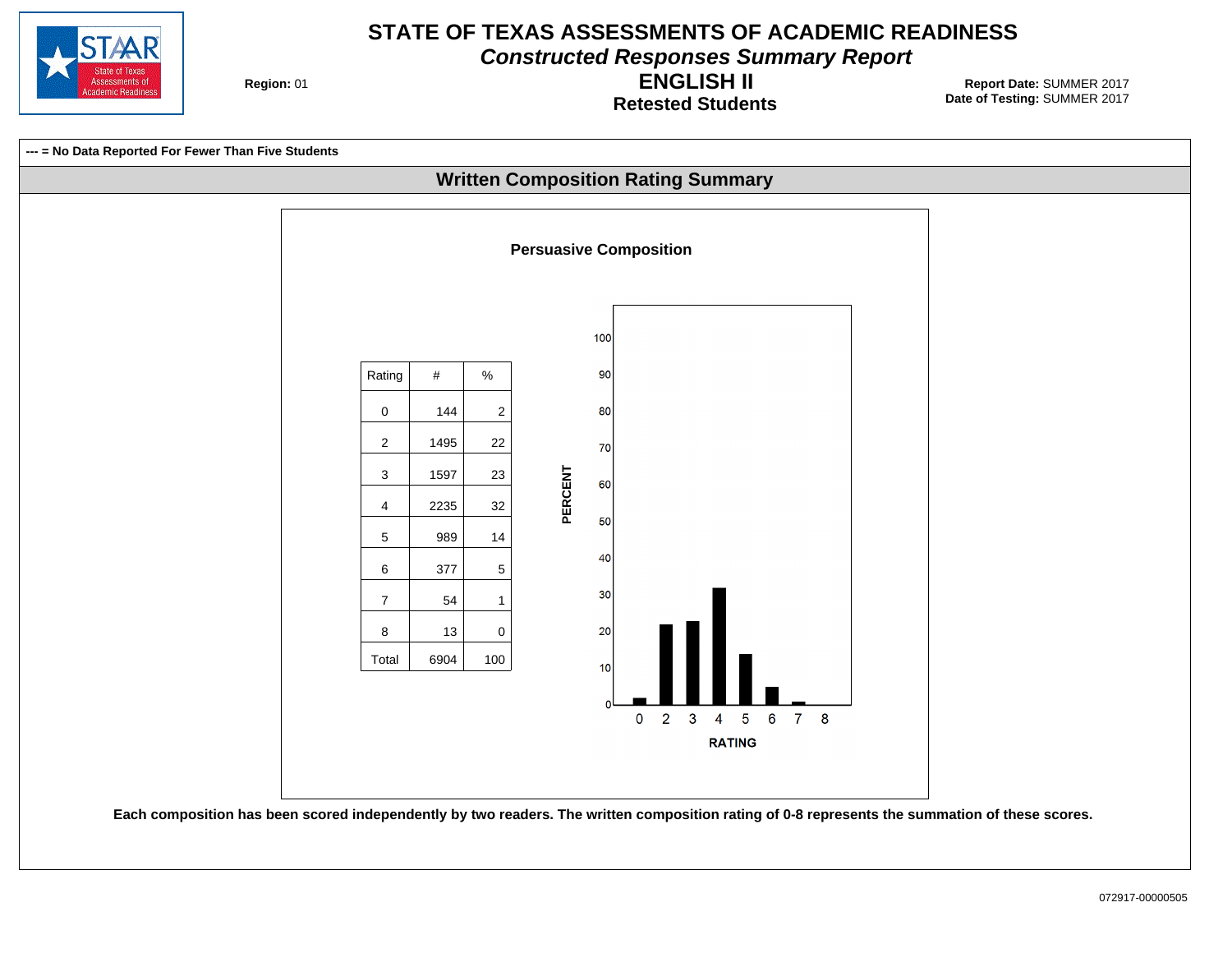

**Constructed Responses Summary Report**

**Region: 01** 

**Retested Students ENGLISH II**

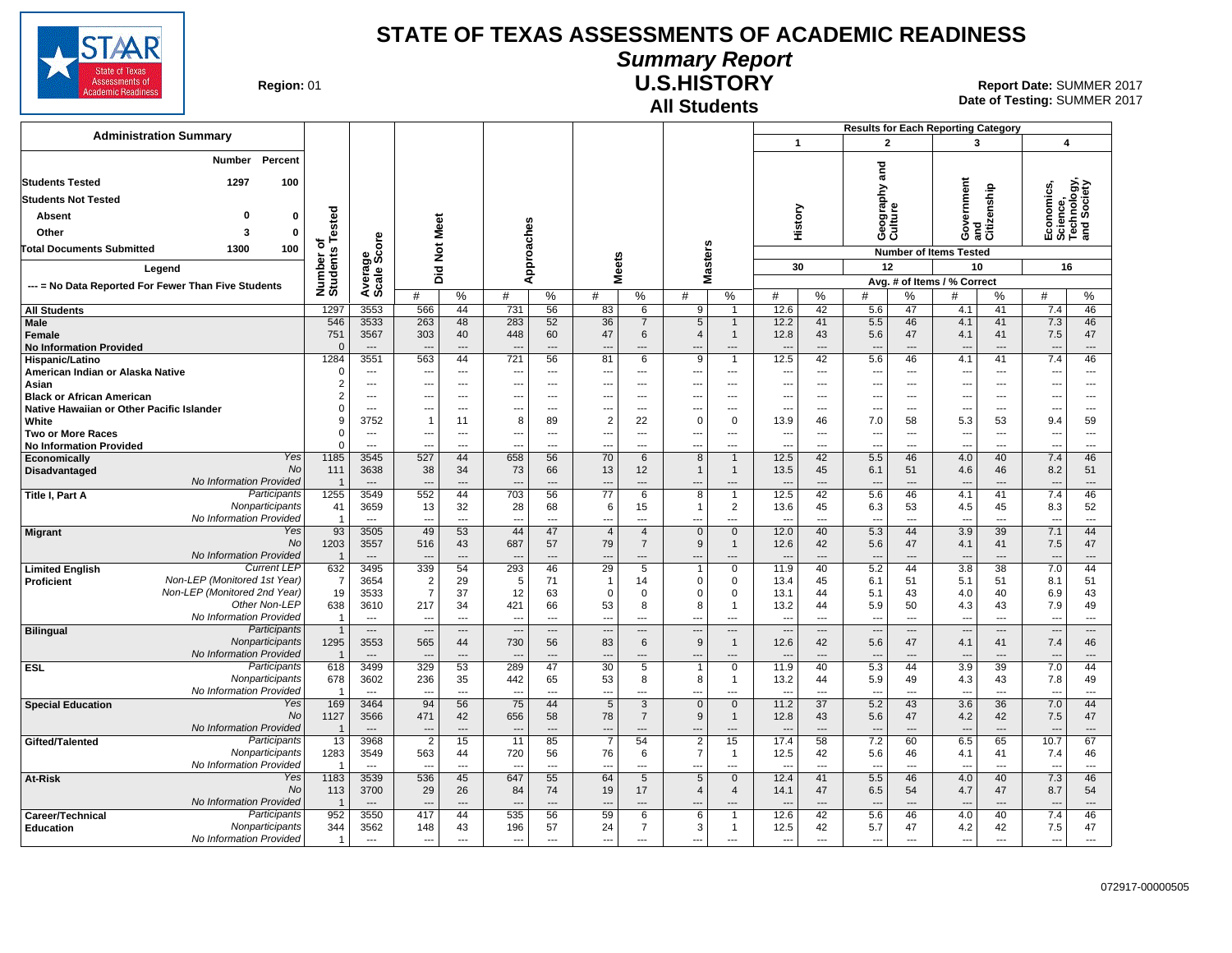

#### **Summary Report**

**Region: 01** 

# **All Students**

**U.S.HISTORY** 01 **Report Date:** SUMMER 2017 **Date of Testing:**  SUMMER 2017

|                                                                                                                                                                 |                                 |                                  |                                  |                                |                   |                            |                                                  |                                                    |                                                      |                                                |                                                      |                                   | <b>Results for Each Reporting Category</b>           |                      |                                        |                            |                                                      |                                   |  |
|-----------------------------------------------------------------------------------------------------------------------------------------------------------------|---------------------------------|----------------------------------|----------------------------------|--------------------------------|-------------------|----------------------------|--------------------------------------------------|----------------------------------------------------|------------------------------------------------------|------------------------------------------------|------------------------------------------------------|-----------------------------------|------------------------------------------------------|----------------------|----------------------------------------|----------------------------|------------------------------------------------------|-----------------------------------|--|
| <b>Administration Summary</b>                                                                                                                                   |                                 |                                  |                                  |                                |                   |                            |                                                  |                                                    |                                                      |                                                | $\mathbf{1}$                                         |                                   | $\overline{2}$                                       |                      | $\overline{\mathbf{3}}$                |                            | $\overline{\mathbf{4}}$                              |                                   |  |
| Percent<br>Number<br><b>Students Tested</b><br>1297<br>100<br><b>Students Not Tested</b><br>$\Omega$<br>$\mathbf 0$<br><b>Absent</b><br>$\pmb{0}$<br>Other<br>3 | Tested                          |                                  | Did Not Meet                     |                                |                   |                            |                                                  |                                                    |                                                      |                                                | History                                              |                                   | ក្ខ<br>ត<br>Geography<br>Culture                     |                      | overnment                              | and<br>Citizenship         | Economics,<br>Science,<br>Technology,<br>and Society |                                   |  |
|                                                                                                                                                                 | ৳<br>Number of<br>Students      |                                  |                                  |                                |                   |                            |                                                  |                                                    |                                                      |                                                |                                                      |                                   |                                                      |                      | Ő                                      |                            |                                                      |                                   |  |
| 100<br><b>Total Documents Submitted</b><br>1300<br>Legend<br>--- = No Data Reported For Fewer Than Five Students                                                |                                 | ge<br>Score                      |                                  |                                |                   |                            | eets                                             |                                                    | Masters                                              |                                                |                                                      |                                   |                                                      |                      | <b>Number of Items Tested</b>          |                            |                                                      |                                   |  |
|                                                                                                                                                                 |                                 |                                  |                                  |                                | Approaches        |                            |                                                  |                                                    |                                                      |                                                | 30                                                   |                                   | 12                                                   |                      | 10                                     |                            | 16                                                   |                                   |  |
|                                                                                                                                                                 |                                 | Average                          | $\%$<br>#                        |                                | #<br>%            |                            | ž.<br>%<br>#                                     |                                                    | %<br>#                                               |                                                | #                                                    | $\%$                              | Avg. # of Items / % Correct<br>$\%$<br>#<br>#        |                      |                                        | $\%$                       | %<br>#                                               |                                   |  |
| <b>All Students</b>                                                                                                                                             | 1297                            | 3553                             | 566                              | 44                             | 731               | 56                         | 83                                               | 6                                                  | 9                                                    | $\overline{1}$                                 | 12.6                                                 | 42                                | 5.6                                                  | 47                   | 4.1                                    | 41                         | 7.4                                                  | 46                                |  |
| Male<br><b>Female</b><br><b>No Information Provided</b>                                                                                                         | 546<br>751<br>$\Omega$          | 3533<br>3567<br>$\overline{a}$   | 263<br>303                       | 48<br>40<br>---                | 283<br>448<br>--- | 52<br>60<br>---            | 36<br>47<br>$---$                                | $\overline{7}$<br>6<br>---                         | $5\phantom{.0}$<br>$\overline{4}$                    | $\mathbf{1}$<br>$\mathbf{1}$<br>---            | 12.2<br>12.8<br>$\overline{a}$                       | 41<br>43<br>$\sim$                | 5.5<br>5.6<br>$\overline{a}$                         | 46<br>47             | 4.1<br>4.1<br>---                      | 41<br>41<br>---            | 7.3<br>7.5<br>$\sim$                                 | 46<br>47<br>$\overline{a}$        |  |
| Hispanic/Latino                                                                                                                                                 | 1284                            | 3551                             | 563                              | 44                             | 721               | 56                         | 81                                               | 6                                                  | 9                                                    | $\overline{1}$                                 | 12.5                                                 | 42                                | 5.6                                                  | 46                   | 4.1                                    | 41                         | 7.4                                                  | 46                                |  |
| American Indian or Alaska Native<br>Asian                                                                                                                       | $\Omega$<br>$\overline{2}$      | $\overline{\phantom{a}}$<br>---  | ---<br>$\overline{a}$            | $---$<br>---                   | ---<br>---        | ---<br>---                 | $\overline{a}$<br>---                            | ---<br>$---$                                       | $\overline{\phantom{a}}$<br>$\overline{\phantom{a}}$ | ---<br>---                                     | ---<br>---                                           | $\overline{\phantom{a}}$<br>$---$ | $\overline{\phantom{a}}$<br>---                      | ---<br>---           | ---<br>---                             | ---<br>$\overline{a}$      | ---<br>---                                           | $\overline{\phantom{a}}$<br>---   |  |
| <b>Black or African American</b>                                                                                                                                | $\overline{2}$                  | ---                              | ---                              | $\overline{\phantom{a}}$       | ---               | ---                        | ---                                              | ---                                                | $\overline{\phantom{a}}$                             | ---                                            | ---                                                  | $---$                             | $---$                                                | ---                  | ---                                    | ---                        | $\overline{\phantom{a}}$                             | ---                               |  |
| Native Hawaiian or Other Pacific Islander                                                                                                                       | $\Omega$                        | $\sim$                           | $---$                            | $---$                          | ---               | $---$                      | ---                                              | $---$                                              | $\sim$                                               | ---                                            | $\overline{a}$                                       | $---$                             | $\overline{a}$                                       | $\sim$               | ---                                    | $\overline{a}$             | $\overline{a}$                                       | $---$                             |  |
| White                                                                                                                                                           | 9                               | 3752                             | $\overline{1}$                   | 11                             | 8                 | 89                         | $\overline{2}$                                   | 22                                                 | $\mathbf 0$                                          | $\Omega$                                       | 13.9                                                 | 46                                | 7.0                                                  | 58                   | 5.3                                    | 53                         | 9.4                                                  | 59                                |  |
| <b>Two or More Races</b><br><b>No Information Provided</b>                                                                                                      | $\mathbf 0$<br>$\Omega$         | $\sim$<br>$\sim$                 | $\overline{a}$<br>$-$            | $---$<br>$---$                 | ---<br>---        | $\overline{a}$<br>$---$    | $---$<br>$\overline{a}$                          | $---$<br>$---$                                     | $\sim$<br>$\sim$                                     | ---<br>---                                     | ---<br>$\overline{a}$                                | $---$<br>$---$                    | $\overline{\phantom{a}}$<br>$\overline{a}$           | $\sim$<br>$\sim$     | $\overline{\phantom{a}}$<br>---        | $\overline{a}$<br>$---$    | $\sim$<br>$\overline{a}$                             | $\overline{\phantom{a}}$<br>$---$ |  |
| Yes<br>Economically                                                                                                                                             | 1185                            | 3545                             | 527                              | 44                             | 658               | 56                         | 70                                               | 6                                                  | 8                                                    | $\overline{1}$                                 | 12.5                                                 | 42                                | 5.5                                                  | 46                   | 4.0                                    | 40                         | 7.4                                                  | 46                                |  |
| <b>No</b><br>Disadvantaged<br>No Information Provided                                                                                                           | 111<br>$\overline{1}$           | 3638<br>$\overline{\phantom{a}}$ | 38                               | 34<br>$\overline{a}$           | 73                | 66<br>$-$                  | 13                                               | 12<br>$\overline{a}$                               | $\overline{1}$                                       | $\mathbf{1}$<br>---                            | 13.5<br>$\overline{\phantom{a}}$                     | 45<br>$\overline{\phantom{a}}$    | 6.1<br>$\overline{\phantom{a}}$                      | 51                   | 4.6<br>$\overline{\phantom{a}}$        | 46                         | 8.2                                                  | 51<br>$\overline{a}$              |  |
| Participants<br>Title I, Part A                                                                                                                                 | 1255                            | 3549                             | 552                              | 44                             | 703               | 56                         | $\overline{77}$                                  | 6                                                  | $\overline{8}$                                       | $\mathbf{1}$                                   | 12.5                                                 | 42                                | 5.6                                                  | 46                   | 4.1                                    | 41                         | 7.4                                                  | 46                                |  |
| Nonparticipants                                                                                                                                                 | 41                              | 3659                             | 13                               | 32                             | 28                | 68                         | 6                                                | 15                                                 | $\mathbf{1}$                                         | 2                                              | 13.6                                                 | 45                                | 6.3                                                  | 53                   | 4.5                                    | 45                         | 8.3                                                  | 52                                |  |
| No Information Provided                                                                                                                                         | ٠                               | $\overline{a}$                   | $\overline{a}$                   | $\overline{a}$                 | $\sim$            | $\overline{a}$             | $\overline{a}$                                   | $---$                                              | $\overline{\phantom{a}}$                             | ---                                            | $\overline{a}$                                       | $\overline{a}$                    | $\overline{a}$                                       | $\overline{a}$       | $\overline{\phantom{a}}$               | $\overline{a}$             | $\overline{a}$                                       | $---$                             |  |
| Yes<br><b>Migrant</b><br><b>No</b><br>No Information Provided                                                                                                   | 93<br>1203<br>$\overline{1}$    | 3505<br>3557                     | 49<br>516                        | 53<br>43<br>$\overline{a}$     | 44<br>687         | 47<br>57<br>$\overline{a}$ | $\overline{4}$<br>79<br>$\overline{\phantom{a}}$ | $\overline{4}$<br>$\overline{7}$<br>$\overline{a}$ | $\mathbf 0$<br>9<br>$\overline{\phantom{a}}$         | $\mathbf{0}$<br>$\mathbf{1}$<br>$\overline{a}$ | 12.0<br>12.6<br>$\overline{a}$                       | 40<br>42                          | 5.3<br>5.6<br>$\overline{\phantom{a}}$               | 44<br>47<br>$-$      | 3.9<br>4.1<br>$\overline{\phantom{a}}$ | 39<br>41<br>$\overline{a}$ | 7.1<br>7.5<br>$\overline{\phantom{a}}$               | 44<br>47<br>$\overline{a}$        |  |
| <b>Current LEP</b><br><b>Limited English</b>                                                                                                                    | 632                             | 3495                             | 339                              | 54                             | 293               | 46                         | 29                                               | $\overline{5}$                                     | $\overline{1}$                                       | $\overline{0}$                                 | 11.9                                                 | 40                                | 5.2                                                  | 44                   | 3.8                                    | $\overline{38}$            | 7.0                                                  | 44                                |  |
| Non-LEP (Monitored 1st Year)<br><b>Proficient</b>                                                                                                               | $\overline{7}$                  | 3654                             | $\overline{2}$                   | 29                             | 5                 | 71                         | -1                                               | 14                                                 | $\mathbf 0$                                          | $\mathbf 0$                                    | 13.4                                                 | 45                                | 6.1                                                  | 51                   | 5.1                                    | 51                         | 8.1                                                  | 51                                |  |
| Non-LEP (Monitored 2nd Year)                                                                                                                                    | 19                              | 3533                             | $\overline{7}$                   | 37                             | 12                | 63                         | $\mathbf 0$                                      | $\mathbf 0$                                        | $\mathbf 0$                                          | $\mathbf 0$                                    | 13.1                                                 | 44                                | 5.1                                                  | 43                   | 4.0                                    | 40                         | 6.9                                                  | 43                                |  |
| Other Non-LEP<br>No Information Provided                                                                                                                        | 638                             | 3610<br>$\sim$                   | 217                              | 34<br>$\overline{a}$           | 421               | 66<br>$\overline{a}$       | 53                                               | 8<br>$\overline{\phantom{a}}$                      | 8                                                    | $\overline{1}$                                 | 13.2                                                 | 44                                | 5.9                                                  | 50<br>$\overline{a}$ | 4.3<br>$\overline{\phantom{a}}$        | 43                         | 7.9                                                  | 49<br>$\overline{\phantom{a}}$    |  |
| Participants<br><b>Bilingual</b>                                                                                                                                | -1<br>$\overline{1}$            | $\cdots$                         | $\overline{a}$<br>$\overline{a}$ | $\cdots$                       | ---<br>           | ---                        | $\overline{\phantom{a}}$<br>---                  | $\overline{a}$                                     | $\overline{\phantom{a}}$                             | ---<br>---                                     | $\overline{\phantom{a}}$<br>$\overline{\phantom{a}}$ | $---$<br>$\overline{\phantom{a}}$ | $\overline{\phantom{a}}$<br>$\overline{\phantom{a}}$ | $\cdots$             | $\overline{\phantom{a}}$               | $\overline{a}$<br>---      | $\overline{\phantom{a}}$<br>$\overline{\phantom{a}}$ | $\overline{\phantom{a}}$          |  |
| Nonparticipants                                                                                                                                                 | 1295                            | 3553                             | 565                              | 44                             | 730               | 56                         | 83                                               | 6                                                  | 9                                                    | $\mathbf{1}$                                   | 12.6                                                 | 42                                | 5.6                                                  | 47                   | 4.1                                    | 41                         | 7.4                                                  | 46                                |  |
| No Information Provided                                                                                                                                         | $\overline{\phantom{a}}$        |                                  |                                  |                                |                   |                            | $\overline{\phantom{a}}$                         | $\overline{a}$                                     |                                                      |                                                |                                                      |                                   | $\overline{\phantom{a}}$                             |                      | $\overline{a}$                         |                            | $\overline{\phantom{a}}$                             | ---                               |  |
| Participants<br><b>ESL</b>                                                                                                                                      | 618                             | 3499                             | 329                              | 53                             | 289               | 47                         | 30                                               | 5                                                  | $\overline{1}$                                       | $\mathbf 0$                                    | 11.9                                                 | 40                                | 5.3                                                  | 44                   | 3.9                                    | 39                         | 7.0                                                  | 44                                |  |
| Nonparticipants<br>No Information Provided                                                                                                                      | 678<br>$\overline{1}$           | 3602<br>$\overline{\phantom{a}}$ | 236<br>$\sim$                    | 35<br>$\overline{a}$           | 442<br>÷.,        | 65<br>$\overline{a}$       | 53<br>$\overline{\phantom{a}}$                   | 8<br>$\overline{a}$                                | 8                                                    | 1<br>---                                       | 13.2<br>---                                          | 44<br>$\sim$                      | 5.9<br>$\overline{a}$                                | 49<br>---            | 4.3<br>$\overline{\phantom{a}}$        | 43<br>$\overline{a}$       | 7.8<br>$\sim$                                        | 49<br>---                         |  |
| Yes<br><b>Special Education</b>                                                                                                                                 | 169                             | 3464                             | 94                               | 56                             | $\overline{75}$   | 44                         | $5\overline{)}$                                  | $\overline{3}$                                     | $\overline{0}$                                       | $\overline{0}$                                 | 11.2                                                 | $\overline{37}$                   | 5.2                                                  | 43                   | 3.6                                    | 36                         | 7.0                                                  | 44                                |  |
| No<br>No Information Provided                                                                                                                                   | 1127<br>$\overline{1}$          | 3566<br>$\overline{a}$           | 471<br>$---$                     | 42<br>$\overline{a}$           | 656<br>---        | 58<br>$---$                | 78<br>---                                        | $\overline{7}$<br>---                              | 9<br>$\overline{\phantom{a}}$                        | $\mathbf{1}$<br>---                            | 12.8<br>$\overline{\phantom{a}}$                     | 43<br>$\overline{\phantom{a}}$    | 5.6<br>$\overline{\phantom{a}}$                      | 47<br>---            | 4.2<br>---                             | 42<br>$\overline{a}$       | 7.5<br>$\overline{\phantom{a}}$                      | 47<br>$---$                       |  |
| Participants<br>Gifted/Talented                                                                                                                                 | 13                              | 3968                             | $\overline{2}$                   | 15                             | 11                | 85                         | $\overline{7}$                                   | 54                                                 | $\overline{2}$                                       | 15                                             | 17.4                                                 | 58                                | 7.2                                                  | 60                   | 6.5                                    | 65                         | 10.7                                                 | 67                                |  |
| Nonparticipants<br>No Information Provided                                                                                                                      | 1283<br>$\overline{1}$          | 3549<br>$\sim$                   | 563<br>$\sim$                    | 44<br>$\sim$                   | 720               | 56<br>$\overline{a}$       | 76<br>$\overline{a}$                             | 6<br>---                                           | $\overline{7}$<br>---                                | $\overline{1}$<br>---                          | 12.5<br>$\overline{a}$                               | 42<br>$\overline{\phantom{a}}$    | 5.6<br>$\overline{a}$                                | 46<br>$\overline{a}$ | 4.1<br>$\overline{a}$                  | 41<br>$\overline{a}$       | 7.4<br>$\overline{\phantom{a}}$                      | 46<br>$\overline{\phantom{a}}$    |  |
| Yes<br>At-Risk<br>No                                                                                                                                            | 1183                            | 3539                             | 536                              | 45                             | 647               | 55                         | 64                                               | 5                                                  | $\overline{5}$                                       | $\mathbf{0}$                                   | 12.4                                                 | 41                                | 5.5                                                  | 46                   | 4.0                                    | 40                         | 7.3                                                  | 46                                |  |
| No Information Provided                                                                                                                                         | 113<br>$\overline{\phantom{a}}$ | 3700<br>$---$                    | 29<br>$\overline{a}$             | 26<br>$\overline{\phantom{a}}$ | 84<br>---         | 74<br>$---$                | 19<br>$\overline{\phantom{a}}$                   | 17<br>$\overline{\phantom{a}}$                     | $\overline{4}$<br>---                                | $\overline{4}$<br>---                          | 14.1<br>---                                          | 47<br>$---$                       | 6.5<br>$\overline{a}$                                | 54<br>---            | 4.7<br>$\overline{\phantom{a}}$        | 47<br>$---$                | 8.7<br>$\overline{\phantom{a}}$                      | 54<br>$---$                       |  |
| Participants<br>Career/Technical                                                                                                                                | 952                             | 3550                             | 417                              | 44                             | 535               | 56                         | 59                                               | 6                                                  | 6                                                    | $\overline{1}$                                 | 12.6                                                 | 42                                | 5.6                                                  | 46                   | 4.0                                    | 40                         | 7.4                                                  | 46                                |  |
| Nonparticipants<br><b>Education</b><br>No Information Provided                                                                                                  | 344<br>$\overline{1}$           | 3562<br>$\sim$                   | 148<br>$\sim$                    | 43<br>$---$                    | 196<br>---        | 57<br>$\overline{a}$       | 24<br>$\overline{a}$                             | $\overline{7}$<br>$\overline{a}$                   | 3<br>$\overline{\phantom{a}}$                        | $\mathbf{1}$<br>---                            | 12.5<br>$\overline{a}$                               | 42<br>$\overline{\phantom{a}}$    | 5.7<br>$\overline{a}$                                | 47<br>$\overline{a}$ | 4.2<br>---                             | 42<br>$\overline{a}$       | 7.5<br>$\overline{a}$                                | 47<br>$\overline{a}$              |  |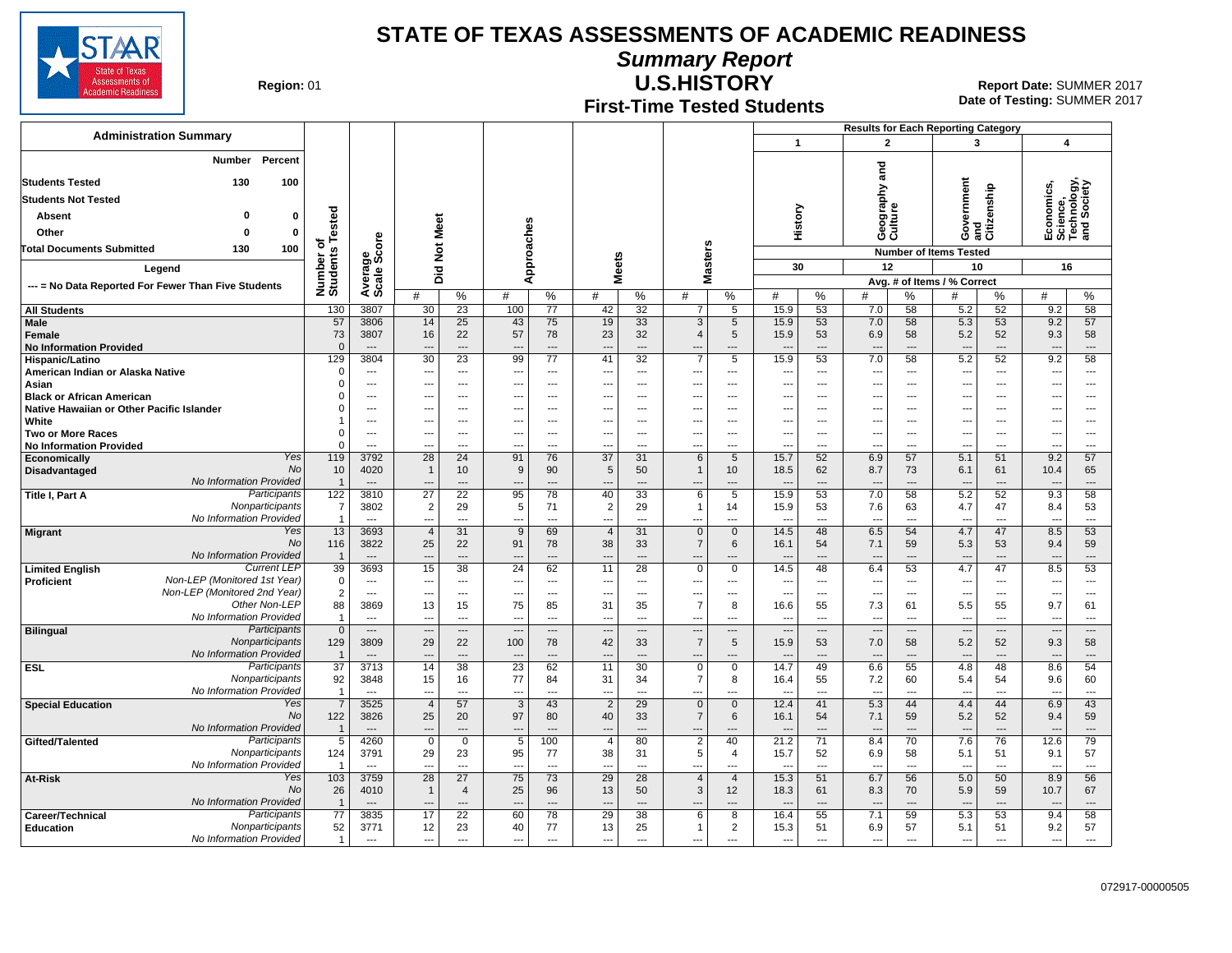

**Summary Report**

**Region: 01** 

## **First-Time Tested Students**

**U.S.HISTORY** 01 **Report Date:** SUMMER 2017 **Date of Testing:**  SUMMER 2017

|                                                                             |                                   |                        |                                  |                                            |                    |                                   |                       |                         |                                                      |                                 |                                 |                                       | <b>Results for Each Reporting Category</b>           |                                 |                                 |                               |                                                      |                      |  |
|-----------------------------------------------------------------------------|-----------------------------------|------------------------|----------------------------------|--------------------------------------------|--------------------|-----------------------------------|-----------------------|-------------------------|------------------------------------------------------|---------------------------------|---------------------------------|---------------------------------------|------------------------------------------------------|---------------------------------|---------------------------------|-------------------------------|------------------------------------------------------|----------------------|--|
| <b>Administration Summary</b>                                               |                                   |                        |                                  |                                            |                    |                                   |                       |                         |                                                      |                                 | $\mathbf{1}$                    |                                       | $\mathbf{2}$                                         |                                 | 3                               |                               | 4                                                    |                      |  |
| Number Percent                                                              |                                   |                        |                                  |                                            |                    |                                   |                       |                         |                                                      |                                 |                                 |                                       |                                                      |                                 |                                 |                               |                                                      |                      |  |
| <b>Students Tested</b><br>130<br>100                                        |                                   |                        |                                  |                                            |                    |                                   |                       |                         |                                                      |                                 |                                 |                                       | and                                                  |                                 |                                 |                               |                                                      |                      |  |
| <b>Students Not Tested</b>                                                  |                                   |                        |                                  |                                            |                    |                                   |                       |                         |                                                      |                                 |                                 |                                       | ξq                                                   |                                 |                                 |                               |                                                      |                      |  |
| 0<br>Absent                                                                 |                                   |                        |                                  |                                            |                    |                                   |                       |                         |                                                      |                                 |                                 |                                       | Geograp<br>Culture                                   |                                 | ernment                         | and<br>Citizenship            | Economics,<br>Science,<br>Technology,<br>and Society |                      |  |
| $\mathbf 0$<br>Other<br>n                                                   | ested                             |                        |                                  |                                            |                    |                                   |                       |                         |                                                      |                                 | History                         |                                       |                                                      |                                 | Š<br>ტ                          |                               |                                                      |                      |  |
| 100<br><b>Total Documents Submitted</b><br>130                              | ठ                                 |                        |                                  |                                            |                    |                                   |                       |                         |                                                      |                                 |                                 |                                       |                                                      |                                 | <b>Number of Items Tested</b>   |                               |                                                      |                      |  |
| Legend                                                                      |                                   | Average<br>Scale Score |                                  |                                            | Approaches         |                                   |                       |                         | Masters                                              |                                 | 30                              |                                       | 12                                                   |                                 | 10                              |                               | 16                                                   |                      |  |
| --- = No Data Reported For Fewer Than Five Students                         | Number or<br>Students             |                        |                                  | Did Not Meet                               |                    |                                   | <b>Meets</b>          |                         |                                                      |                                 |                                 |                                       | Avg. # of Items / % Correct                          |                                 |                                 |                               |                                                      |                      |  |
|                                                                             |                                   |                        | #                                | %                                          | #                  | $\%$                              | #                     | %                       | #                                                    | %                               | #                               | %                                     | #                                                    | %                               | #                               | %                             | #                                                    | %                    |  |
| <b>All Students</b>                                                         | 130                               | 3807                   | 30                               | 23                                         | 100                | 77                                | 42                    | 32                      | $\overline{7}$                                       | 5                               | 15.9                            | 53                                    | 7.0                                                  | 58                              | 5.2                             | 52                            | 9.2                                                  | 58                   |  |
| Male<br>Female                                                              | 57<br>73                          | 3806<br>3807           | 14<br>16                         | 25<br>22                                   | 43<br>57           | 75<br>78                          | 19<br>23              | 33<br>32                | 3<br>$\overline{4}$                                  | 5<br>5                          | 15.9<br>15.9                    | 53<br>53                              | 7.0<br>6.9                                           | 58<br>58                        | 5.3<br>5.2                      | 53<br>52                      | 9.2<br>9.3                                           | 57<br>58             |  |
| <b>No Information Provided</b>                                              | $\Omega$                          | $\cdots$               | $\overline{a}$                   | ---                                        | $\overline{a}$     | $\overline{\phantom{a}}$          | ---                   | $\overline{a}$          |                                                      | ---                             | ---                             | $\overline{\phantom{a}}$              | $\overline{\phantom{a}}$                             | ---                             | $\overline{\phantom{a}}$        | ---                           | $\overline{\phantom{a}}$                             | ---                  |  |
| Hispanic/Latino                                                             | 129                               | 3804                   | $\overline{30}$                  | $\overline{23}$                            | 99                 | $\overline{77}$                   | 41                    | $\overline{32}$         | $\overline{7}$                                       | $\overline{5}$                  | 15.9                            | 53                                    | 7.0                                                  | 58                              | 5.2                             | 52                            | 9.2                                                  | 58                   |  |
| American Indian or Alaska Native<br>Asian                                   | $\mathbf 0$<br>$\Omega$           | ---<br>---             | $\overline{a}$                   | ---<br>---                                 | ---<br>---         | $---$<br>$\overline{\phantom{a}}$ | ---<br>---            | $\cdots$<br>---         | $\overline{\phantom{a}}$<br>$\overline{\phantom{a}}$ | ---<br>$\overline{\phantom{a}}$ | ---<br>---                      | $-$<br>$\overline{\phantom{a}}$       | ---<br>                                              | ---<br>---                      | $\overline{\phantom{a}}$<br>--- | ---<br>---                    | ---<br>---                                           | ---<br>---           |  |
| <b>Black or African American</b>                                            | $\Omega$                          | ---                    |                                  | ---                                        | ---                | $---$                             | ---                   | $\overline{a}$          | $\sim$                                               | ---                             | ÷.,                             |                                       | ---                                                  | ---                             | $\overline{\phantom{a}}$        | ---                           | ---                                                  | ---                  |  |
| Native Hawaiian or Other Pacific Islander                                   | $\Omega$                          | ---                    |                                  | ---                                        | ---                | ---                               | ---                   | $\overline{a}$          | ---                                                  | ---                             | ---                             | $\overline{\phantom{a}}$              | $\overline{\phantom{a}}$                             | ---                             | ---                             | ---                           | ---                                                  | ---                  |  |
| White<br><b>Two or More Races</b>                                           | -1<br>$\Omega$                    | ---<br>---             | $\overline{\phantom{a}}$<br>$--$ | ---<br>---                                 | ---<br>---         | ---<br>---                        | ---<br>---            | ---<br>$\overline{a}$   | ---<br>---                                           | ---<br>$\overline{\phantom{a}}$ | ---<br>---                      | $\ddotsc$<br>$\overline{\phantom{a}}$ | $\overline{\phantom{a}}$<br>$\overline{\phantom{a}}$ | ---<br>---                      | ---<br>---                      | $\overline{a}$<br>---         | ---<br>---                                           | ---<br>---           |  |
| <b>No Information Provided</b>                                              | $\Omega$                          | $\overline{a}$         |                                  | ---                                        | ---                | $\overline{\phantom{a}}$          | -−                    | $\overline{a}$          | $\overline{\phantom{a}}$                             | ---                             | ---                             | $\overline{a}$                        | ---                                                  | ---                             | $\overline{a}$                  | ---                           | ---                                                  | ---                  |  |
| Yes<br>Economically                                                         | 119                               | 3792                   | 28                               | 24                                         | 91                 | 76                                | $\overline{37}$       | 31                      | 6                                                    | 5                               | 15.7                            | 52                                    | 6.9                                                  | 57                              | 5.1                             | 51                            | 9.2                                                  | 57                   |  |
| No<br>Disadvantaged<br>No Information Provided                              | 10<br>-1                          | 4020<br>$---$          | $\overline{\mathbf{1}}$<br>$--$  | 10<br>---                                  | 9<br>---           | 90<br>$---$                       | 5<br>---              | 50<br>$---$             | $\mathbf{1}$<br>$\overline{\phantom{a}}$             | 10<br>---                       | 18.5<br>$\overline{a}$          | 62<br>$\overline{\phantom{a}}$        | 8.7<br>$\overline{\phantom{a}}$                      | 73<br>$---$                     | 6.1<br>$\overline{\phantom{a}}$ | 61<br>---                     | 10.4<br>$\overline{\phantom{a}}$                     | 65<br>---            |  |
| Participants<br>Title I, Part A                                             | 122                               | 3810                   | 27                               | 22                                         | 95                 | 78                                | 40                    | 33                      | 6                                                    | 5                               | 15.9                            | 53                                    | 7.0                                                  | 58                              | 5.2                             | 52                            | 9.3                                                  | 58                   |  |
| Nonparticipants<br>No Information Provided                                  | $\overline{7}$                    | 3802                   | $\overline{2}$                   | 29                                         | 5                  | 71                                | $\overline{2}$        | 29                      | $\mathbf{1}$                                         | 14                              | 15.9                            | 53                                    | 7.6                                                  | 63                              | 4.7                             | 47                            | 8.4                                                  | 53                   |  |
| Yes<br><b>Migrant</b>                                                       | $\overline{1}$<br>13              | $\sim$<br>3693         | $-$<br>$\overline{4}$            | $\overline{a}$<br>31                       | ---<br>9           | $\overline{\phantom{a}}$<br>69    | ---<br>$\overline{4}$ | $---$<br>31             | $\overline{\phantom{a}}$<br>$\mathbf 0$              | $\overline{a}$<br>$\mathbf 0$   | $\overline{a}$<br>14.5          | $\overline{a}$<br>48                  | $\sim$<br>6.5                                        | $\overline{a}$<br>54            | $\overline{\phantom{a}}$<br>4.7 | $\overline{a}$<br>47          | $\sim$<br>8.5                                        | $\overline{a}$<br>53 |  |
| No                                                                          | 116                               | 3822                   | 25                               | 22                                         | 91                 | 78                                | 38                    | 33                      | $\overline{7}$                                       | 6                               | 16.1                            | 54                                    | 7.1                                                  | 59                              | 5.3                             | 53                            | 9.4                                                  | 59                   |  |
| No Information Provided<br><b>Current LEP</b>                               | -1<br>39                          | $\overline{a}$<br>3693 | $\overline{\phantom{a}}$         | $---$<br>38                                | $\overline{a}$     | $---$<br>62                       | $\overline{a}$        | $---$                   | $\overline{\phantom{a}}$                             | $\overline{a}$<br>$\mathbf 0$   | $\overline{a}$                  | $\overline{\phantom{a}}$              | $\overline{\phantom{a}}$                             | ---                             | $\overline{\phantom{a}}$        | $\overline{a}$                | ---                                                  | $\overline{a}$<br>53 |  |
| <b>Limited English</b><br>Non-LEP (Monitored 1st Year)<br><b>Proficient</b> | $\mathbf 0$                       | ---                    | 15<br>$\overline{a}$             | $\overline{a}$                             | 24<br>---          | $-$                               | 11<br>---             | 28<br>$\overline{a}$    | $\mathbf 0$<br>---                                   | ---                             | 14.5<br>---                     | 48<br>$---$                           | 6.4<br>$\overline{\phantom{a}}$                      | 53<br>$---$                     | 4.7<br>---                      | 47<br>---                     | 8.5<br>$\overline{\phantom{a}}$                      | $\overline{a}$       |  |
| Non-LEP (Monitored 2nd Year)                                                | 2                                 | $\overline{a}$         | $\overline{\phantom{a}}$         | $\overline{a}$                             | ---                | $\overline{\phantom{a}}$          | ---                   | $\overline{a}$          | $\overline{\phantom{a}}$                             | ---                             | ---                             | $\overline{a}$                        | ---                                                  | $\overline{a}$                  | ---                             | $\overline{a}$                | $\overline{\phantom{a}}$                             | ---                  |  |
| Other Non-LEP<br>No Information Provided                                    | 88<br>$\overline{1}$              | 3869                   | 13                               | 15                                         | 75                 | 85                                | 31                    | 35                      | $\overline{7}$                                       | 8                               | 16.6                            | 55<br>$\overline{\phantom{a}}$        | 7.3                                                  | 61                              | 5.5                             | 55                            | 9.7                                                  | 61<br>---            |  |
| Participants<br><b>Bilingual</b>                                            | $\mathbf{0}$                      | ---<br>$---$           | $\overline{a}$<br>$\overline{a}$ | ---<br>$\qquad \qquad \cdots$              | ---<br>---         | $---$<br>$---$                    | ---<br>$\overline{a}$ | $---$<br>$\overline{a}$ | ---<br>$\overline{\phantom{a}}$                      | ---<br>$---$                    | ---<br>$\overline{\phantom{a}}$ | $\overline{\phantom{a}}$              | ---<br>$\overline{\phantom{a}}$                      | ---<br>$\overline{\phantom{a}}$ | ---<br>$\overline{\phantom{a}}$ | ---<br>$\qquad \qquad \cdots$ | $\overline{\phantom{a}}$<br>$\overline{\phantom{a}}$ | $\overline{a}$       |  |
| Nonparticipants                                                             | 129                               | 3809                   | 29                               | 22                                         | 100                | 78                                | 42                    | 33                      | $\overline{7}$                                       | 5                               | 15.9                            | 53                                    | 7.0                                                  | 58                              | 5.2                             | 52                            | 9.3                                                  | 58                   |  |
| No Information Provided<br>Participants<br><b>ESL</b>                       | $\overline{1}$<br>$\overline{37}$ | $---$<br>3713          | 14                               | $\hspace{1.5cm} \ldots$<br>$\overline{38}$ | 23                 | $---$<br>62                       | $\sim$<br>11          | $---$<br>30             | $\sim$<br>$\mathbf 0$                                | $\overline{a}$<br>$\mathbf 0$   | $\overline{a}$<br>14.7          | $\overline{\phantom{a}}$<br>49        | $\overline{\phantom{a}}$<br>6.6                      | $\overline{a}$<br>55            | $\overline{\phantom{a}}$<br>4.8 | $\overline{a}$<br>48          | ---<br>8.6                                           | ---<br>54            |  |
| Nonparticipants                                                             | 92                                | 3848                   | 15                               | 16                                         | 77                 | 84                                | 31                    | 34                      | 7                                                    | 8                               | 16.4                            | 55                                    | 7.2                                                  | 60                              | 5.4                             | 54                            | 9.6                                                  | 60                   |  |
| No Information Provided                                                     | $\overline{1}$                    | ---                    |                                  | ---                                        | ---                |                                   | ---                   | $\overline{a}$          | ---                                                  | ---                             |                                 | $\overline{\phantom{a}}$              | $\overline{\phantom{a}}$                             | ---                             |                                 |                               |                                                      | ---                  |  |
| Yes<br><b>Special Education</b><br>No                                       | $\overline{7}$<br>122             | 3525<br>3826           | $\overline{4}$<br>25             | 57<br>20                                   | $\mathbf{3}$<br>97 | 43<br>80                          | $\overline{2}$<br>40  | 29<br>33                | $\mathbf{0}$<br>$\overline{7}$                       | $\mathbf{0}$<br>6               | 12.4<br>16.1                    | 41<br>54                              | 5.3<br>7.1                                           | 44<br>59                        | 4.4<br>5.2                      | 44<br>52                      | 6.9<br>9.4                                           | 43<br>59             |  |
| No Information Provided                                                     | $\overline{1}$                    |                        |                                  | ---                                        | ---                |                                   |                       | ---                     |                                                      | ---                             |                                 |                                       |                                                      |                                 | $\overline{\phantom{a}}$        | ---                           |                                                      | $\overline{a}$       |  |
| Participants<br>Gifted/Talented                                             | 5                                 | 4260                   | $\mathbf 0$                      | $\overline{0}$                             | 5                  | 100                               | $\overline{4}$        | 80                      | $\overline{2}$                                       | 40                              | 21.2                            | 71                                    | 8.4                                                  | 70                              | 7.6                             | 76                            | 12.6                                                 | 79                   |  |
| Nonparticipants<br>No Information Provided                                  | 124<br>$\overline{1}$             | 3791<br>$---$          | 29<br>$\sim$                     | 23<br>$\overline{a}$                       | 95<br>---          | 77<br>$\overline{\phantom{a}}$    | 38<br>$\overline{a}$  | 31<br>$---$             | 5<br>$\sim$                                          | 4<br>$\overline{a}$             | 15.7<br>$\overline{a}$          | 52<br>$\overline{\phantom{a}}$        | 6.9<br>$---$                                         | 58<br>$\overline{a}$            | 5.1<br>$\overline{a}$           | 51<br>$\overline{a}$          | 9.1<br>$\overline{\phantom{a}}$                      | 57<br>---            |  |
| Yes<br>At-Risk                                                              | 103                               | 3759                   | 28                               | 27                                         | 75                 | 73                                | 29                    | 28                      | $\overline{4}$                                       | $\overline{4}$                  | 15.3                            | 51                                    | 6.7                                                  | 56                              | 5.0                             | 50                            | 8.9                                                  | 56                   |  |
| <b>No</b>                                                                   | 26                                | 4010                   | -1                               | $\overline{4}$                             | 25                 | 96                                | 13                    | 50                      | 3                                                    | 12                              | 18.3                            | 61                                    | 8.3                                                  | 70                              | 5.9                             | 59                            | 10.7                                                 | 67                   |  |
| No Information Provided                                                     | $\overline{1}$                    | $\overline{a}$         |                                  | ---                                        | $\sim$             | $\overline{\phantom{a}}$          | $---$                 | $---$                   |                                                      | $\overline{a}$                  | $\overline{\phantom{a}}$        | $\overline{\phantom{a}}$              | $\overline{\phantom{a}}$                             | $\overline{a}$                  | $\overline{\phantom{a}}$        | $\overline{a}$                |                                                      | ---                  |  |
| Participants<br>Career/Technical<br>Nonparticipants<br><b>Education</b>     | 77<br>52                          | 3835<br>3771           | 17<br>12                         | 22<br>23                                   | 60<br>40           | 78<br>77                          | 29<br>13              | 38<br>25                | 6<br>$\mathbf{1}$                                    | 8<br>$\overline{2}$             | 16.4<br>15.3                    | 55<br>51                              | 7.1<br>6.9                                           | 59<br>57                        | 5.3<br>5.1                      | 53<br>51                      | 9.4<br>9.2                                           | 58<br>57             |  |
| No Information Provided                                                     | $\overline{1}$                    | ---                    | $---$                            | $\overline{\phantom{a}}$                   | ---                | $---$                             | ---                   | $---$                   | $\overline{\phantom{a}}$                             | ---                             | ---                             | $\overline{\phantom{a}}$              | $\overline{\phantom{a}}$                             | ---                             | ---                             | ---                           | ---                                                  | ---                  |  |